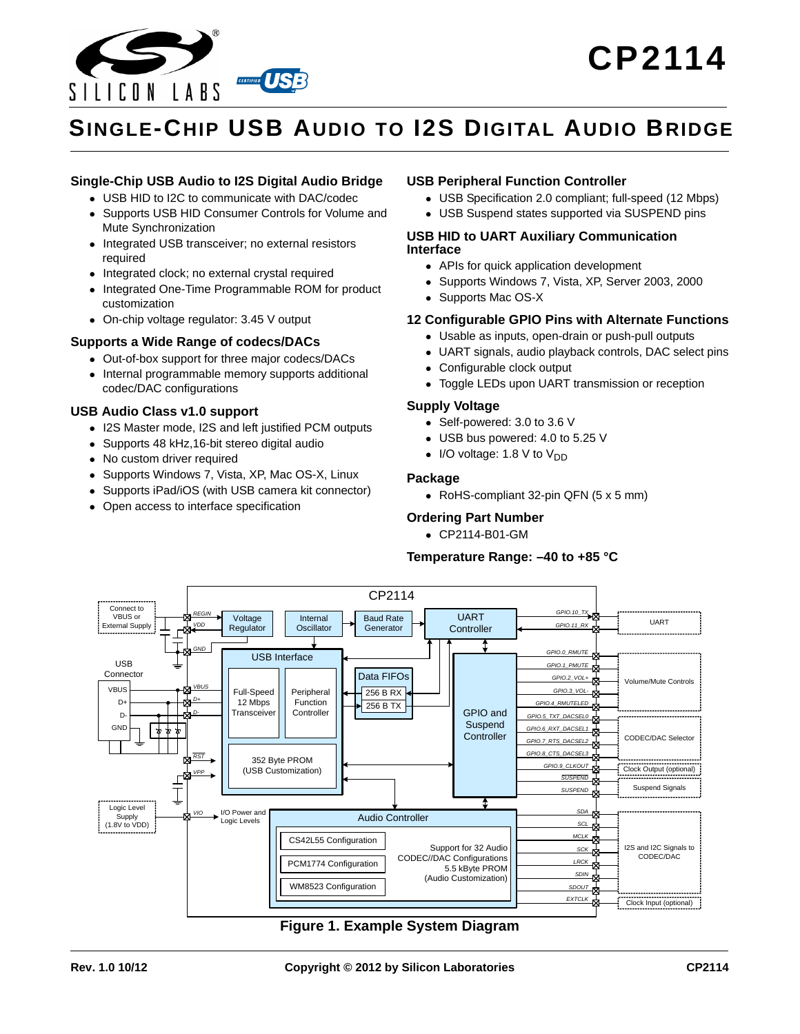

# **SINGLE-CHIP USB AUDIO TO I2S DIGITAL AUDIO BRIDGE**

#### **Single-Chip USB Audio to I2S Digital Audio Bridge**

- USB HID to I2C to communicate with DAC/codec
- Supports USB HID Consumer Controls for Volume and Mute Synchronization
- Integrated USB transceiver; no external resistors required
- Integrated clock; no external crystal required
- Integrated One-Time Programmable ROM for product customization
- On-chip voltage regulator: 3.45 V output

#### **Supports a Wide Range of codecs/DACs**

- Out-of-box support for three major codecs/DACs
- Internal programmable memory supports additional codec/DAC configurations

#### **USB Audio Class v1.0 support**

- I2S Master mode, I2S and left justified PCM outputs
- Supports 48 kHz,16-bit stereo digital audio
- No custom driver required
- Supports Windows 7, Vista, XP, Mac OS-X, Linux
- Supports iPad/iOS (with USB camera kit connector)
- Open access to interface specification

#### **USB Peripheral Function Controller**

- USB Specification 2.0 compliant; full-speed (12 Mbps)
- USB Suspend states supported via SUSPEND pins

#### **USB HID to UART Auxiliary Communication Interface**

- APIs for quick application development
- Supports Windows 7, Vista, XP, Server 2003, 2000
- Supports Mac OS-X

#### **12 Configurable GPIO Pins with Alternate Functions**

- Usable as inputs, open-drain or push-pull outputs
- UART signals, audio playback controls, DAC select pins
- Configurable clock output
- Toggle LEDs upon UART transmission or reception

#### **Supply Voltage**

- Self-powered: 3.0 to 3.6 V
- USB bus powered: 4.0 to 5.25 V
- $\bullet$  I/O voltage: 1.8 V to V<sub>DD</sub>

#### **Package**

• RoHS-compliant 32-pin QFN (5 x 5 mm)

#### **Ordering Part Number**

CP2114-B01-GM

#### **Temperature Range: –40 to +85 °C**



**Figure 1. Example System Diagram**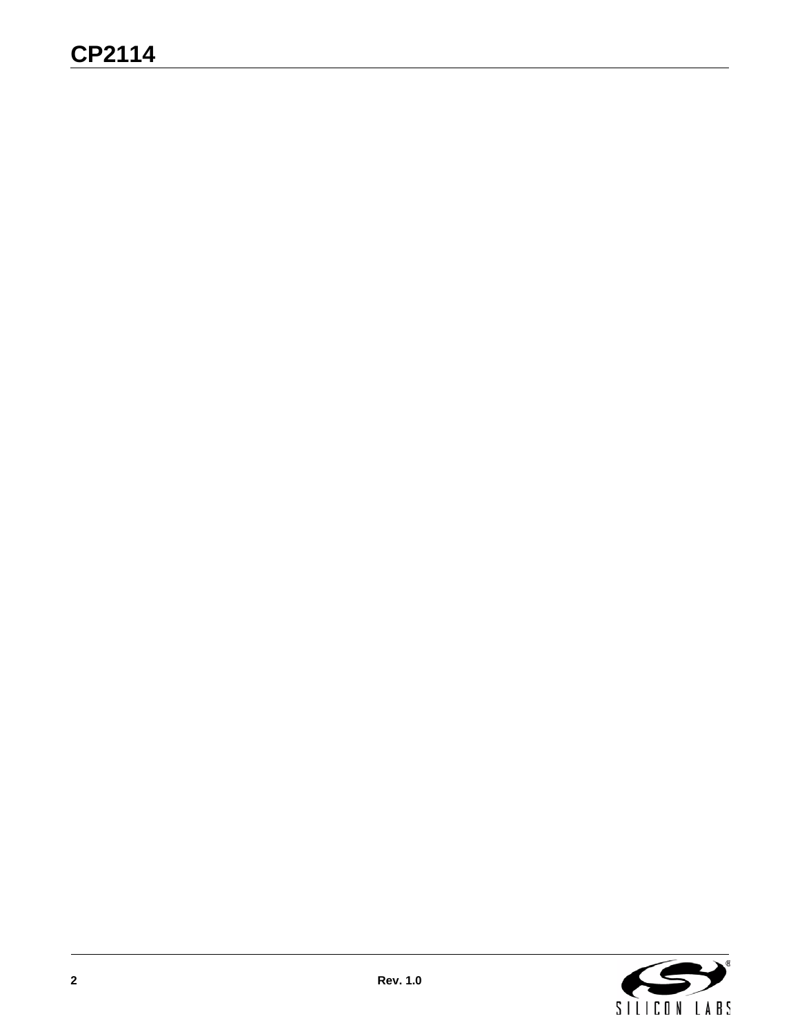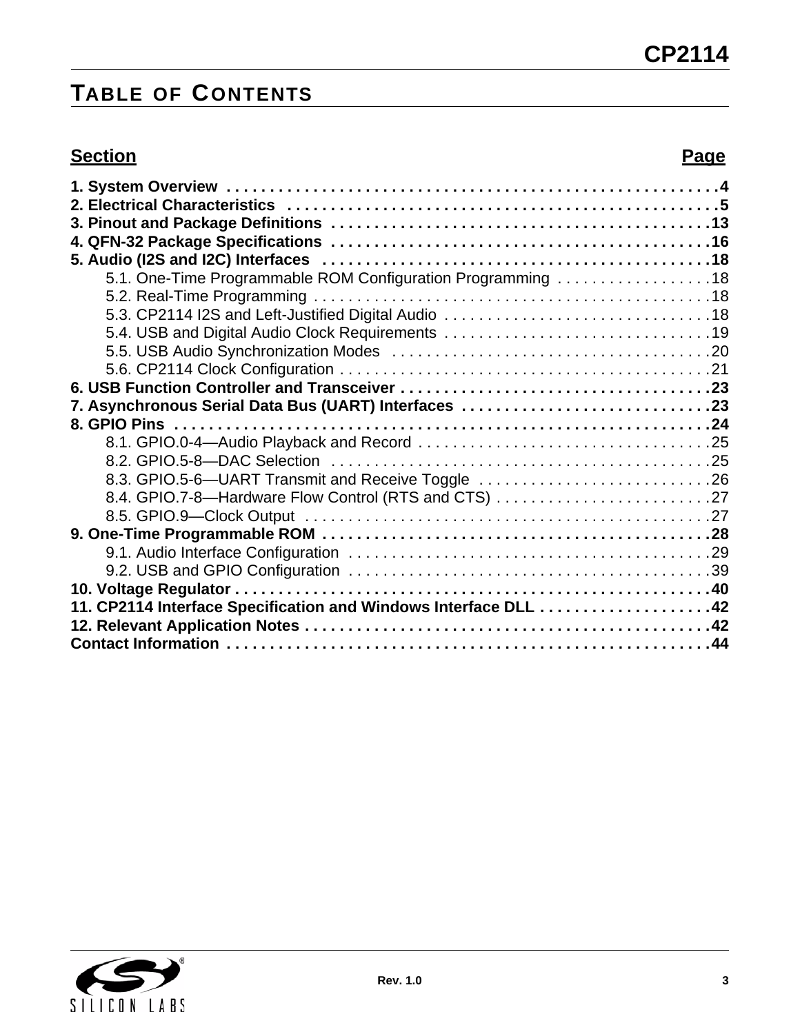# **TABLE OF CONTENTS**

# **Section Page**

| 5.1. One-Time Programmable ROM Configuration Programming 18     |  |
|-----------------------------------------------------------------|--|
|                                                                 |  |
|                                                                 |  |
|                                                                 |  |
|                                                                 |  |
|                                                                 |  |
|                                                                 |  |
| 7. Asynchronous Serial Data Bus (UART) Interfaces 23            |  |
|                                                                 |  |
|                                                                 |  |
|                                                                 |  |
| 8.3. GPIO.5-6—UART Transmit and Receive Toggle 26               |  |
| 8.4. GPIO.7-8-Hardware Flow Control (RTS and CTS) 27            |  |
|                                                                 |  |
|                                                                 |  |
|                                                                 |  |
|                                                                 |  |
|                                                                 |  |
| 11. CP2114 Interface Specification and Windows Interface DLL 42 |  |
|                                                                 |  |
|                                                                 |  |
|                                                                 |  |

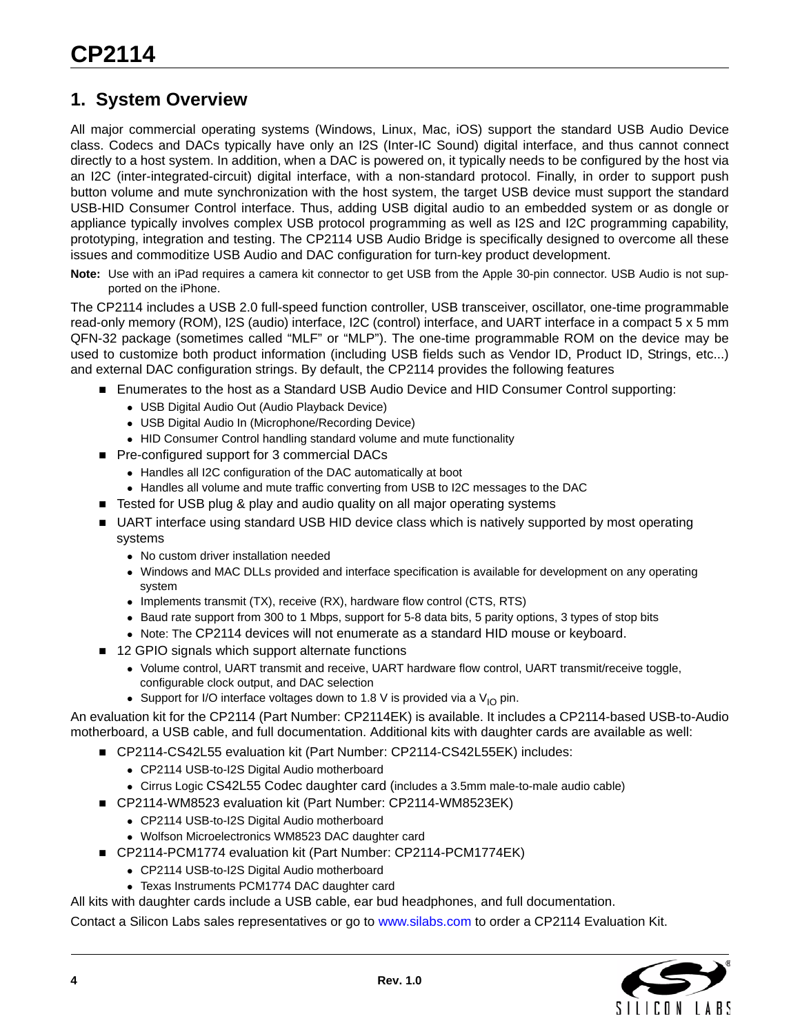# **1. System Overview**

All major commercial operating systems (Windows, Linux, Mac, iOS) support the standard USB Audio Device class. Codecs and DACs typically have only an I2S (Inter-IC Sound) digital interface, and thus cannot connect directly to a host system. In addition, when a DAC is powered on, it typically needs to be configured by the host via an I2C (inter-integrated-circuit) digital interface, with a non-standard protocol. Finally, in order to support push button volume and mute synchronization with the host system, the target USB device must support the standard USB-HID Consumer Control interface. Thus, adding USB digital audio to an embedded system or as dongle or appliance typically involves complex USB protocol programming as well as I2S and I2C programming capability, prototyping, integration and testing. The CP2114 USB Audio Bridge is specifically designed to overcome all these issues and commoditize USB Audio and DAC configuration for turn-key product development.

**Note:** Use with an iPad requires a camera kit connector to get USB from the Apple 30-pin connector. USB Audio is not supported on the iPhone.

The CP2114 includes a USB 2.0 full-speed function controller, USB transceiver, oscillator, one-time programmable read-only memory (ROM), I2S (audio) interface, I2C (control) interface, and UART interface in a compact 5 x 5 mm QFN-32 package (sometimes called "MLF" or "MLP"). The one-time programmable ROM on the device may be used to customize both product information (including USB fields such as Vendor ID, Product ID, Strings, etc...) and external DAC configuration strings. By default, the CP2114 provides the following features

- Enumerates to the host as a Standard USB Audio Device and HID Consumer Control supporting:
	- USB Digital Audio Out (Audio Playback Device)
	- USB Digital Audio In (Microphone/Recording Device)
	- HID Consumer Control handling standard volume and mute functionality
- Pre-configured support for 3 commercial DACs
	- Handles all I2C configuration of the DAC automatically at boot
	- Handles all volume and mute traffic converting from USB to I2C messages to the DAC
- **EXECTED FORM IN STARK IS EXECTED FOR A THE STARK IS EXECTED FOR ISLAMS** THE Tested for USB plug & play and audio quality on all major operating systems
- UART interface using standard USB HID device class which is natively supported by most operating systems
	- No custom driver installation needed
	- Windows and MAC DLLs provided and interface specification is available for development on any operating system
	- Implements transmit (TX), receive (RX), hardware flow control (CTS, RTS)
	- Baud rate support from 300 to 1 Mbps, support for 5-8 data bits, 5 parity options, 3 types of stop bits
	- Note: The CP2114 devices will not enumerate as a standard HID mouse or keyboard.
- 12 GPIO signals which support alternate functions
	- Volume control, UART transmit and receive, UART hardware flow control, UART transmit/receive toggle, configurable clock output, and DAC selection
	- Support for I/O interface voltages down to 1.8 V is provided via a  $V_{1O}$  pin.

An evaluation kit for the CP2114 (Part Number: CP2114EK) is available. It includes a CP2114-based USB-to-Audio motherboard, a USB cable, and full documentation. Additional kits with daughter cards are available as well:

- CP2114-CS42L55 evaluation kit (Part Number: CP2114-CS42L55EK) includes:
	- CP2114 USB-to-I2S Digital Audio motherboard
	- Cirrus Logic CS42L55 Codec daughter card (includes a 3.5mm male-to-male audio cable)
- CP2114-WM8523 evaluation kit (Part Number: CP2114-WM8523EK)
	- CP2114 USB-to-I2S Digital Audio motherboard
	- Wolfson Microelectronics WM8523 DAC daughter card
- CP2114-PCM1774 evaluation kit (Part Number: CP2114-PCM1774EK)
	- CP2114 USB-to-I2S Digital Audio motherboard
	- Texas Instruments PCM1774 DAC daughter card

All kits with daughter cards include a USB cable, ear bud headphones, and full documentation.

[Contact a Silicon Labs sales representatives or go to w](http://www.silabs.com)ww.silabs.com to order a CP2114 Evaluation Kit.

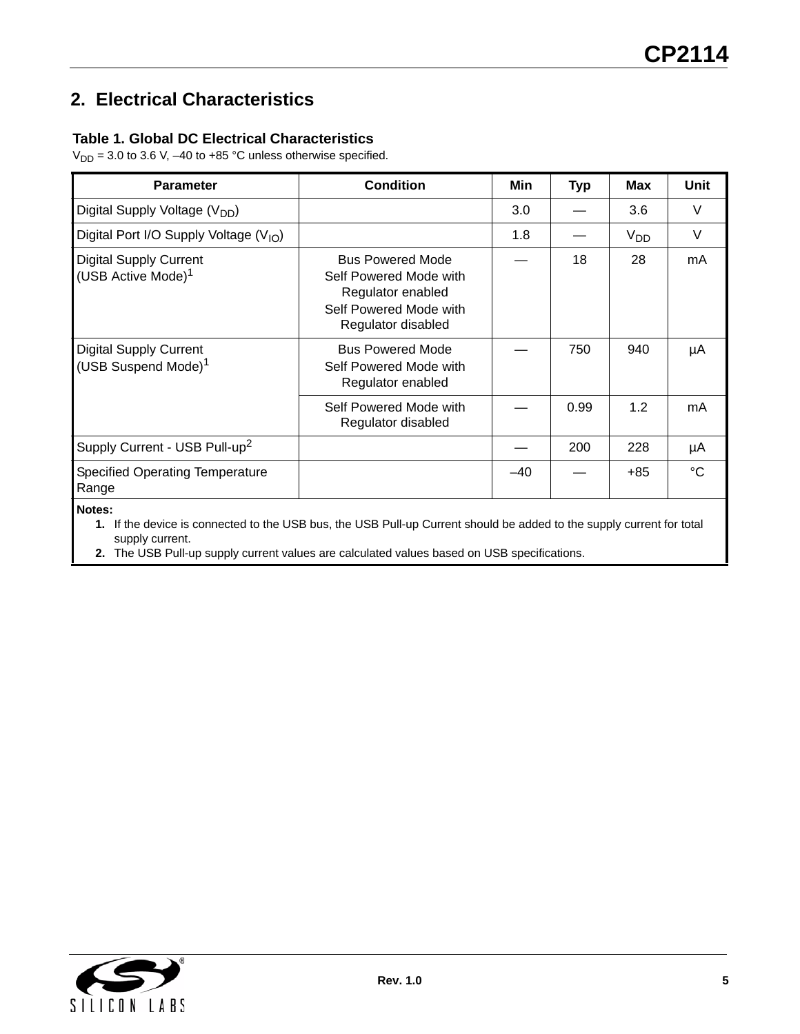# <span id="page-4-0"></span>**2. Electrical Characteristics**

#### **Table 1. Global DC Electrical Characteristics**

 $V_{DD}$  = 3.0 to 3.6 V, -40 to +85 °C unless otherwise specified.

| <b>Parameter</b>                                                                                                                                   | <b>Condition</b>                                                                                                       | Min   | <b>Typ</b> | <b>Max</b> | Unit   |
|----------------------------------------------------------------------------------------------------------------------------------------------------|------------------------------------------------------------------------------------------------------------------------|-------|------------|------------|--------|
| Digital Supply Voltage (V <sub>DD</sub> )                                                                                                          |                                                                                                                        | 3.0   |            | 3.6        | $\vee$ |
| Digital Port I/O Supply Voltage $(V_{1O})$                                                                                                         |                                                                                                                        | 1.8   |            | $V_{DD}$   | $\vee$ |
| <b>Digital Supply Current</b><br>(USB Active Mode) <sup>1</sup>                                                                                    | <b>Bus Powered Mode</b><br>Self Powered Mode with<br>Regulator enabled<br>Self Powered Mode with<br>Regulator disabled |       | 18         | 28         | mA     |
| <b>Digital Supply Current</b><br>(USB Suspend Mode) <sup>1</sup>                                                                                   | <b>Bus Powered Mode</b><br>Self Powered Mode with<br>Regulator enabled                                                 |       | 750        | 940        | μA     |
|                                                                                                                                                    | Self Powered Mode with<br>Regulator disabled                                                                           |       | 0.99       | 1.2        | mA     |
| Supply Current - USB Pull-up <sup>2</sup>                                                                                                          |                                                                                                                        |       | 200        | 228        | μA     |
| <b>Specified Operating Temperature</b><br>Range                                                                                                    |                                                                                                                        | $-40$ |            | +85        | °C     |
| Notes:<br>1. If the device is connected to the USB bus, the USB Pull-up Current should be added to the supply current for total<br>supply current. |                                                                                                                        |       |            |            |        |

**2.** The USB Pull-up supply current values are calculated values based on USB specifications.

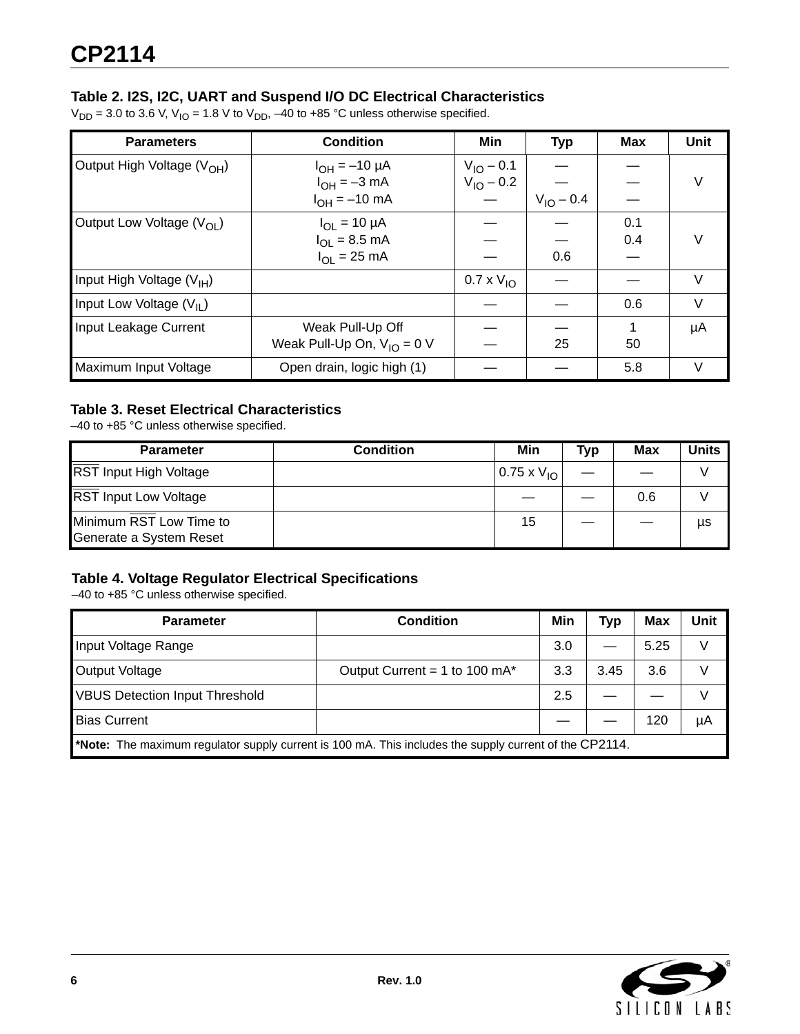#### **Table 2. I2S, I2C, UART and Suspend I/O DC Electrical Characteristics**

 $V_{DD}$  = 3.0 to 3.6 V,  $V_{IO}$  = 1.8 V to  $V_{DD}$ , -40 to +85 °C unless otherwise specified.

| <b>Parameters</b>                      | <b>Condition</b>                 | Min                 | <b>Typ</b>     | <b>Max</b> | <b>Unit</b> |
|----------------------------------------|----------------------------------|---------------------|----------------|------------|-------------|
| Output High Voltage (V <sub>OH</sub> ) | $I_{OH} = -10 \mu A$             | $V_{10} - 0.1$      |                |            |             |
|                                        | $I_{OH} = -3$ mA                 | $V_{10} - 0.2$      |                |            | V           |
|                                        | $I_{OH} = -10$ mA                |                     | $V_{10} - 0.4$ |            |             |
| Output Low Voltage $(V_{OI})$          | $I_{\Omega I} = 10 \mu A$        |                     |                | 0.1        |             |
|                                        | $I_{\text{OI}} = 8.5 \text{ mA}$ |                     |                | 0.4        | V           |
|                                        | $I_{\text{OI}} = 25 \text{ mA}$  |                     | 0.6            |            |             |
| Input High Voltage (V <sub>IH</sub> )  |                                  | $0.7 \times V_{10}$ |                |            | V           |
| Input Low Voltage $(V_{II})$           |                                  |                     |                | 0.6        | V           |
| Input Leakage Current                  | Weak Pull-Up Off                 |                     |                | 1          | μA          |
|                                        | Weak Pull-Up On, $V_{1O} = 0 V$  |                     | 25             | 50         |             |
| Maximum Input Voltage                  | Open drain, logic high (1)       |                     |                | 5.8        | V           |

#### <span id="page-5-0"></span>**Table 3. Reset Electrical Characteristics**

–40 to +85 °C unless otherwise specified.

| <b>Parameter</b>                                   | <b>Condition</b> | Min                  | <b>Typ</b> | Max | Units |
|----------------------------------------------------|------------------|----------------------|------------|-----|-------|
| RST Input High Voltage                             |                  | $0.75 \times V_{10}$ |            |     |       |
| <b>RST Input Low Voltage</b>                       |                  |                      |            | 0.6 |       |
| Minimum RST Low Time to<br>Generate a System Reset |                  | 15                   |            |     | μs    |

# <span id="page-5-1"></span>**Table 4. Voltage Regulator Electrical Specifications**

–40 to +85 °C unless otherwise specified.

| <b>Parameter</b>                                                                                             | <b>Condition</b>                 | Min | <b>Typ</b> | Max  | Unit |  |
|--------------------------------------------------------------------------------------------------------------|----------------------------------|-----|------------|------|------|--|
| Input Voltage Range                                                                                          |                                  | 3.0 |            | 5.25 | V    |  |
| Output Voltage                                                                                               | Output Current = 1 to 100 $mA^*$ | 3.3 | 3.45       | 3.6  | V    |  |
| <b>VBUS Detection Input Threshold</b>                                                                        |                                  | 2.5 |            |      |      |  |
| <b>Bias Current</b>                                                                                          |                                  |     |            | 120  | μA   |  |
| <b>Note:</b> The maximum regulator supply current is 100 mA. This includes the supply current of the CP2114. |                                  |     |            |      |      |  |

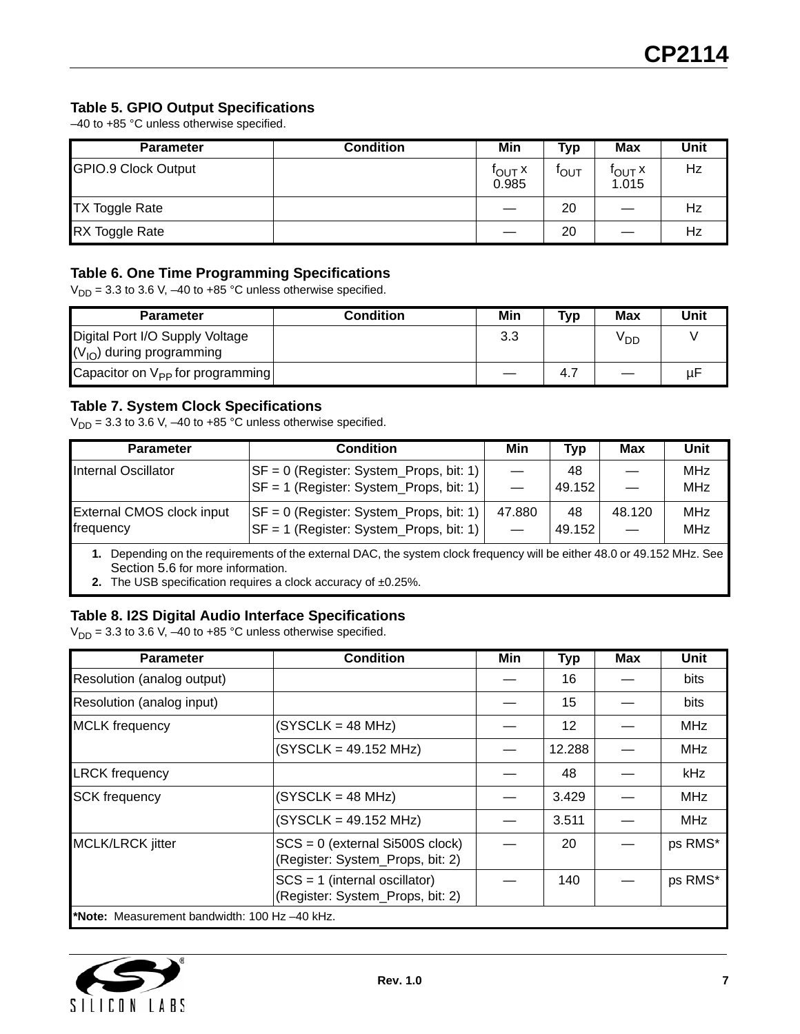#### <span id="page-6-0"></span>**Table 5. GPIO Output Specifications**

–40 to +85 °C unless otherwise specified.

| <b>Parameter</b>           | <b>Condition</b> | Min                         | <b>Typ</b>       | <b>Max</b>                           | Unit |
|----------------------------|------------------|-----------------------------|------------------|--------------------------------------|------|
| <b>GPIO.9 Clock Output</b> |                  | $t_{\text{OUT}}$ x<br>0.985 | <sup>T</sup> OUT | $\mathsf{r}_\mathsf{OUT}$ x<br>1.015 | Hz   |
| <b>TX Toggle Rate</b>      |                  |                             | 20               |                                      | Hz   |
| RX Toggle Rate             |                  |                             | 20               |                                      | Hz   |

#### **Table 6. One Time Programming Specifications**

 $V_{DD}$  = 3.3 to 3.6 V, -40 to +85 °C unless otherwise specified.

| <b>Parameter</b>                                                 | <b>Condition</b> | Min | Typ | Max             | Unit |
|------------------------------------------------------------------|------------------|-----|-----|-----------------|------|
| Digital Port I/O Supply Voltage<br>$(V_{1O})$ during programming |                  | 3.3 |     | <sup>v</sup> dd |      |
| Capacitor on V <sub>PP</sub> for programming                     |                  |     | 4.7 |                 | uŀ   |

#### **Table 7. System Clock Specifications**

 $V_{DD}$  = 3.3 to 3.6 V, –40 to +85 °C unless otherwise specified.

| <b>Parameter</b>                                                                                                                                                                                                                     | <b>Condition</b>                          | Min    | <b>Typ</b> | Max    | Unit       |  |
|--------------------------------------------------------------------------------------------------------------------------------------------------------------------------------------------------------------------------------------|-------------------------------------------|--------|------------|--------|------------|--|
| <b>Internal Oscillator</b>                                                                                                                                                                                                           | $SF = 0$ (Register: System_Props, bit: 1) |        | 48         |        | <b>MHz</b> |  |
|                                                                                                                                                                                                                                      | $SF = 1$ (Register: System_Props, bit: 1) |        | 49.152     |        | <b>MHz</b> |  |
| <b>External CMOS clock input</b>                                                                                                                                                                                                     | $SF = 0$ (Register: System_Props, bit: 1) | 47.880 | 48         | 48.120 | <b>MHz</b> |  |
| frequency                                                                                                                                                                                                                            | $SF = 1$ (Register: System_Props, bit: 1) |        | 49.152     |        | <b>MHz</b> |  |
| Depending on the requirements of the external DAC, the system clock frequency will be either 48.0 or 49.152 MHz. See<br>Section 5.6 for more information.<br>The USB specification requires a clock accuracy of $\pm 0.25\%$ .<br>2. |                                           |        |            |        |            |  |

#### **Table 8. I2S Digital Audio Interface Specifications**

 $V_{DD}$  = 3.3 to 3.6 V, -40 to +85 °C unless otherwise specified.

| <b>Parameter</b>                                | <b>Condition</b>                                                      | Min | <b>Typ</b> | Max | <b>Unit</b> |  |
|-------------------------------------------------|-----------------------------------------------------------------------|-----|------------|-----|-------------|--|
| Resolution (analog output)                      |                                                                       |     | 16         |     | <b>bits</b> |  |
| Resolution (analog input)                       |                                                                       |     | 15         |     | <b>bits</b> |  |
| <b>MCLK</b> frequency                           | $(SYSCLK = 48 MHz)$                                                   |     | 12         |     | <b>MHz</b>  |  |
|                                                 | $(SYSCLK = 49.152 MHz)$                                               |     | 12.288     |     | <b>MHz</b>  |  |
| <b>LRCK</b> frequency                           |                                                                       |     | 48         |     | <b>kHz</b>  |  |
| <b>SCK frequency</b>                            | $(SYSCLK = 48 MHz)$                                                   |     | 3.429      |     | <b>MHz</b>  |  |
|                                                 | $(SYSCLK = 49.152 MHz)$                                               |     | 3.511      |     | <b>MHz</b>  |  |
| <b>MCLK/LRCK</b> jitter                         | $SCS = 0$ (external Si500S clock)<br>(Register: System_Props, bit: 2) |     | 20         |     | ps RMS*     |  |
|                                                 | $SCS = 1$ (internal oscillator)<br>(Register: System_Props, bit: 2)   |     | 140        |     | ps RMS*     |  |
| *Note: Measurement bandwidth: 100 Hz $-40$ kHz. |                                                                       |     |            |     |             |  |

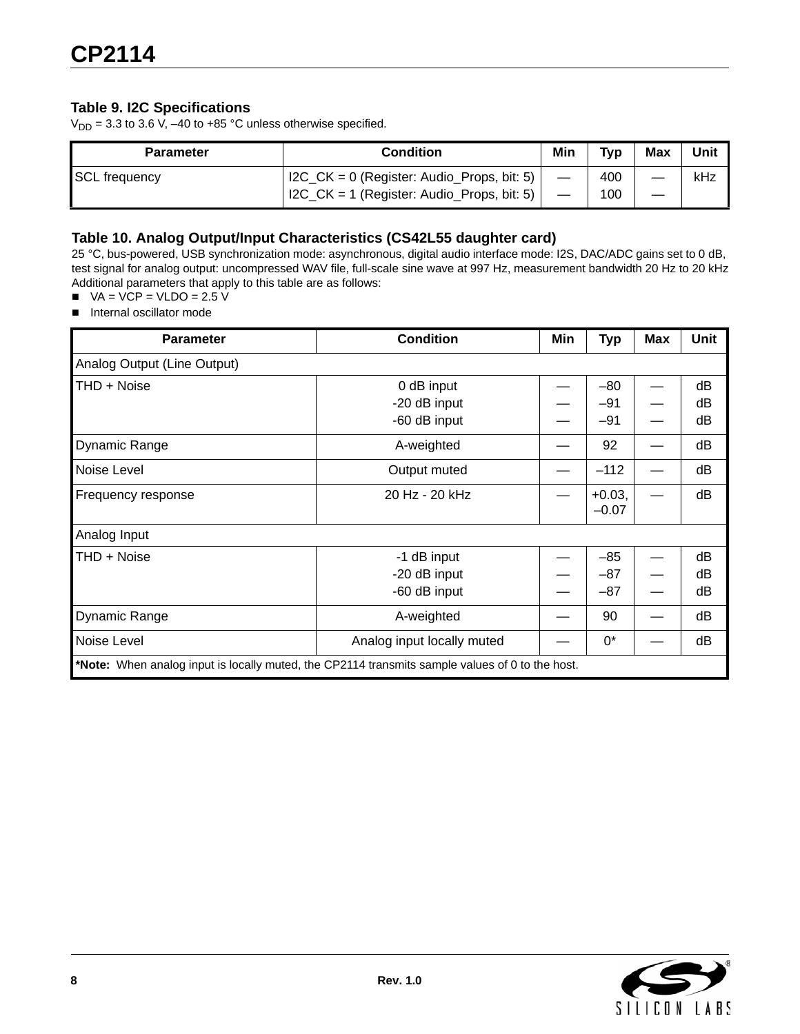#### **Table 9. I2C Specifications**

 $V_{DD}$  = 3.3 to 3.6 V, -40 to +85 °C unless otherwise specified.

| <b>Parameter</b>     | Condition                                                                                        | Min | Typ        | <b>Max</b> | Unit |
|----------------------|--------------------------------------------------------------------------------------------------|-----|------------|------------|------|
| <b>SCL</b> frequency | $12C_C$ K = 0 (Register: Audio_Props, bit: 5)  <br>$IC_{CK} = 1$ (Register: Audio_Props, bit: 5) |     | 400<br>100 |            | kHz  |

#### **Table 10. Analog Output/Input Characteristics (CS42L55 daughter card)**

25 °C, bus-powered, USB synchronization mode: asynchronous, digital audio interface mode: I2S, DAC/ADC gains set to 0 dB, test signal for analog output: uncompressed WAV file, full-scale sine wave at 997 Hz, measurement bandwidth 20 Hz to 20 kHz Additional parameters that apply to this table are as follows:

- $VA = VCP = VLDO = 2.5 V$
- **n** Internal oscillator mode

| <b>Parameter</b>            | <b>Condition</b>                                                                                | Min | <b>Typ</b>          | <b>Max</b> | Unit |  |
|-----------------------------|-------------------------------------------------------------------------------------------------|-----|---------------------|------------|------|--|
| Analog Output (Line Output) |                                                                                                 |     |                     |            |      |  |
| THD + Noise                 | 0 dB input                                                                                      |     | $-80$               |            | dB   |  |
|                             | -20 dB input                                                                                    |     | $-91$               |            | dB   |  |
|                             | -60 dB input                                                                                    |     | $-91$               |            | dB   |  |
| Dynamic Range               | A-weighted                                                                                      |     | 92                  |            | dB   |  |
| Noise Level                 | Output muted                                                                                    |     | $-112$              |            | dB   |  |
| Frequency response          | 20 Hz - 20 kHz                                                                                  |     | $+0.03,$<br>$-0.07$ |            | dB   |  |
| Analog Input                |                                                                                                 |     |                     |            |      |  |
| THD + Noise                 | -1 dB input                                                                                     |     | $-85$               |            | dB   |  |
|                             | -20 dB input                                                                                    |     | $-87$               |            | dB   |  |
|                             | -60 dB input                                                                                    |     | $-87$               |            | dB   |  |
| Dynamic Range               | A-weighted                                                                                      |     | 90                  |            | dB   |  |
| Noise Level                 | Analog input locally muted                                                                      |     | $0^*$               |            | dB   |  |
|                             | *Note: When analog input is locally muted, the CP2114 transmits sample values of 0 to the host. |     |                     |            |      |  |

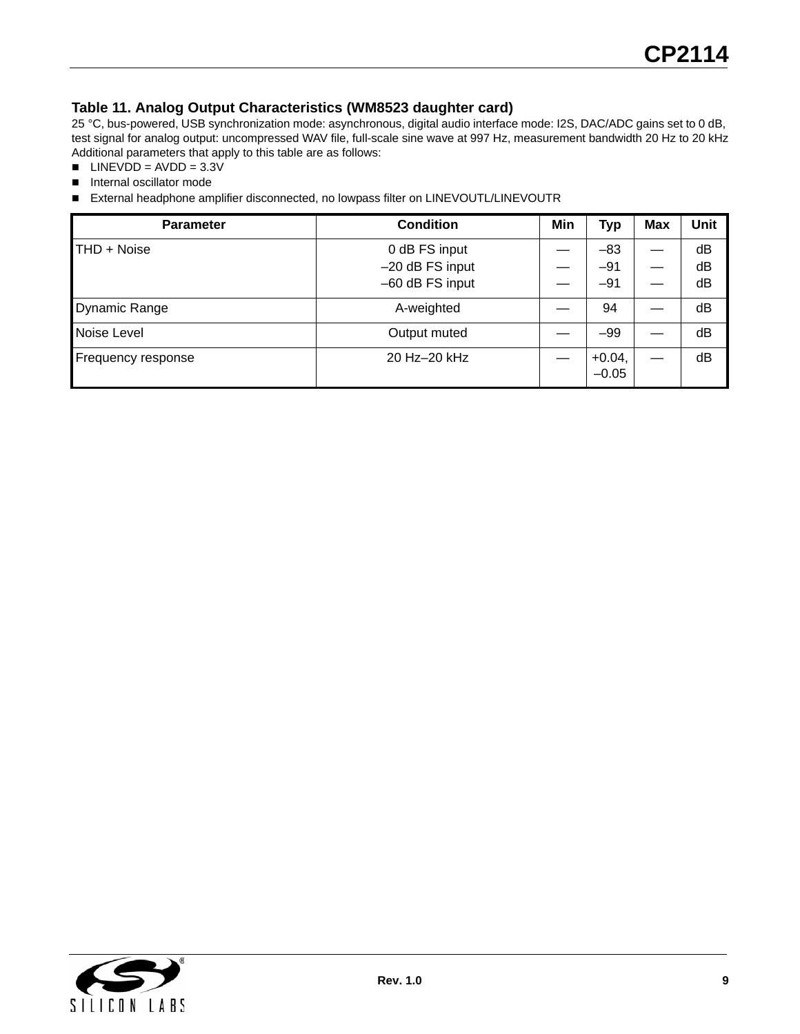#### **Table 11. Analog Output Characteristics (WM8523 daughter card)**

25 °C, bus-powered, USB synchronization mode: asynchronous, digital audio interface mode: I2S, DAC/ADC gains set to 0 dB, test signal for analog output: uncompressed WAV file, full-scale sine wave at 997 Hz, measurement bandwidth 20 Hz to 20 kHz Additional parameters that apply to this table are as follows:

- $\blacksquare$  LINEVDD = AVDD = 3.3V
- Internal oscillator mode
- External headphone amplifier disconnected, no lowpass filter on LINEVOUTL/LINEVOUTR

| <b>Parameter</b>     | <b>Condition</b> | Min | <b>Typ</b>          | <b>Max</b> | Unit |
|----------------------|------------------|-----|---------------------|------------|------|
| THD + Noise          | 0 dB FS input    |     | $-83$               |            | dB   |
|                      | -20 dB FS input  |     | $-91$               |            | dB   |
|                      | -60 dB FS input  |     | $-91$               |            | dB   |
| <b>Dynamic Range</b> | A-weighted       |     | 94                  |            | dB   |
| Noise Level          | Output muted     |     | $-99$               |            | dB   |
| Frequency response   | 20 Hz-20 kHz     |     | $+0.04,$<br>$-0.05$ |            | dB   |

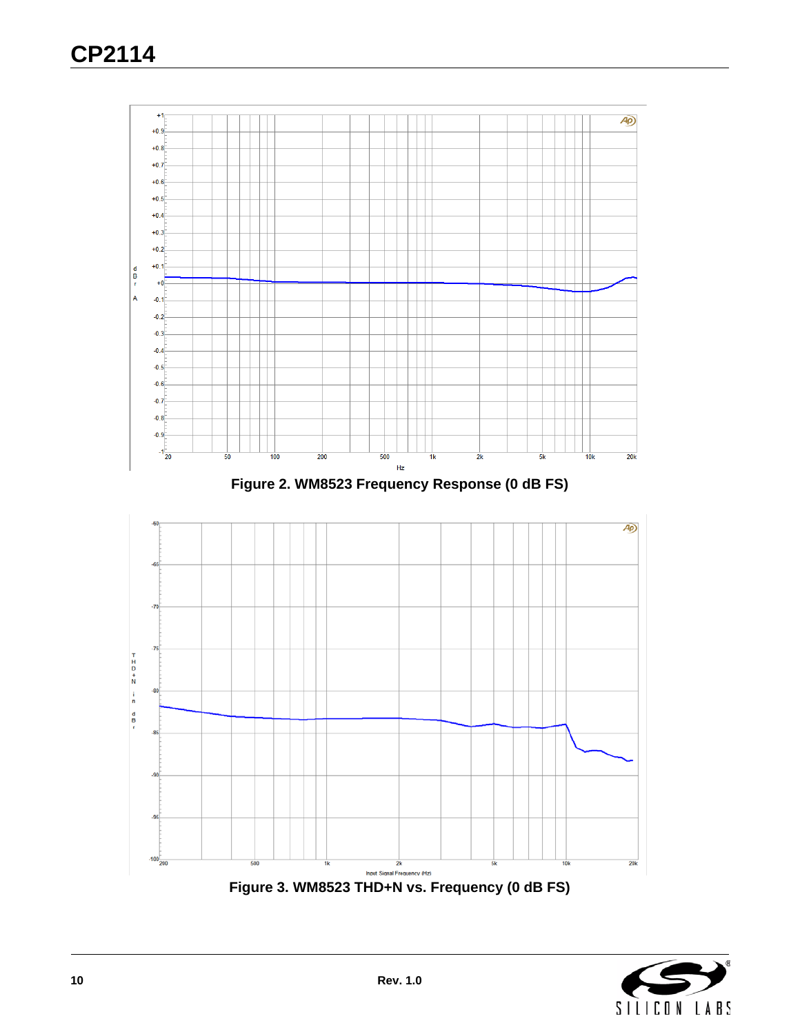

**Figure 2. WM8523 Frequency Response (0 dB FS)**



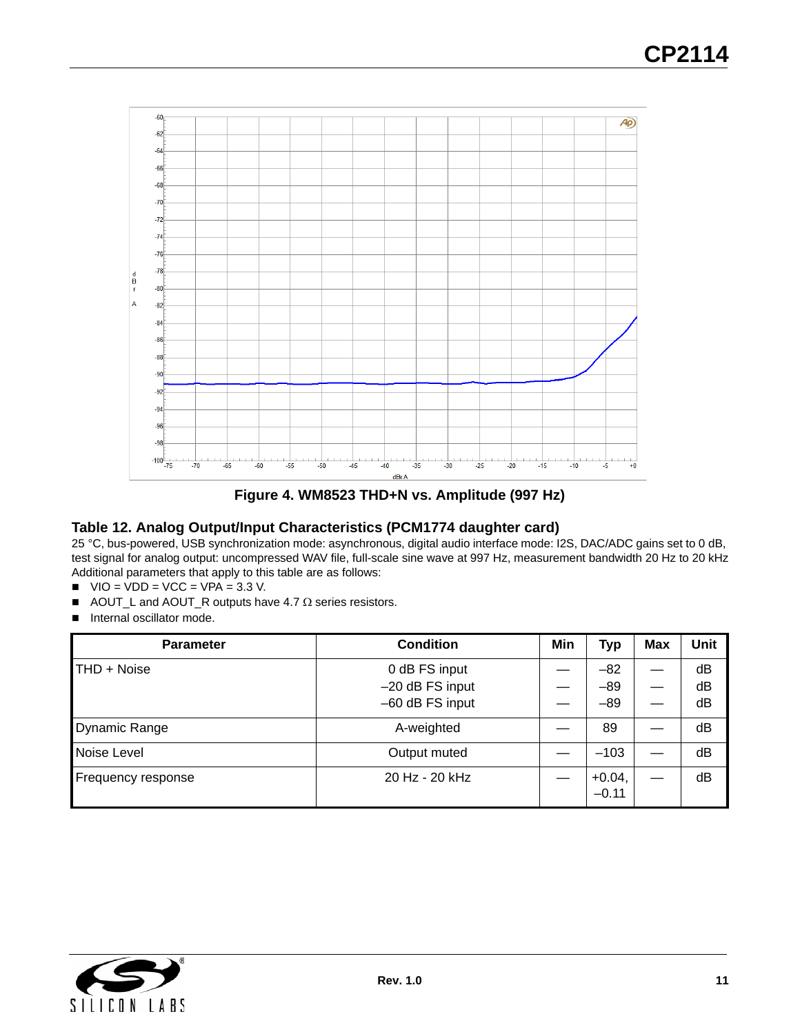

**Figure 4. WM8523 THD+N vs. Amplitude (997 Hz)**

# **Table 12. Analog Output/Input Characteristics (PCM1774 daughter card)**

25 °C, bus-powered, USB synchronization mode: asynchronous, digital audio interface mode: I2S, DAC/ADC gains set to 0 dB, test signal for analog output: uncompressed WAV file, full-scale sine wave at 997 Hz, measurement bandwidth 20 Hz to 20 kHz Additional parameters that apply to this table are as follows:

- $\blacksquare$  VIO = VDD = VCC = VPA = 3.3 V.
- AOUT\_L and AOUT\_R outputs have 4.7  $\Omega$  series resistors.
- **Internal oscillator mode.**

| <b>Parameter</b>     | <b>Condition</b> | Min | <b>Typ</b>          | <b>Max</b> | <b>Unit</b> |
|----------------------|------------------|-----|---------------------|------------|-------------|
| THD + Noise          | 0 dB FS input    |     | $-82$               |            | dB          |
|                      | -20 dB FS input  |     | $-89$               |            | dB          |
|                      | -60 dB FS input  |     | $-89$               |            | dB          |
| <b>Dynamic Range</b> | A-weighted       |     | 89                  |            | dB          |
| Noise Level          | Output muted     |     | $-103$              |            | dB          |
| Frequency response   | 20 Hz - 20 kHz   |     | $+0.04,$<br>$-0.11$ |            | dB          |

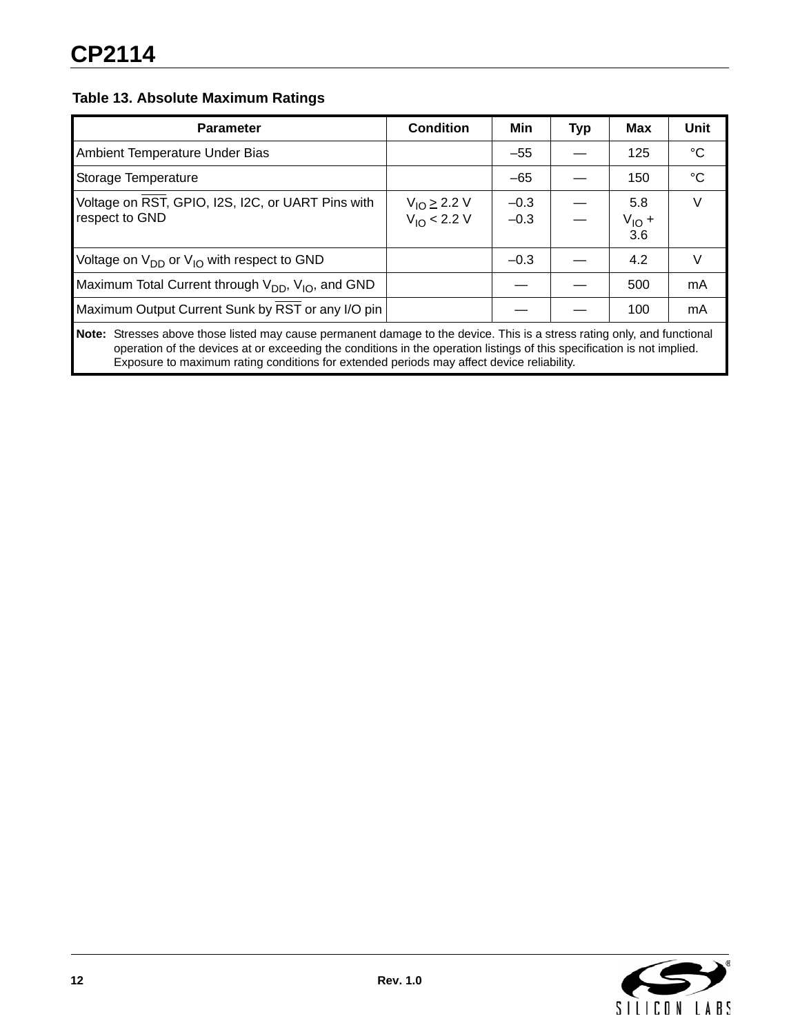# **Table 13. Absolute Maximum Ratings**

| <b>Parameter</b>                                                                                                                                                                                                                                                                                                                                    | <b>Condition</b>                        | Min              | <b>Typ</b> | <b>Max</b>               | <b>Unit</b> |
|-----------------------------------------------------------------------------------------------------------------------------------------------------------------------------------------------------------------------------------------------------------------------------------------------------------------------------------------------------|-----------------------------------------|------------------|------------|--------------------------|-------------|
| Ambient Temperature Under Bias                                                                                                                                                                                                                                                                                                                      |                                         | $-55$            |            | 125                      | °C          |
| Storage Temperature                                                                                                                                                                                                                                                                                                                                 |                                         | $-65$            |            | 150                      | °C          |
| Voltage on RST, GPIO, I2S, I2C, or UART Pins with<br>respect to GND                                                                                                                                                                                                                                                                                 | $V_{10} \geq 2.2 V$<br>$V_{10}$ < 2.2 V | $-0.3$<br>$-0.3$ |            | 5.8<br>$V_{IO}$ +<br>3.6 | V           |
| Voltage on $V_{DD}$ or $V_{1O}$ with respect to GND                                                                                                                                                                                                                                                                                                 |                                         | $-0.3$           |            | 4.2                      |             |
| Maximum Total Current through V <sub>DD</sub> , V <sub>IO</sub> , and GND                                                                                                                                                                                                                                                                           |                                         |                  |            | 500                      | mA          |
| Maximum Output Current Sunk by RST or any I/O pin                                                                                                                                                                                                                                                                                                   |                                         |                  |            | 100                      | mA          |
| Note:<br>Stresses above those listed may cause permanent damage to the device. This is a stress rating only, and functional<br>operation of the devices at or exceeding the conditions in the operation listings of this specification is not implied.<br>Exposure to maximum rating conditions for extended periods may affect device reliability. |                                         |                  |            |                          |             |

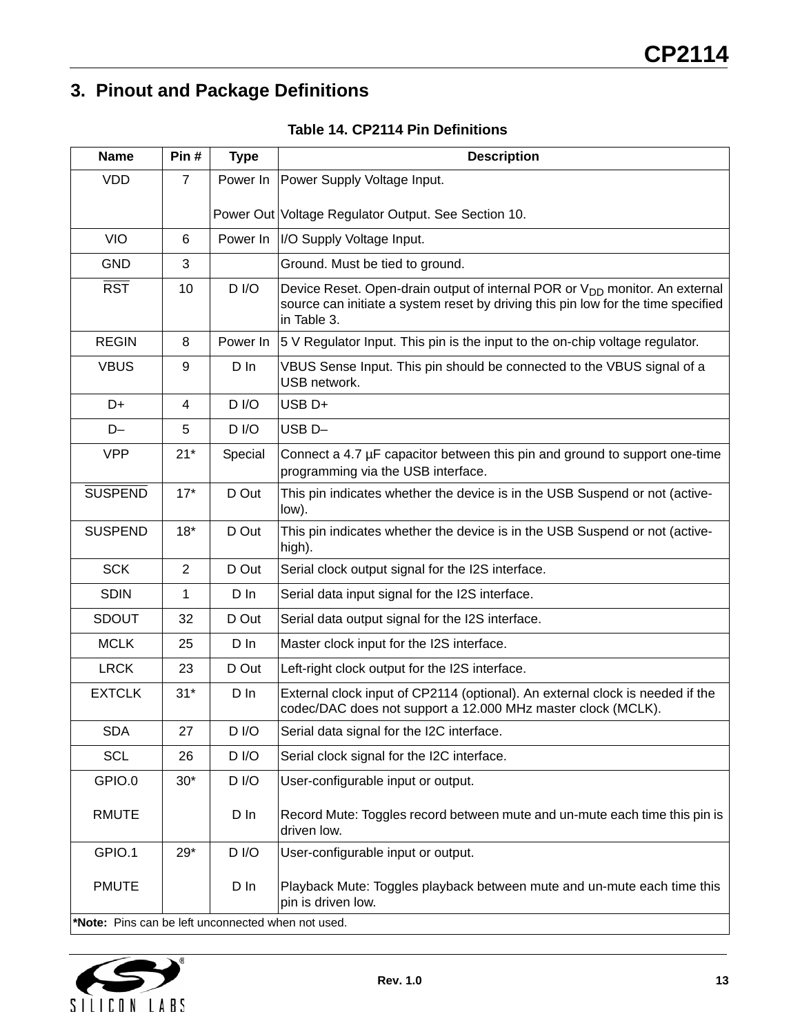# <span id="page-12-0"></span>**3. Pinout and Package Definitions**

|  | Table 14. CP2114 Pin Definitions |  |
|--|----------------------------------|--|
|--|----------------------------------|--|

| <b>Name</b>                                                        | Pin#           | <b>Type</b> | <b>Description</b>                                                                                                                                                                          |  |
|--------------------------------------------------------------------|----------------|-------------|---------------------------------------------------------------------------------------------------------------------------------------------------------------------------------------------|--|
| <b>VDD</b>                                                         | $\overline{7}$ | Power In    | Power Supply Voltage Input.                                                                                                                                                                 |  |
|                                                                    |                |             | Power Out Voltage Regulator Output. See Section 10.                                                                                                                                         |  |
| <b>VIO</b>                                                         | 6              | Power In    | I/O Supply Voltage Input.                                                                                                                                                                   |  |
|                                                                    | 3              |             |                                                                                                                                                                                             |  |
| <b>GND</b>                                                         |                |             | Ground. Must be tied to ground.                                                                                                                                                             |  |
| $\overline{RST}$                                                   | 10             | D I/O       | Device Reset. Open-drain output of internal POR or V <sub>DD</sub> monitor. An external<br>source can initiate a system reset by driving this pin low for the time specified<br>in Table 3. |  |
| <b>REGIN</b>                                                       | 8              | Power In    | 5 V Regulator Input. This pin is the input to the on-chip voltage regulator.                                                                                                                |  |
| <b>VBUS</b>                                                        | 9              | D In        | VBUS Sense Input. This pin should be connected to the VBUS signal of a<br>USB network.                                                                                                      |  |
| D+                                                                 | 4              | D I/O       | USB <sub>D+</sub>                                                                                                                                                                           |  |
| $D-$                                                               | 5              | D I/O       | USB <sub>D</sub>                                                                                                                                                                            |  |
| <b>VPP</b>                                                         | $21*$          | Special     | Connect a 4.7 µF capacitor between this pin and ground to support one-time<br>programming via the USB interface.                                                                            |  |
| <b>SUSPEND</b>                                                     | $17*$          | D Out       | This pin indicates whether the device is in the USB Suspend or not (active-<br>low).                                                                                                        |  |
| <b>SUSPEND</b>                                                     | $18*$          | D Out       | This pin indicates whether the device is in the USB Suspend or not (active-<br>high).                                                                                                       |  |
| <b>SCK</b>                                                         | $\overline{2}$ | D Out       | Serial clock output signal for the I2S interface.                                                                                                                                           |  |
| <b>SDIN</b>                                                        | 1              | D In        | Serial data input signal for the I2S interface.                                                                                                                                             |  |
| <b>SDOUT</b>                                                       | 32             | D Out       | Serial data output signal for the I2S interface.                                                                                                                                            |  |
| <b>MCLK</b>                                                        | 25             | D In        | Master clock input for the I2S interface.                                                                                                                                                   |  |
| <b>LRCK</b>                                                        | 23             | D Out       | Left-right clock output for the I2S interface.                                                                                                                                              |  |
| <b>EXTCLK</b>                                                      | $31*$          | D In        | External clock input of CP2114 (optional). An external clock is needed if the<br>codec/DAC does not support a 12.000 MHz master clock (MCLK).                                               |  |
| <b>SDA</b>                                                         | 27             | D I/O       | Serial data signal for the I2C interface.                                                                                                                                                   |  |
| <b>SCL</b>                                                         | 26             | D I/O       | Serial clock signal for the I2C interface.                                                                                                                                                  |  |
| GPIO.0                                                             | $30*$          | D I/O       | User-configurable input or output.                                                                                                                                                          |  |
| <b>RMUTE</b>                                                       |                | D In        | Record Mute: Toggles record between mute and un-mute each time this pin is<br>driven low.                                                                                                   |  |
| GPIO.1                                                             | $29*$          | D I/O       | User-configurable input or output.                                                                                                                                                          |  |
| <b>PMUTE</b><br>*Note: Pins can be left unconnected when not used. |                | D In        | Playback Mute: Toggles playback between mute and un-mute each time this<br>pin is driven low.                                                                                               |  |

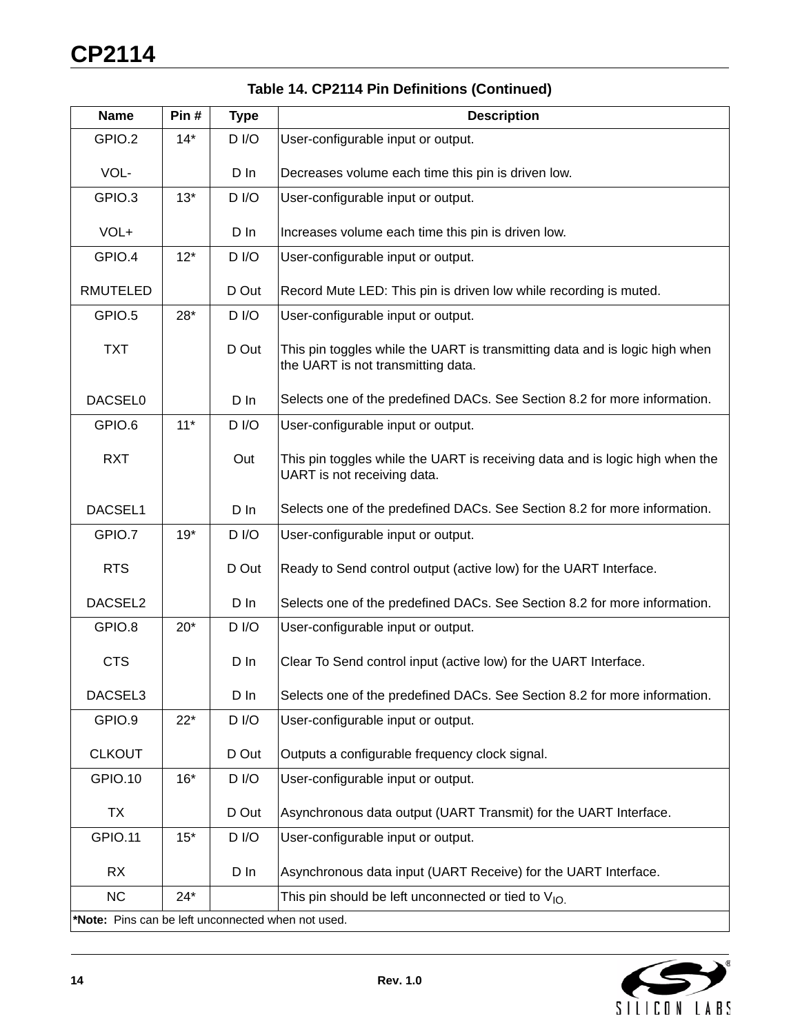| <b>Name</b>                                        | Pin#  | <b>Type</b> | <b>Description</b>                                                                                                |  |
|----------------------------------------------------|-------|-------------|-------------------------------------------------------------------------------------------------------------------|--|
| GPIO.2                                             | $14*$ | D I/O       | User-configurable input or output.                                                                                |  |
| VOL-                                               |       | $D \ln$     | Decreases volume each time this pin is driven low.                                                                |  |
|                                                    |       |             |                                                                                                                   |  |
| GPIO.3                                             | $13*$ | D I/O       | User-configurable input or output.                                                                                |  |
| VOL+                                               |       | D In        | Increases volume each time this pin is driven low.                                                                |  |
| GPIO.4                                             | $12*$ | D I/O       | User-configurable input or output.                                                                                |  |
| <b>RMUTELED</b>                                    |       | D Out       | Record Mute LED: This pin is driven low while recording is muted.                                                 |  |
| GPIO.5                                             | $28*$ | D I/O       | User-configurable input or output.                                                                                |  |
| <b>TXT</b>                                         |       | D Out       | This pin toggles while the UART is transmitting data and is logic high when<br>the UART is not transmitting data. |  |
| <b>DACSEL0</b>                                     |       | D In        | Selects one of the predefined DACs. See Section 8.2 for more information.                                         |  |
| GPIO.6                                             | $11*$ | D I/O       | User-configurable input or output.                                                                                |  |
| <b>RXT</b>                                         |       | Out         | This pin toggles while the UART is receiving data and is logic high when the<br>UART is not receiving data.       |  |
| DACSEL1                                            |       | D In        | Selects one of the predefined DACs. See Section 8.2 for more information.                                         |  |
| GPIO.7                                             | $19*$ | D I/O       | User-configurable input or output.                                                                                |  |
| <b>RTS</b>                                         |       | D Out       | Ready to Send control output (active low) for the UART Interface.                                                 |  |
| DACSEL2                                            |       | D In        | Selects one of the predefined DACs. See Section 8.2 for more information.                                         |  |
| GPIO.8                                             | $20*$ | D I/O       | User-configurable input or output.                                                                                |  |
| <b>CTS</b>                                         |       | D In        | Clear To Send control input (active low) for the UART Interface.                                                  |  |
| DACSEL3                                            |       | D In        | Selects one of the predefined DACs. See Section 8.2 for more information.                                         |  |
| GPIO.9                                             | $22*$ | D I/O       | User-configurable input or output.                                                                                |  |
| <b>CLKOUT</b>                                      |       | D Out       | Outputs a configurable frequency clock signal.                                                                    |  |
| <b>GPIO.10</b>                                     | $16*$ | D I/O       | User-configurable input or output.                                                                                |  |
| <b>TX</b>                                          |       | D Out       | Asynchronous data output (UART Transmit) for the UART Interface.                                                  |  |
| GPIO.11                                            | $15*$ | D I/O       | User-configurable input or output.                                                                                |  |
| <b>RX</b>                                          |       | D In        | Asynchronous data input (UART Receive) for the UART Interface.                                                    |  |
| <b>NC</b>                                          | $24*$ |             | This pin should be left unconnected or tied to $V_{10}$                                                           |  |
| *Note: Pins can be left unconnected when not used. |       |             |                                                                                                                   |  |

#### **Table 14. CP2114 Pin Definitions (Continued)**

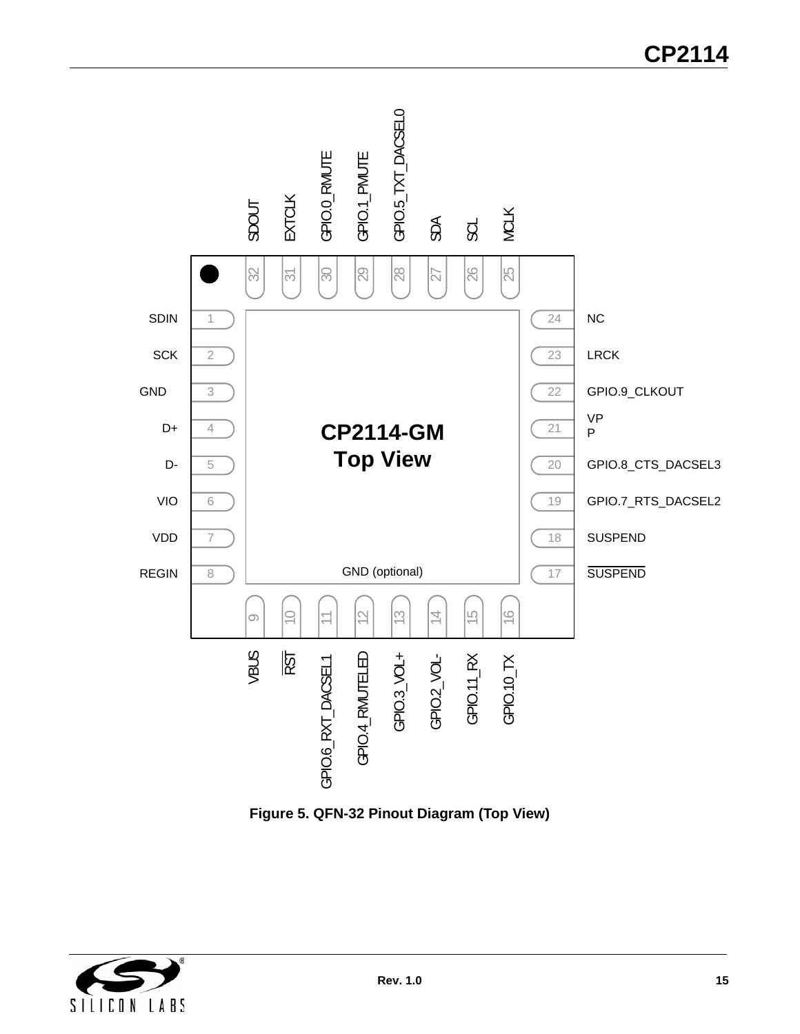

**Figure 5. QFN-32 Pinout Diagram (Top View)**

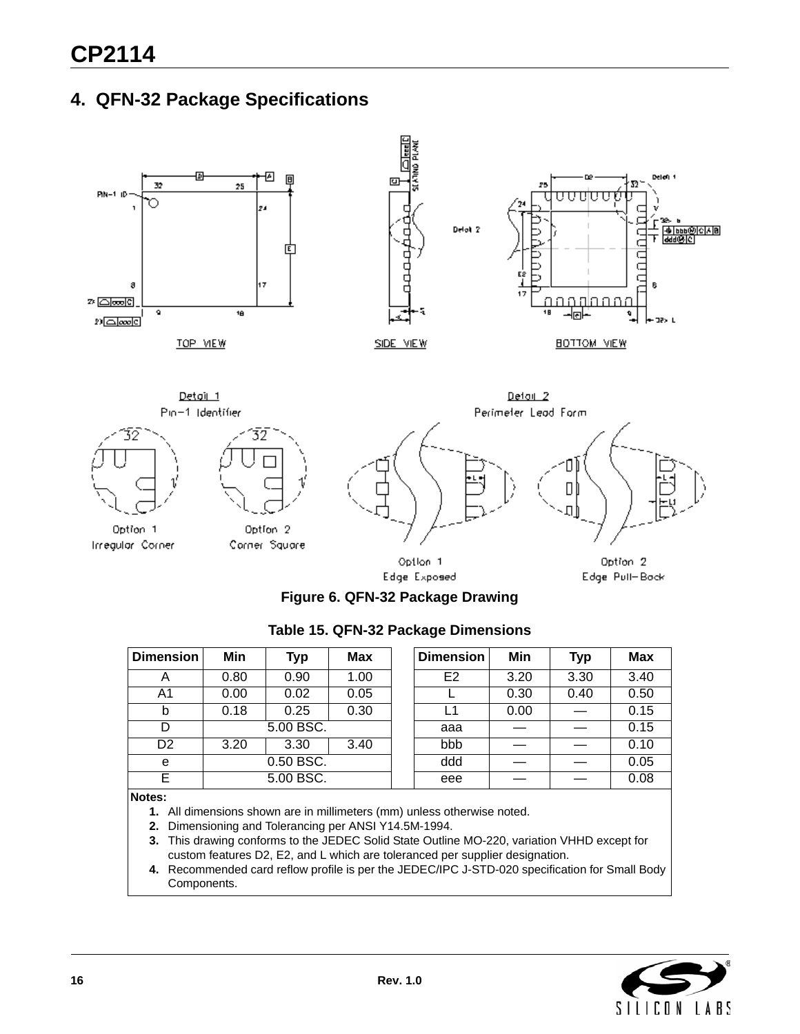# <span id="page-15-0"></span>**4. QFN-32 Package Specifications**



**Figure 6. QFN-32 Package Drawing**

| <b>Dimension</b> | Min       | Typ  | Max  |  | <b>Dimension</b> | Min  | Typ  | <b>Max</b> |
|------------------|-----------|------|------|--|------------------|------|------|------------|
| A                | 0.80      | 0.90 | 1.00 |  | E <sub>2</sub>   | 3.20 | 3.30 | 3.40       |
| A1               | 0.00      | 0.02 | 0.05 |  |                  | 0.30 | 0.40 | 0.50       |
| b                | 0.18      | 0.25 | 0.30 |  | L1               | 0.00 |      | 0.15       |
|                  | 5.00 BSC. |      |      |  | aaa              |      |      | 0.15       |
| D <sub>2</sub>   | 3.20      | 3.30 | 3.40 |  | bbb              |      |      | 0.10       |
| е                | 0.50 BSC. |      |      |  | ddd              |      |      | 0.05       |
| F.               | 5.00 BSC. |      |      |  | eee              |      |      | 0.08       |

### **Table 15. QFN-32 Package Dimensions**

**Notes:**

**1.** All dimensions shown are in millimeters (mm) unless otherwise noted.

**2.** Dimensioning and Tolerancing per ANSI Y14.5M-1994.

**3.** This drawing conforms to the JEDEC Solid State Outline MO-220, variation VHHD except for custom features D2, E2, and L which are toleranced per supplier designation.

**4.** Recommended card reflow profile is per the JEDEC/IPC J-STD-020 specification for Small Body Components.

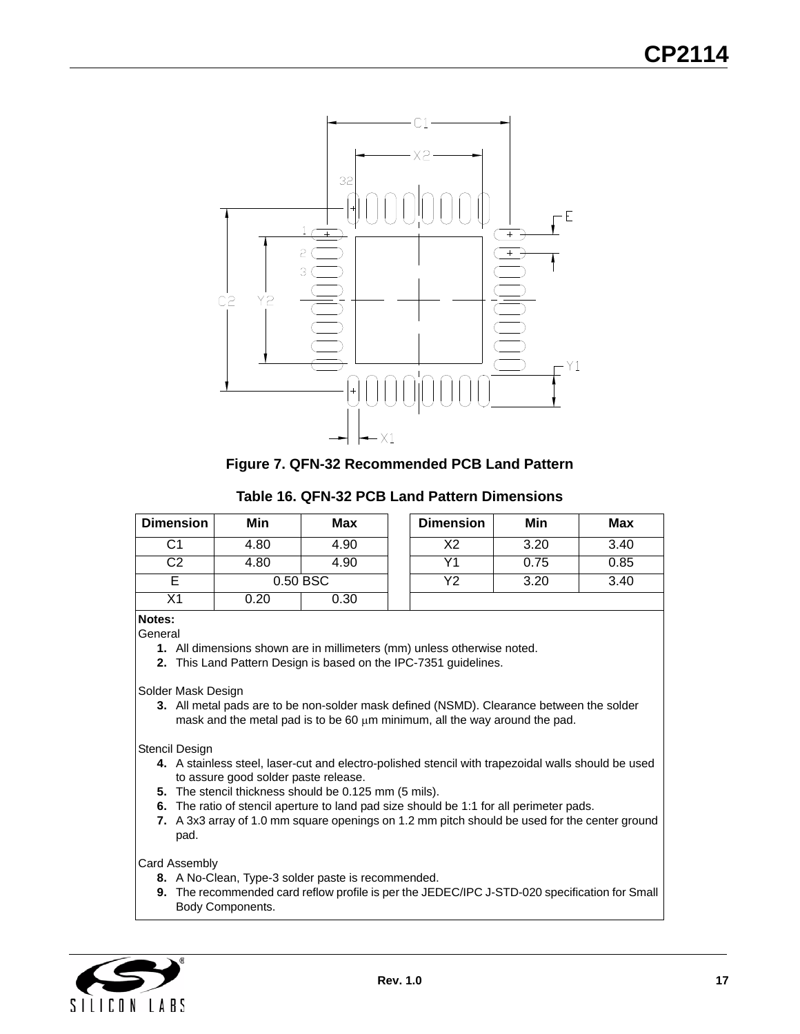

**Figure 7. QFN-32 Recommended PCB Land Pattern**

|  | Table 16. QFN-32 PCB Land Pattern Dimensions |  |  |
|--|----------------------------------------------|--|--|
|--|----------------------------------------------|--|--|

| <b>Dimension</b>                                                                                                                                                                                                                                                                                                                                                                                                                                                                                                                                                                                  | Min  | <b>Max</b> |  | <b>Dimension</b> | Min  | Max  |  |
|---------------------------------------------------------------------------------------------------------------------------------------------------------------------------------------------------------------------------------------------------------------------------------------------------------------------------------------------------------------------------------------------------------------------------------------------------------------------------------------------------------------------------------------------------------------------------------------------------|------|------------|--|------------------|------|------|--|
| $\overline{C1}$                                                                                                                                                                                                                                                                                                                                                                                                                                                                                                                                                                                   | 4.80 | 4.90       |  | X <sub>2</sub>   | 3.20 | 3.40 |  |
| C <sub>2</sub>                                                                                                                                                                                                                                                                                                                                                                                                                                                                                                                                                                                    | 4.80 | 4.90       |  | Y1               | 0.75 | 0.85 |  |
| Е                                                                                                                                                                                                                                                                                                                                                                                                                                                                                                                                                                                                 |      | 0.50 BSC   |  | Y2               | 3.20 | 3.40 |  |
| X <sub>1</sub>                                                                                                                                                                                                                                                                                                                                                                                                                                                                                                                                                                                    | 0.20 | 0.30       |  |                  |      |      |  |
| Notes:<br>General<br>1. All dimensions shown are in millimeters (mm) unless otherwise noted.<br>2. This Land Pattern Design is based on the IPC-7351 guidelines.<br>Solder Mask Design<br>3. All metal pads are to be non-solder mask defined (NSMD). Clearance between the solder<br>mask and the metal pad is to be 60 $\mu$ m minimum, all the way around the pad.                                                                                                                                                                                                                             |      |            |  |                  |      |      |  |
| Stencil Design<br>4. A stainless steel, laser-cut and electro-polished stencil with trapezoidal walls should be used<br>to assure good solder paste release.<br>5. The stencil thickness should be 0.125 mm (5 mils).<br>6. The ratio of stencil aperture to land pad size should be 1:1 for all perimeter pads.<br>7. A 3x3 array of 1.0 mm square openings on 1.2 mm pitch should be used for the center ground<br>pad.<br>Card Assembly<br>8. A No-Clean, Type-3 solder paste is recommended.<br>9. The recommended card reflow profile is per the JEDEC/IPC J-STD-020 specification for Small |      |            |  |                  |      |      |  |

Body Components.

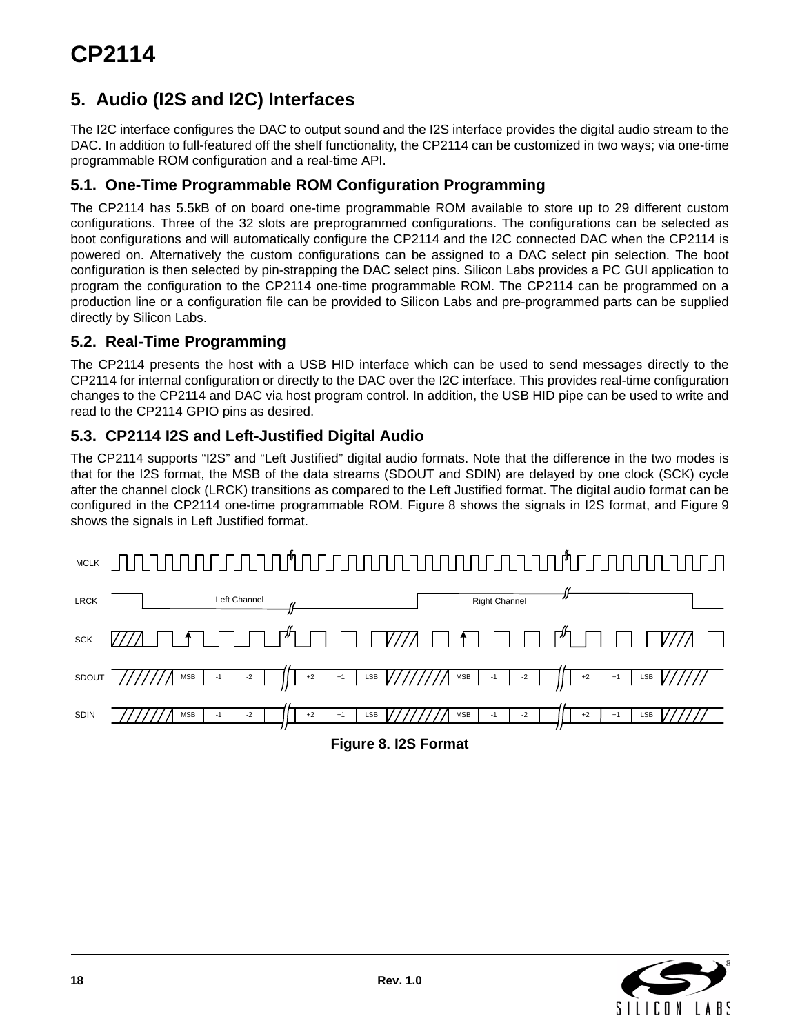# <span id="page-17-0"></span>**5. Audio (I2S and I2C) Interfaces**

The I2C interface configures the DAC to output sound and the I2S interface provides the digital audio stream to the DAC. In addition to full-featured off the shelf functionality, the CP2114 can be customized in two ways; via one-time programmable ROM configuration and a real-time API.

#### <span id="page-17-1"></span>**5.1. One-Time Programmable ROM Configuration Programming**

The CP2114 has 5.5kB of on board one-time programmable ROM available to store up to 29 different custom configurations. Three of the 32 slots are preprogrammed configurations. The configurations can be selected as boot configurations and will automatically configure the CP2114 and the I2C connected DAC when the CP2114 is powered on. Alternatively the custom configurations can be assigned to a DAC select pin selection. The boot configuration is then selected by pin-strapping the DAC select pins. Silicon Labs provides a PC GUI application to program the configuration to the CP2114 one-time programmable ROM. The CP2114 can be programmed on a production line or a configuration file can be provided to Silicon Labs and pre-programmed parts can be supplied directly by Silicon Labs.

#### <span id="page-17-2"></span>**5.2. Real-Time Programming**

The CP2114 presents the host with a USB HID interface which can be used to send messages directly to the CP2114 for internal configuration or directly to the DAC over the I2C interface. This provides real-time configuration changes to the CP2114 and DAC via host program control. In addition, the USB HID pipe can be used to write and read to the CP2114 GPIO pins as desired.

#### <span id="page-17-3"></span>**5.3. CP2114 I2S and Left-Justified Digital Audio**

The CP2114 supports "I2S" and "Left Justified" digital audio formats. Note that the difference in the two modes is that for the I2S format, the MSB of the data streams (SDOUT and SDIN) are delayed by one clock (SCK) cycle after the channel clock (LRCK) transitions as compared to the Left Justified format. The digital audio format can be configured in the CP2114 one-time programmable ROM. [Figure 8](#page-17-4) shows the signals in I2S format, and [Figure 9](#page-18-1) shows the signals in Left Justified format.

<span id="page-17-4"></span>

**Figure 8. I2S Format**

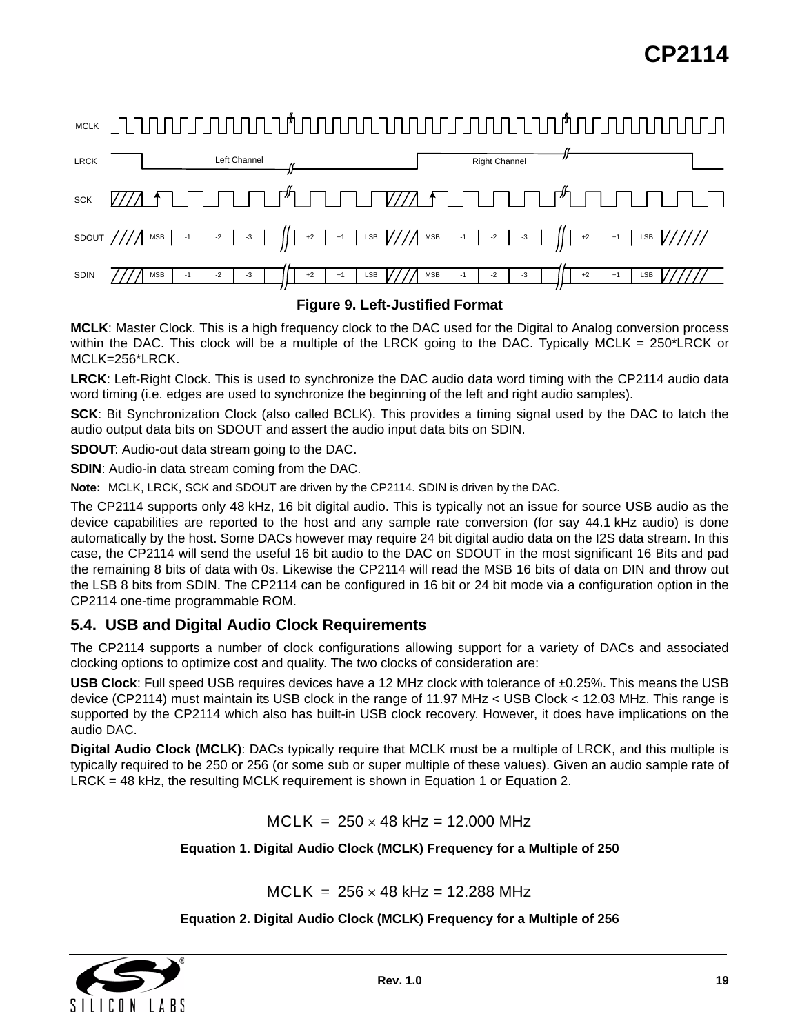| <b>MCLK</b> |                                                                                                                                                                                                                                                                                                                                                                                                                                                         |
|-------------|---------------------------------------------------------------------------------------------------------------------------------------------------------------------------------------------------------------------------------------------------------------------------------------------------------------------------------------------------------------------------------------------------------------------------------------------------------|
| <b>LRCK</b> | <b>Right Channel</b><br>Left Channel                                                                                                                                                                                                                                                                                                                                                                                                                    |
| SCK         | $\mathbb{Z} \mathbb{Z} \mathbb{Z} \oplus \mathbb{Z} \oplus \mathbb{Z} \oplus \mathbb{Z} \oplus \mathbb{Z} \oplus \mathbb{Z} \oplus \mathbb{Z} \oplus \mathbb{Z} \oplus \mathbb{Z} \oplus \mathbb{Z} \oplus \mathbb{Z} \oplus \mathbb{Z} \oplus \mathbb{Z} \oplus \mathbb{Z} \oplus \mathbb{Z} \oplus \mathbb{Z} \oplus \mathbb{Z} \oplus \mathbb{Z} \oplus \mathbb{Z} \oplus \mathbb{Z} \oplus \mathbb{Z} \oplus \mathbb{Z} \oplus \mathbb{Z} \oplus \$ |
| SDOUT       | $\left \left \right $ +2 $\left $ +1 $\right $ LSB $\left \left  \right  \right $ MSB $\left $ -1 $\left $ -2 $\right $ -3<br>$1/$ MSB<br>$-1$ $-2$ $-3$<br>LSB                                                                                                                                                                                                                                                                                         |
| <b>SDIN</b> | $\begin{array}{ c c c c c c c c c } \hline \end{array}$ LSB $\begin{array}{ c c c c c c c c } \hline \end{array}$ MSB $\begin{array}{ c c c c c c } \hline \end{array}$ -1 $\begin{array}{ c c c c c c c c } \hline \end{array}$<br>$-3$<br>LSB<br>MSB<br>$-3$<br>$+1$                                                                                                                                                                                  |

#### **Figure 9. Left-Justified Format**

<span id="page-18-1"></span>**MCLK**: Master Clock. This is a high frequency clock to the DAC used for the Digital to Analog conversion process within the DAC. This clock will be a multiple of the LRCK going to the DAC. Typically MCLK = 250\*LRCK or MCLK=256\*LRCK.

**LRCK**: Left-Right Clock. This is used to synchronize the DAC audio data word timing with the CP2114 audio data word timing (i.e. edges are used to synchronize the beginning of the left and right audio samples).

**SCK**: Bit Synchronization Clock (also called BCLK). This provides a timing signal used by the DAC to latch the audio output data bits on SDOUT and assert the audio input data bits on SDIN.

**SDOUT**: Audio-out data stream going to the DAC.

**SDIN**: Audio-in data stream coming from the DAC.

**Note:** MCLK, LRCK, SCK and SDOUT are driven by the CP2114. SDIN is driven by the DAC.

The CP2114 supports only 48 kHz, 16 bit digital audio. This is typically not an issue for source USB audio as the device capabilities are reported to the host and any sample rate conversion (for say 44.1 kHz audio) is done automatically by the host. Some DACs however may require 24 bit digital audio data on the I2S data stream. In this case, the CP2114 will send the useful 16 bit audio to the DAC on SDOUT in the most significant 16 Bits and pad the remaining 8 bits of data with 0s. Likewise the CP2114 will read the MSB 16 bits of data on DIN and throw out the LSB 8 bits from SDIN. The CP2114 can be configured in 16 bit or 24 bit mode via a configuration option in the CP2114 one-time programmable ROM.

#### <span id="page-18-0"></span>**5.4. USB and Digital Audio Clock Requirements**

The CP2114 supports a number of clock configurations allowing support for a variety of DACs and associated clocking options to optimize cost and quality. The two clocks of consideration are:

**USB Clock**: Full speed USB requires devices have a 12 MHz clock with tolerance of ±0.25%. This means the USB device (CP2114) must maintain its USB clock in the range of 11.97 MHz < USB Clock < 12.03 MHz. This range is supported by the CP2114 which also has built-in USB clock recovery. However, it does have implications on the audio DAC.

<span id="page-18-2"></span>**Digital Audio Clock (MCLK)**: DACs typically require that MCLK must be a multiple of LRCK, and this multiple is typically required to be 250 or 256 (or some sub or super multiple of these values). Given an audio sample rate of LRCK = 48 kHz, the resulting MCLK requirement is shown in [Equation 1](#page-18-2) or [Equation 2.](#page-18-3)

 $MCLK = 250 \times 48$  kHz = 12.000 MHz

#### **Equation 1. Digital Audio Clock (MCLK) Frequency for a Multiple of 250**

#### $MCLK = 256 \times 48$  kHz = 12.288 MHz

#### **Equation 2. Digital Audio Clock (MCLK) Frequency for a Multiple of 256**

<span id="page-18-3"></span>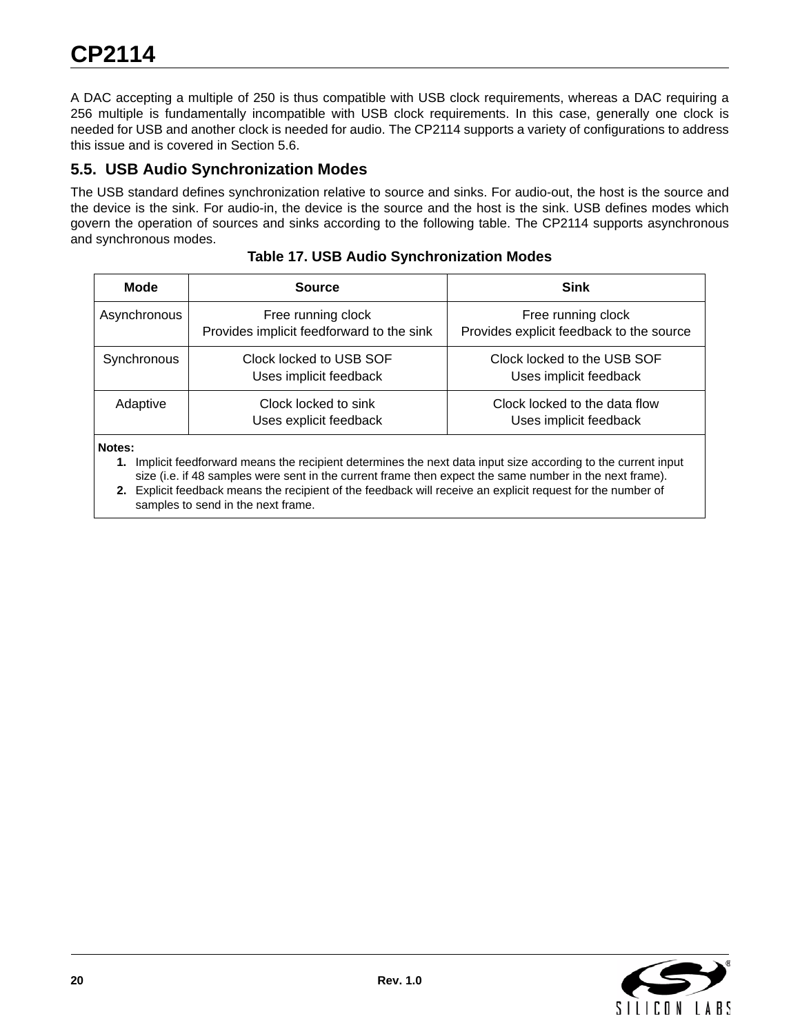A DAC accepting a multiple of 250 is thus compatible with USB clock requirements, whereas a DAC requiring a 256 multiple is fundamentally incompatible with USB clock requirements. In this case, generally one clock is needed for USB and another clock is needed for audio. The CP2114 supports a variety of configurations to address this issue and is covered in [Section 5.6.](#page-20-0)

### <span id="page-19-0"></span>**5.5. USB Audio Synchronization Modes**

The USB standard defines synchronization relative to source and sinks. For audio-out, the host is the source and the device is the sink. For audio-in, the device is the source and the host is the sink. USB defines modes which govern the operation of sources and sinks according to the following table. The CP2114 supports asynchronous and synchronous modes.

| Mode         | <b>Source</b>                                                   | <b>Sink</b>                                                    |
|--------------|-----------------------------------------------------------------|----------------------------------------------------------------|
| Asynchronous | Free running clock<br>Provides implicit feedforward to the sink | Free running clock<br>Provides explicit feedback to the source |
| Synchronous  | Clock locked to USB SOF<br>Uses implicit feedback               | Clock locked to the USB SOF<br>Uses implicit feedback          |
| Adaptive     | Clock locked to sink<br>Uses explicit feedback                  | Clock locked to the data flow<br>Uses implicit feedback        |

#### **Table 17. USB Audio Synchronization Modes**

**Notes:**

**1.** Implicit feedforward means the recipient determines the next data input size according to the current input size (i.e. if 48 samples were sent in the current frame then expect the same number in the next frame).

**2.** Explicit feedback means the recipient of the feedback will receive an explicit request for the number of samples to send in the next frame.

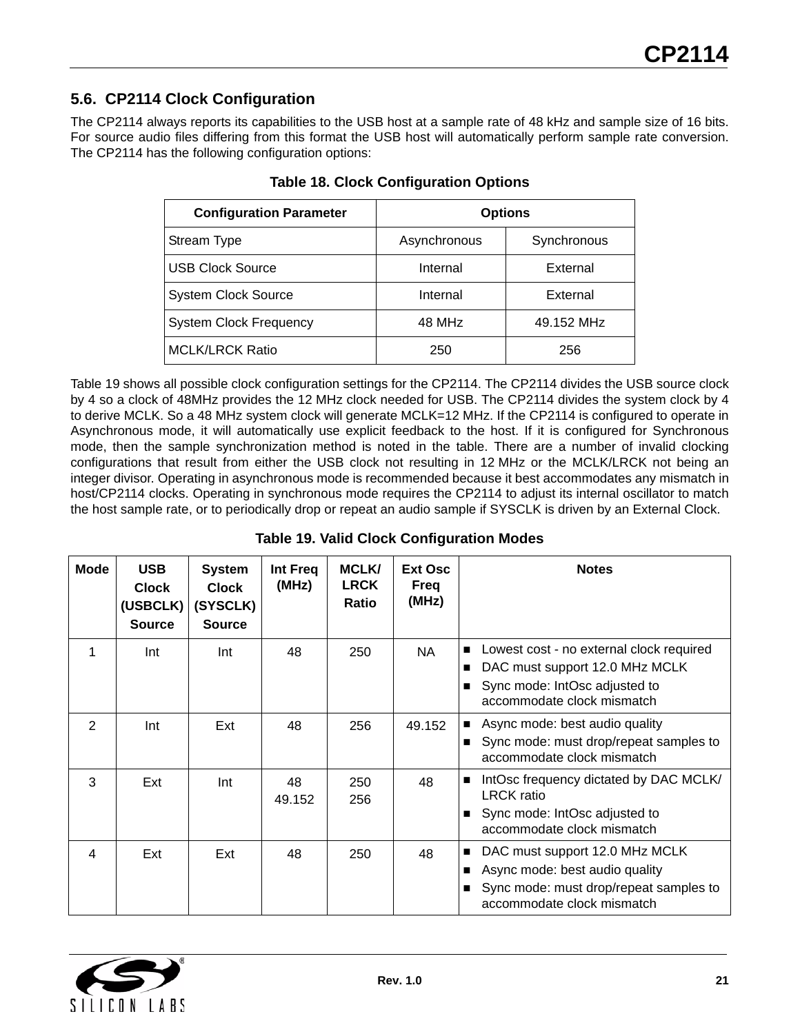# <span id="page-20-0"></span>**5.6. CP2114 Clock Configuration**

The CP2114 always reports its capabilities to the USB host at a sample rate of 48 kHz and sample size of 16 bits. For source audio files differing from this format the USB host will automatically perform sample rate conversion. The CP2114 has the following configuration options:

| <b>Configuration Parameter</b> | <b>Options</b> |             |  |
|--------------------------------|----------------|-------------|--|
| Stream Type                    | Asynchronous   | Synchronous |  |
| <b>USB Clock Source</b>        | Internal       | External    |  |
| <b>System Clock Source</b>     | Internal       | External    |  |
| <b>System Clock Frequency</b>  | 48 MHz         | 49.152 MHz  |  |
| <b>MCLK/LRCK Ratio</b>         | 250            | 256         |  |

**Table 18. Clock Configuration Options**

[Table 19](#page-20-1) shows all possible clock configuration settings for the CP2114. The CP2114 divides the USB source clock by 4 so a clock of 48MHz provides the 12 MHz clock needed for USB. The CP2114 divides the system clock by 4 to derive MCLK. So a 48 MHz system clock will generate MCLK=12 MHz. If the CP2114 is configured to operate in Asynchronous mode, it will automatically use explicit feedback to the host. If it is configured for Synchronous mode, then the sample synchronization method is noted in the table. There are a number of invalid clocking configurations that result from either the USB clock not resulting in 12 MHz or the MCLK/LRCK not being an integer divisor. Operating in asynchronous mode is recommended because it best accommodates any mismatch in host/CP2114 clocks. Operating in synchronous mode requires the CP2114 to adjust its internal oscillator to match the host sample rate, or to periodically drop or repeat an audio sample if SYSCLK is driven by an External Clock.

|  |  |  | <b>Table 19. Valid Clock Configuration Modes</b> |  |
|--|--|--|--------------------------------------------------|--|
|--|--|--|--------------------------------------------------|--|

<span id="page-20-1"></span>

| <b>Mode</b>   | <b>USB</b><br><b>Clock</b><br>(USBCLK)<br><b>Source</b> | <b>System</b><br><b>Clock</b><br>(SYSCLK)<br><b>Source</b> | Int Freq<br>(MHz) | <b>MCLK/</b><br><b>LRCK</b><br><b>Ratio</b> | Ext Osc<br>Freq<br>(MHz) | <b>Notes</b>                                                                                                                                                     |
|---------------|---------------------------------------------------------|------------------------------------------------------------|-------------------|---------------------------------------------|--------------------------|------------------------------------------------------------------------------------------------------------------------------------------------------------------|
|               | Int                                                     | Int                                                        | 48                | 250                                         | <b>NA</b>                | Lowest cost - no external clock required<br>$\blacksquare$<br>DAC must support 12.0 MHz MCLK<br>■<br>Sync mode: IntOsc adjusted to<br>accommodate clock mismatch |
| $\mathcal{P}$ | Int                                                     | Ext                                                        | 48                | 256                                         | 49.152                   | Async mode: best audio quality<br>Sync mode: must drop/repeat samples to<br>accommodate clock mismatch                                                           |
| 3             | Ext                                                     | Int                                                        | 48<br>49.152      | 250<br>256                                  | 48                       | IntOsc frequency dictated by DAC MCLK/<br>п<br><b>LRCK</b> ratio<br>Sync mode: IntOsc adjusted to<br>accommodate clock mismatch                                  |
| 4             | Ext                                                     | Ext                                                        | 48                | 250                                         | 48                       | DAC must support 12.0 MHz MCLK<br>п<br>Async mode: best audio quality<br>Sync mode: must drop/repeat samples to<br>accommodate clock mismatch                    |

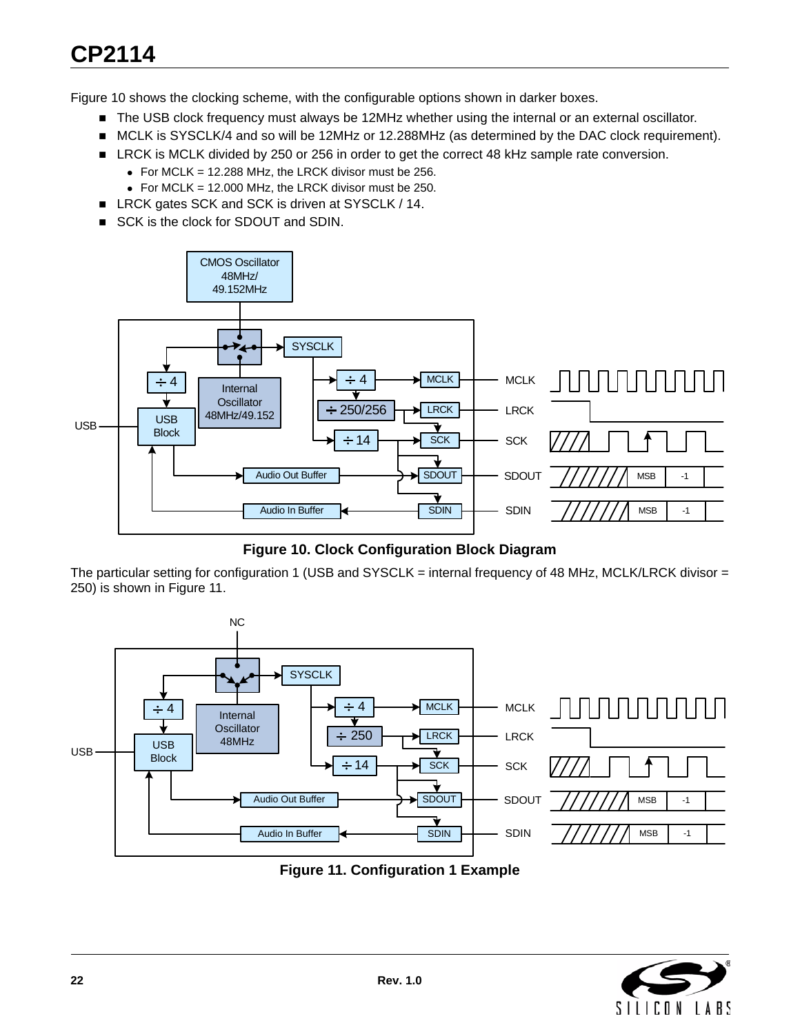# **CP2114**

[Figure 10](#page-21-0) shows the clocking scheme, with the configurable options shown in darker boxes.

- The USB clock frequency must always be 12MHz whether using the internal or an external oscillator.
- MCLK is SYSCLK/4 and so will be 12MHz or 12.288MHz (as determined by the DAC clock requirement).
- E LRCK is MCLK divided by 250 or 256 in order to get the correct 48 kHz sample rate conversion.
	- $\bullet$  For MCLK = 12.288 MHz, the LRCK divisor must be 256.
	- For MCLK = 12.000 MHz, the LRCK divisor must be 250.
- LRCK gates SCK and SCK is driven at SYSCLK / 14.
- SCK is the clock for SDOUT and SDIN.



#### **Figure 10. Clock Configuration Block Diagram**

<span id="page-21-0"></span>The particular setting for configuration 1 (USB and SYSCLK = internal frequency of 48 MHz, MCLK/LRCK divisor = 250) is shown in [Figure 11](#page-21-1).



<span id="page-21-1"></span>**Figure 11. Configuration 1 Example**

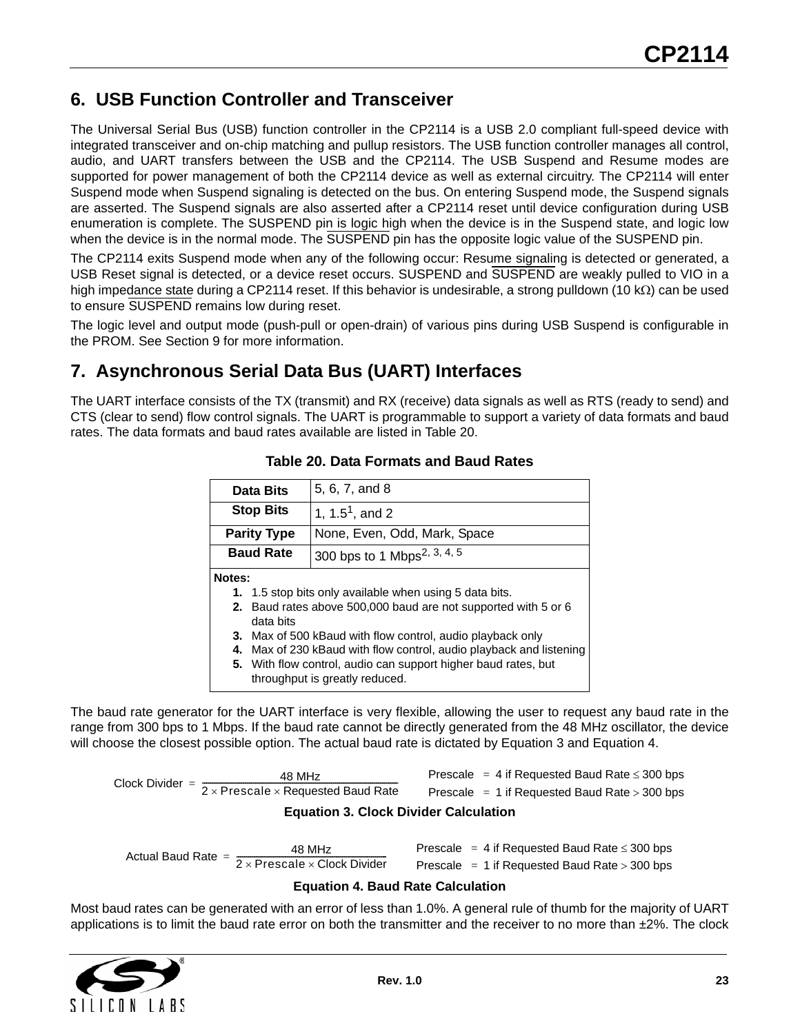# <span id="page-22-0"></span>**6. USB Function Controller and Transceiver**

The Universal Serial Bus (USB) function controller in the CP2114 is a USB 2.0 compliant full-speed device with integrated transceiver and on-chip matching and pullup resistors. The USB function controller manages all control, audio, and UART transfers between the USB and the CP2114. The USB Suspend and Resume modes are supported for power management of both the CP2114 device as well as external circuitry. The CP2114 will enter Suspend mode when Suspend signaling is detected on the bus. On entering Suspend mode, the Suspend signals are asserted. The Suspend signals are also asserted after a CP2114 reset until device configuration during USB enumeration is complete. The SUSPEND pin is logic high when the device is in the Suspend state, and logic low when the device is in the normal mode. The SUSPEND pin has the opposite logic value of the SUSPEND pin.

The CP2114 exits Suspend mode when any of the following occur: Resume signaling is detected or generated, a USB Reset signal is detected, or a device reset occurs. SUSPEND and SUSPEND are weakly pulled to VIO in a high impedance state during a CP2114 reset. If this behavior is undesirable, a strong pulldown (10 k $\Omega$ ) can be used to ensure SUSPEND remains low during reset.

The logic level and output mode (push-pull or open-drain) of various pins during USB Suspend is configurable in the PROM. See [Section 9](#page-27-0) for more information.

# <span id="page-22-1"></span>**7. Asynchronous Serial Data Bus (UART) Interfaces**

<span id="page-22-2"></span>The UART interface consists of the TX (transmit) and RX (receive) data signals as well as RTS (ready to send) and CTS (clear to send) flow control signals. The UART is programmable to support a variety of data formats and baud rates. The data formats and baud rates available are listed in [Table 20](#page-22-2).

| Data Bits                                                   | 5, 6, 7, and 8                                                                                                                                                                                                                                                                                                                                                            |  |  |  |  |  |
|-------------------------------------------------------------|---------------------------------------------------------------------------------------------------------------------------------------------------------------------------------------------------------------------------------------------------------------------------------------------------------------------------------------------------------------------------|--|--|--|--|--|
| <b>Stop Bits</b>                                            | 1, 1.5 <sup>1</sup> , and 2                                                                                                                                                                                                                                                                                                                                               |  |  |  |  |  |
| <b>Parity Type</b>                                          | None, Even, Odd, Mark, Space                                                                                                                                                                                                                                                                                                                                              |  |  |  |  |  |
| 300 bps to 1 Mbps <sup>2, 3, 4, 5</sup><br><b>Baud Rate</b> |                                                                                                                                                                                                                                                                                                                                                                           |  |  |  |  |  |
| Notes:<br>data bits                                         | 1. 1.5 stop bits only available when using 5 data bits.<br>2. Baud rates above 500,000 baud are not supported with 5 or 6<br><b>3.</b> Max of 500 kBaud with flow control, audio playback only<br>4. Max of 230 kBaud with flow control, audio playback and listening<br>5. With flow control, audio can support higher baud rates, but<br>throughput is greatly reduced. |  |  |  |  |  |

#### **Table 20. Data Formats and Baud Rates**

The baud rate generator for the UART interface is very flexible, allowing the user to request any baud rate in the range from 300 bps to 1 Mbps. If the baud rate cannot be directly generated from the 48 MHz oscillator, the device will choose the closest possible option. The actual baud rate is dictated by [Equation 3](#page-22-3) and [Equation 4.](#page-22-4)

<span id="page-22-3"></span>Clock Divider = 
$$
\frac{48 \text{ MHz}}{2 \times \text{Prescale} \times \text{Required Baud Rate}}
$$

\nPrescale = 4 if Required Baud Rate ≤ 300 bps  
\n**Equation 3. Clock Divide Calculation**

\nActual Baud Rate =  $\frac{48 \text{ MHz}}{2 \times \text{Prescale} \times \text{Clock Divide Calculation}}$ 

\nPrescale = 4 if Required Baud Rate ≤ 300 bps  
\nPresscale = 4 if Required Baud Rate ≤ 300 bps  
\nPresscale = 4 if Required Baud Rate ≤ 300 bps  
\nPresscale = 1 if Required Baud Rate ≤ 300 bps  
\nPresscale = 1 if Required Baud Rate ≤ 300 bps  
\nPresscale = 1 if Required Baud Rate ≤ 300 bps  
\nPresscale = 1 if Required Baud Rate ≤ 300 bps  
\nPresscale = 1 if Required Baud Rate > 300 bps  
\nPresscale = 1 if Required Baud Rate > 300 bps  
\nPresscale = 1 if Required Baud Rate > 300 bps  
\nPresscale = 1 if Required Baud Rate > 300 bps  
\nPresscale = 1 if Required Baud Rate > 300 bps  
\nPresscale = 1 if Required Baud Rate > 300 bps  
\nPresscale = 1 if Required Baud Rate > 300 bps  
\nPresscale = 1 if Required Baud Rate > 300 bps  
\nPresscale = 1 if Required Baud Rate > 300 bps  
\nPresslabelRate = 1 if Required Baud Rate > 300 bps

#### **Equation 4. Baud Rate Calculation**

<span id="page-22-4"></span>Most baud rates can be generated with an error of less than 1.0%. A general rule of thumb for the majority of UART applications is to limit the baud rate error on both the transmitter and the receiver to no more than  $\pm 2\%$ . The clock

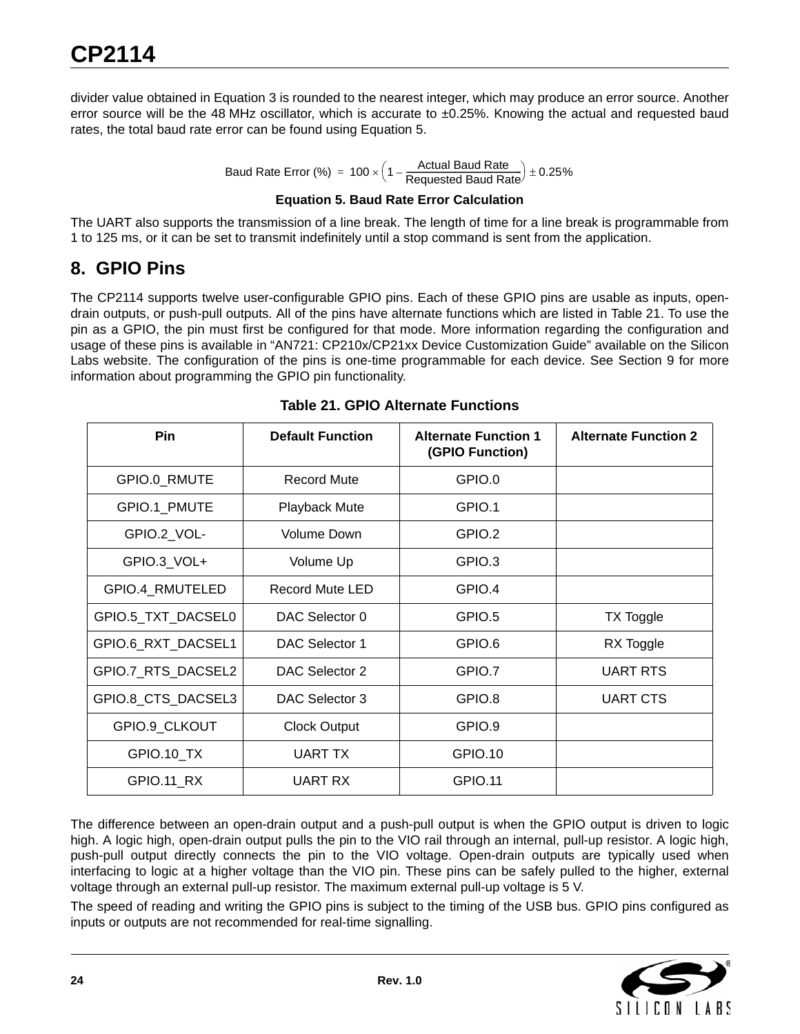divider value obtained in [Equation 3](#page-22-3) is rounded to the nearest integer, which may produce an error source. Another error source will be the 48 MHz oscillator, which is accurate to ±0.25%. Knowing the actual and requested baud rates, the total baud rate error can be found using [Equation 5.](#page-23-1)

Baud Rate Error (%) =  $100 \times \left( 1 - \frac{\text{Actual Baud Rate}}{\text{Required Baud Rate}} \right) \pm 0.25\%$ 

#### **Equation 5. Baud Rate Error Calculation**

<span id="page-23-1"></span>The UART also supports the transmission of a line break. The length of time for a line break is programmable from 1 to 125 ms, or it can be set to transmit indefinitely until a stop command is sent from the application.

# <span id="page-23-0"></span>**8. GPIO Pins**

The CP2114 supports twelve user-configurable GPIO pins. Each of these GPIO pins are usable as inputs, opendrain outputs, or push-pull outputs. All of the pins have alternate functions which are listed in [Table 21.](#page-23-2) To use the pin as a GPIO, the pin must first be configured for that mode. More information regarding the configuration and usage of these pins is available in "AN721: CP210x/CP21xx Device Customization Guide" available on the Silicon Labs website. The configuration of the pins is one-time programmable for each device. See [Section 9](#page-27-0) for more information about programming the GPIO pin functionality.

<span id="page-23-2"></span>

| <b>Pin</b>         | <b>Default Function</b> | <b>Alternate Function 1</b><br>(GPIO Function) | <b>Alternate Function 2</b> |
|--------------------|-------------------------|------------------------------------------------|-----------------------------|
| GPIO.0_RMUTE       | <b>Record Mute</b>      | GPIO.0                                         |                             |
| GPIO.1_PMUTE       | Playback Mute           | GPIO.1                                         |                             |
| GPIO.2_VOL-        | Volume Down             | GPIO.2                                         |                             |
| GPIO.3_VOL+        | Volume Up               | GPIO.3                                         |                             |
| GPIO.4 RMUTELED    | <b>Record Mute LED</b>  | GPIO.4                                         |                             |
| GPIO.5_TXT_DACSEL0 | DAC Selector 0          | GPIO.5                                         | TX Toggle                   |
| GPIO.6_RXT_DACSEL1 | DAC Selector 1          | GPIO.6                                         | RX Toggle                   |
| GPIO.7_RTS_DACSEL2 | DAC Selector 2          | GPIO.7                                         | <b>UART RTS</b>             |
| GPIO.8_CTS_DACSEL3 | DAC Selector 3          | GPIO.8                                         | UART CTS                    |
| GPIO.9_CLKOUT      | <b>Clock Output</b>     | GPIO.9                                         |                             |
| GPIO.10_TX         | UART TX                 | GPIO.10                                        |                             |
| GPIO.11_RX         | UART RX                 | GPIO.11                                        |                             |

#### **Table 21. GPIO Alternate Functions**

The difference between an open-drain output and a push-pull output is when the GPIO output is driven to logic high. A logic high, open-drain output pulls the pin to the VIO rail through an internal, pull-up resistor. A logic high, push-pull output directly connects the pin to the VIO voltage. Open-drain outputs are typically used when interfacing to logic at a higher voltage than the VIO pin. These pins can be safely pulled to the higher, external voltage through an external pull-up resistor. The maximum external pull-up voltage is 5 V.

The speed of reading and writing the GPIO pins is subject to the timing of the USB bus. GPIO pins configured as inputs or outputs are not recommended for real-time signalling.

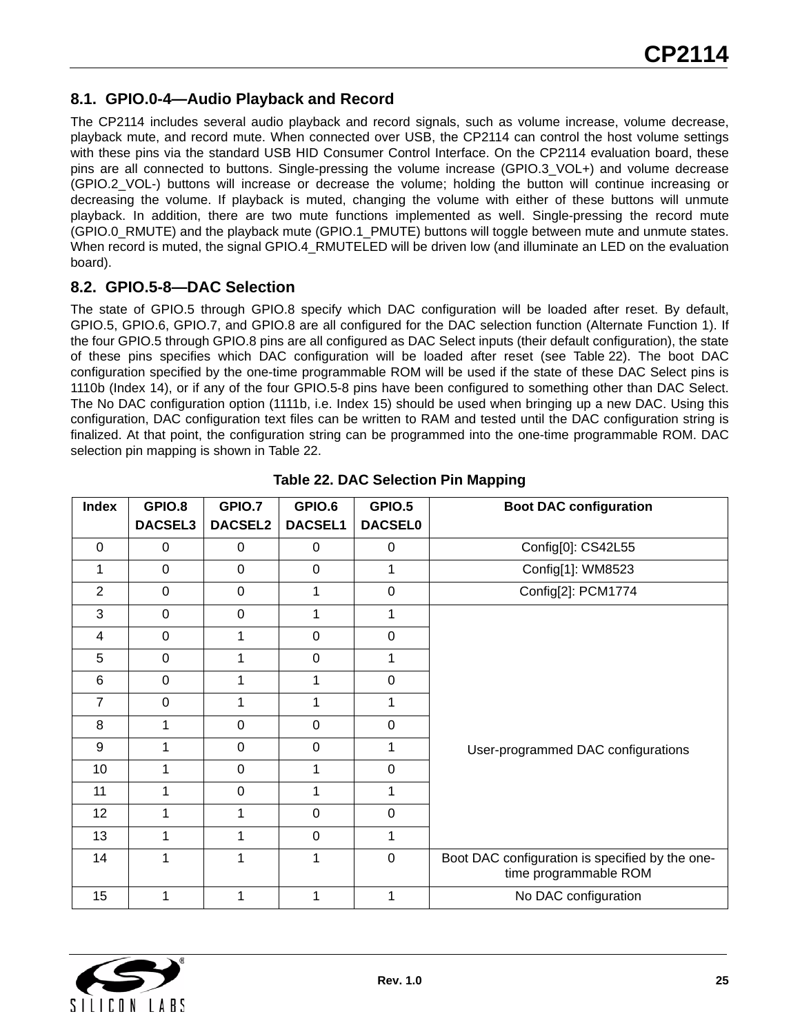### <span id="page-24-0"></span>**8.1. GPIO.0-4—Audio Playback and Record**

The CP2114 includes several audio playback and record signals, such as volume increase, volume decrease, playback mute, and record mute. When connected over USB, the CP2114 can control the host volume settings with these pins via the standard USB HID Consumer Control Interface. On the CP2114 evaluation board, these pins are all connected to buttons. Single-pressing the volume increase (GPIO.3\_VOL+) and volume decrease (GPIO.2\_VOL-) buttons will increase or decrease the volume; holding the button will continue increasing or decreasing the volume. If playback is muted, changing the volume with either of these buttons will unmute playback. In addition, there are two mute functions implemented as well. Single-pressing the record mute (GPIO.0\_RMUTE) and the playback mute (GPIO.1\_PMUTE) buttons will toggle between mute and unmute states. When record is muted, the signal GPIO.4 RMUTELED will be driven low (and illuminate an LED on the evaluation board).

#### <span id="page-24-1"></span>**8.2. GPIO.5-8—DAC Selection**

The state of GPIO.5 through GPIO.8 specify which DAC configuration will be loaded after reset. By default, GPIO.5, GPIO.6, GPIO.7, and GPIO.8 are all configured for the DAC selection function (Alternate Function 1). If the four GPIO.5 through GPIO.8 pins are all configured as DAC Select inputs (their default configuration), the state of these pins specifies which DAC configuration will be loaded after reset (see [Table 22\)](#page-24-2). The boot DAC configuration specified by the one-time programmable ROM will be used if the state of these DAC Select pins is 1110b (Index 14), or if any of the four GPIO.5-8 pins have been configured to something other than DAC Select. The No DAC configuration option (1111b, i.e. Index 15) should be used when bringing up a new DAC. Using this configuration, DAC configuration text files can be written to RAM and tested until the DAC configuration string is finalized. At that point, the configuration string can be programmed into the one-time programmable ROM. DAC selection pin mapping is shown in [Table 22](#page-24-2).

<span id="page-24-2"></span>

| <b>Index</b>   | GPIO.8         | GPIO.7         | GPIO.6           | GPIO.5         | <b>Boot DAC configuration</b>                                            |
|----------------|----------------|----------------|------------------|----------------|--------------------------------------------------------------------------|
|                | <b>DACSEL3</b> | <b>DACSEL2</b> | <b>DACSEL1</b>   | <b>DACSEL0</b> |                                                                          |
| $\overline{0}$ | $\Omega$       | 0              | 0                | $\mathbf 0$    | Config[0]: CS42L55                                                       |
| 1              | $\mathbf 0$    | $\mathbf 0$    | $\mathbf 0$      | 1              | Config[1]: WM8523                                                        |
| $\overline{2}$ | $\mathbf 0$    | $\overline{0}$ | 1                | $\mathbf 0$    | Config[2]: PCM1774                                                       |
| 3              | $\mathbf 0$    | $\overline{0}$ | 1                | 1              |                                                                          |
| 4              | $\mathbf 0$    |                | $\mathbf 0$      | $\mathbf 0$    |                                                                          |
| 5              | 0              |                | $\mathbf 0$      | 1              |                                                                          |
| 6              | $\Omega$       |                | 1                | $\mathbf 0$    |                                                                          |
| $\overline{7}$ | $\mathbf 0$    |                | 1                | 1              |                                                                          |
| 8              | 1              | $\mathbf 0$    | $\boldsymbol{0}$ | $\mathbf 0$    |                                                                          |
| 9              |                | 0              | $\boldsymbol{0}$ | 1              | User-programmed DAC configurations                                       |
| 10             |                | $\mathbf 0$    | 1                | $\mathbf 0$    |                                                                          |
| 11             |                | $\mathbf 0$    |                  | 1              |                                                                          |
| 12             |                |                | $\boldsymbol{0}$ | $\mathbf 0$    |                                                                          |
| 13             |                |                | $\mathbf 0$      | 1              |                                                                          |
| 14             |                |                | 1                | $\mathbf 0$    | Boot DAC configuration is specified by the one-<br>time programmable ROM |
| 15             |                | 1              | 1                | 1              | No DAC configuration                                                     |

**Table 22. DAC Selection Pin Mapping**

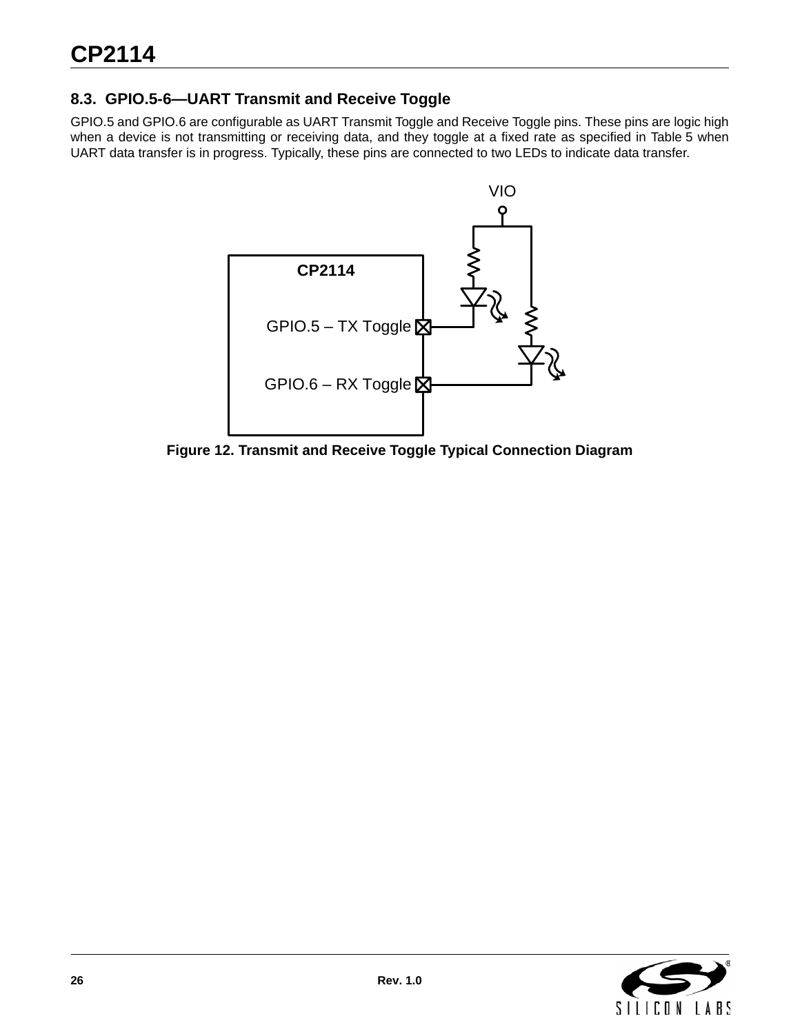# <span id="page-25-0"></span>**8.3. GPIO.5-6—UART Transmit and Receive Toggle**

GPIO.5 and GPIO.6 are configurable as UART Transmit Toggle and Receive Toggle pins. These pins are logic high when a device is not transmitting or receiving data, and they toggle at a fixed rate as specified in [Table 5](#page-6-0) when UART data transfer is in progress. Typically, these pins are connected to two LEDs to indicate data transfer.



**Figure 12. Transmit and Receive Toggle Typical Connection Diagram**

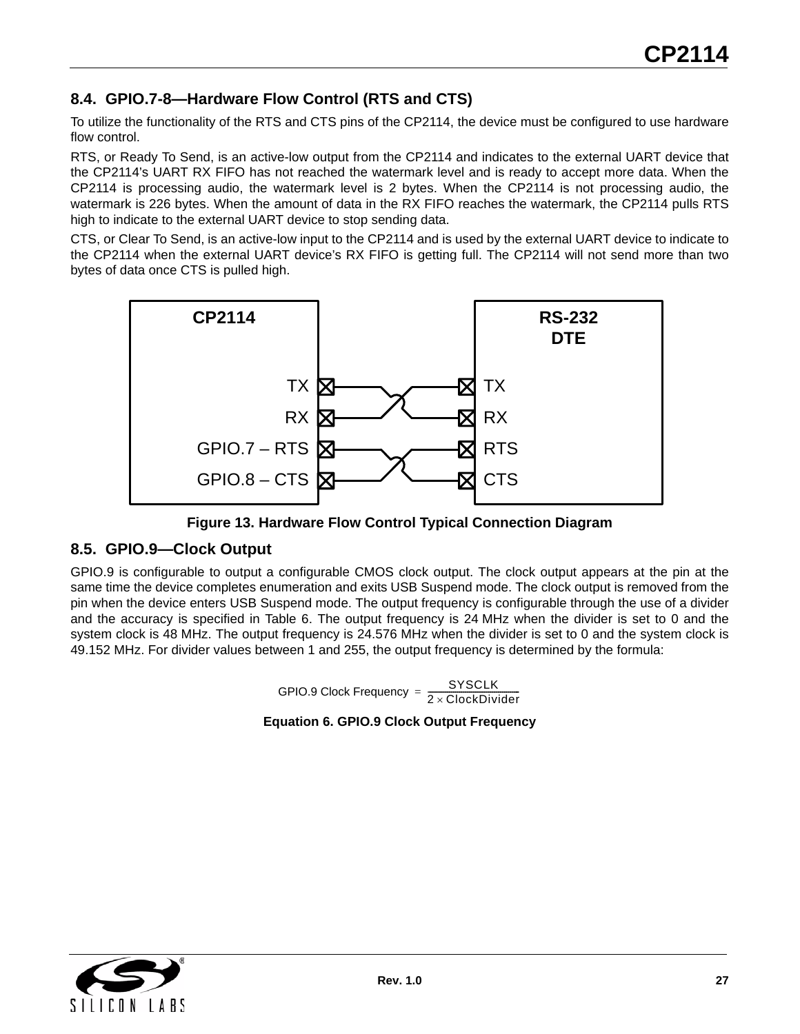# <span id="page-26-0"></span>**8.4. GPIO.7-8—Hardware Flow Control (RTS and CTS)**

To utilize the functionality of the RTS and CTS pins of the CP2114, the device must be configured to use hardware flow control.

RTS, or Ready To Send, is an active-low output from the CP2114 and indicates to the external UART device that the CP2114's UART RX FIFO has not reached the watermark level and is ready to accept more data. When the CP2114 is processing audio, the watermark level is 2 bytes. When the CP2114 is not processing audio, the watermark is 226 bytes. When the amount of data in the RX FIFO reaches the watermark, the CP2114 pulls RTS high to indicate to the external UART device to stop sending data.

CTS, or Clear To Send, is an active-low input to the CP2114 and is used by the external UART device to indicate to the CP2114 when the external UART device's RX FIFO is getting full. The CP2114 will not send more than two bytes of data once CTS is pulled high.





#### <span id="page-26-1"></span>**8.5. GPIO.9—Clock Output**

GPIO.9 is configurable to output a configurable CMOS clock output. The clock output appears at the pin at the same time the device completes enumeration and exits USB Suspend mode. The clock output is removed from the pin when the device enters USB Suspend mode. The output frequency is configurable through the use of a divider and the accuracy is specified in Table 6. The output frequency is 24 MHz when the divider is set to 0 and the system clock is 48 MHz. The output frequency is 24.576 MHz when the divider is set to 0 and the system clock is 49.152 MHz. For divider values between 1 and 255, the output frequency is determined by the formula:

 $\textsf{GPO.9} \textsf{Clock} \textsf{Frequency} = \frac{\textsf{SYSCLK}}{2 \times \textsf{ClockDivider}}$ 

#### **Equation 6. GPIO.9 Clock Output Frequency**

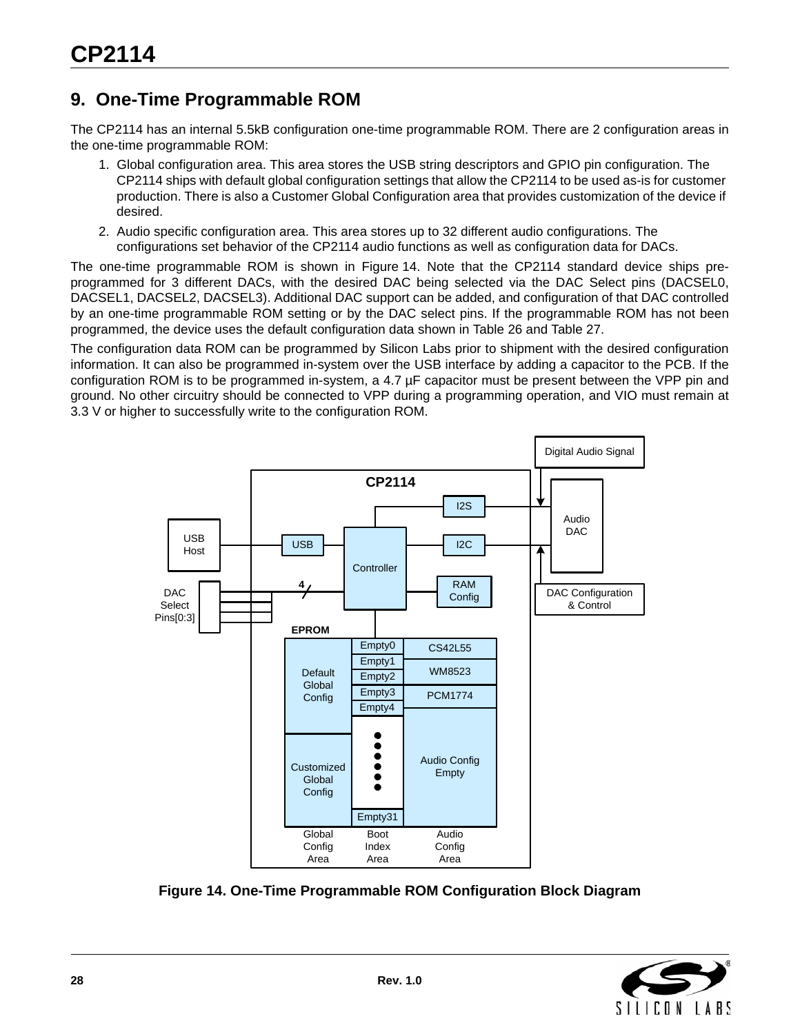# <span id="page-27-0"></span>**9. One-Time Programmable ROM**

The CP2114 has an internal 5.5kB configuration one-time programmable ROM. There are 2 configuration areas in the one-time programmable ROM:

- 1. Global configuration area. This area stores the USB string descriptors and GPIO pin configuration. The CP2114 ships with default global configuration settings that allow the CP2114 to be used as-is for customer production. There is also a Customer Global Configuration area that provides customization of the device if desired.
- 2. Audio specific configuration area. This area stores up to 32 different audio configurations. The configurations set behavior of the CP2114 audio functions as well as configuration data for DACs.

The one-time programmable ROM is shown in [Figure 14](#page-27-1). Note that the CP2114 standard device ships preprogrammed for 3 different DACs, with the desired DAC being selected via the DAC Select pins (DACSEL0, DACSEL1, DACSEL2, DACSEL3). Additional DAC support can be added, and configuration of that DAC controlled by an one-time programmable ROM setting or by the DAC select pins. If the programmable ROM has not been programmed, the device uses the default configuration data shown in [Table 26](#page-38-1) and [Table 27.](#page-38-2)

The configuration data ROM can be programmed by Silicon Labs prior to shipment with the desired configuration information. It can also be programmed in-system over the USB interface by adding a capacitor to the PCB. If the configuration ROM is to be programmed in-system, a 4.7 µF capacitor must be present between the VPP pin and ground. No other circuitry should be connected to VPP during a programming operation, and VIO must remain at 3.3 V or higher to successfully write to the configuration ROM.



<span id="page-27-1"></span>**Figure 14. One-Time Programmable ROM Configuration Block Diagram**

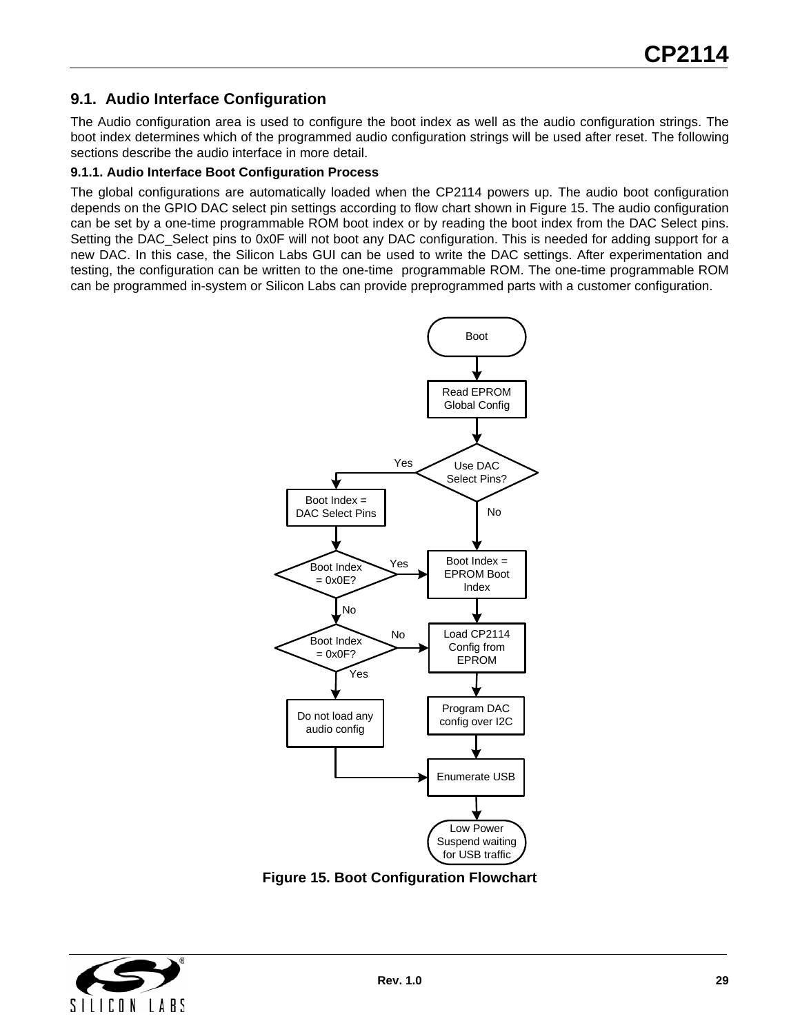### <span id="page-28-0"></span>**9.1. Audio Interface Configuration**

The Audio configuration area is used to configure the boot index as well as the audio configuration strings. The boot index determines which of the programmed audio configuration strings will be used after reset. The following sections describe the audio interface in more detail.

#### **9.1.1. Audio Interface Boot Configuration Process**

The global configurations are automatically loaded when the CP2114 powers up. The audio boot configuration depends on the GPIO DAC select pin settings according to flow chart shown in [Figure](#page-28-1) 15. The audio configuration can be set by a one-time programmable ROM boot index or by reading the boot index from the DAC Select pins. Setting the DAC\_Select pins to 0x0F will not boot any DAC configuration. This is needed for adding support for a new DAC. In this case, the Silicon Labs GUI can be used to write the DAC settings. After experimentation and testing, the configuration can be written to the one-time programmable ROM. The one-time programmable ROM can be programmed in-system or Silicon Labs can provide preprogrammed parts with a customer configuration.



**Figure 15. Boot Configuration Flowchart**

<span id="page-28-1"></span>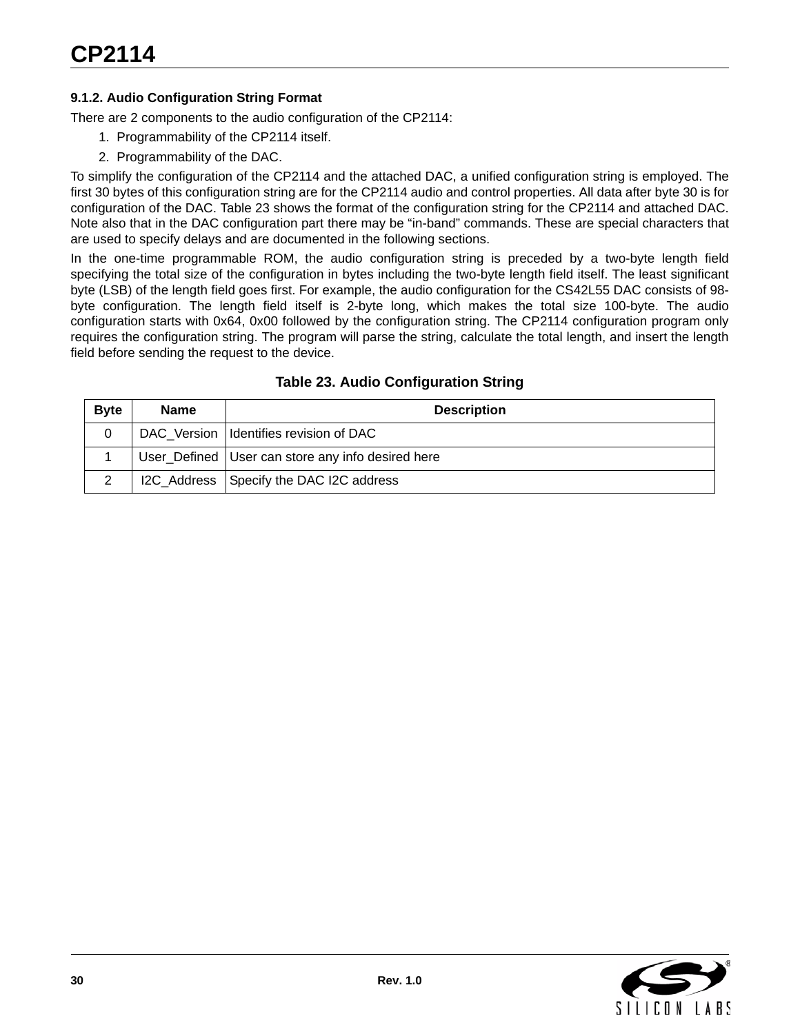#### **9.1.2. Audio Configuration String Format**

There are 2 components to the audio configuration of the CP2114:

- 1. Programmability of the CP2114 itself.
- 2. Programmability of the DAC.

To simplify the configuration of the CP2114 and the attached DAC, a unified configuration string is employed. The first 30 bytes of this configuration string are for the CP2114 audio and control properties. All data after byte 30 is for configuration of the DAC. [Table 23](#page-29-0) shows the format of the configuration string for the CP2114 and attached DAC. Note also that in the DAC configuration part there may be "in-band" commands. These are special characters that are used to specify delays and are documented in the following sections.

In the one-time programmable ROM, the audio configuration string is preceded by a two-byte length field specifying the total size of the configuration in bytes including the two-byte length field itself. The least significant byte (LSB) of the length field goes first. For example, the audio configuration for the CS42L55 DAC consists of 98 byte configuration. The length field itself is 2-byte long, which makes the total size 100-byte. The audio configuration starts with 0x64, 0x00 followed by the configuration string. The CP2114 configuration program only requires the configuration string. The program will parse the string, calculate the total length, and insert the length field before sending the request to the device.

<span id="page-29-0"></span>

| <b>Byte</b> | <b>Name</b> | <b>Description</b>                                  |
|-------------|-------------|-----------------------------------------------------|
|             |             | DAC_Version   Identifies revision of DAC            |
|             |             | User_Defined   User can store any info desired here |
|             |             | I2C_Address Specify the DAC I2C address             |

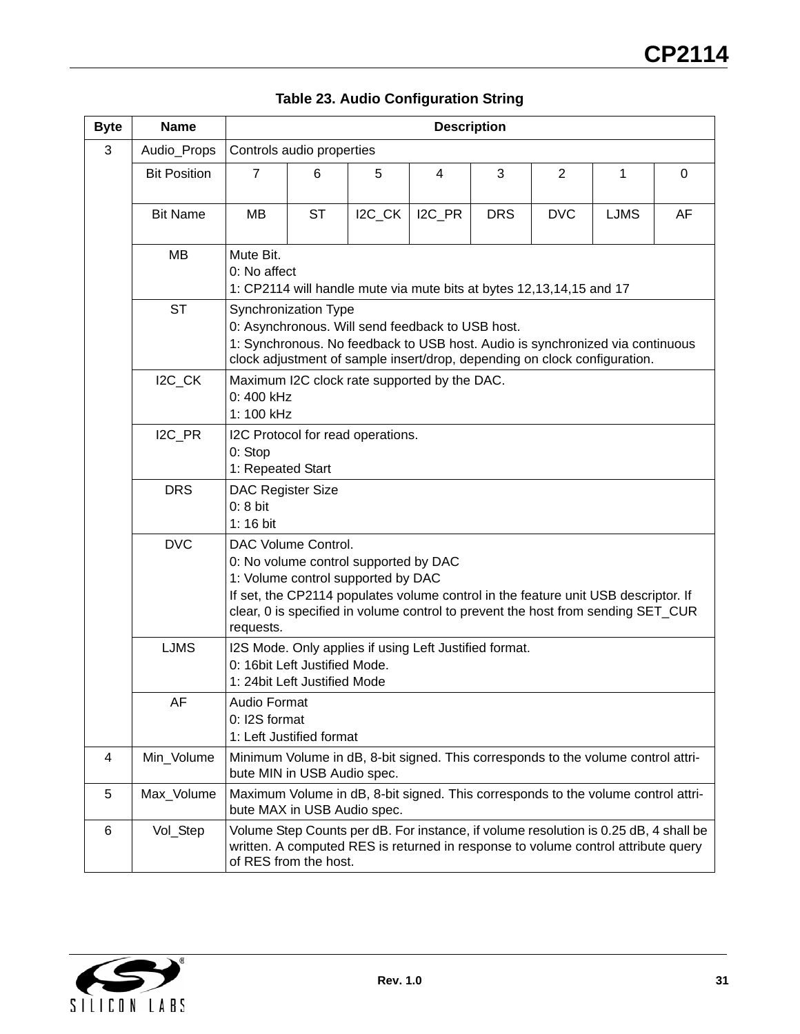| <b>Byte</b> | <b>Name</b>         |                                                                   | <b>Description</b>                                                                                                                                    |                                                                                                                                                                                                                                                       |        |            |            |              |             |  |
|-------------|---------------------|-------------------------------------------------------------------|-------------------------------------------------------------------------------------------------------------------------------------------------------|-------------------------------------------------------------------------------------------------------------------------------------------------------------------------------------------------------------------------------------------------------|--------|------------|------------|--------------|-------------|--|
| 3           | Audio_Props         |                                                                   | Controls audio properties                                                                                                                             |                                                                                                                                                                                                                                                       |        |            |            |              |             |  |
|             | <b>Bit Position</b> | 7                                                                 | 6                                                                                                                                                     | 5                                                                                                                                                                                                                                                     | 4      | 3          | 2          | $\mathbf{1}$ | $\mathbf 0$ |  |
|             | <b>Bit Name</b>     | MВ                                                                | <b>ST</b>                                                                                                                                             | I2C_CK                                                                                                                                                                                                                                                | I2C_PR | <b>DRS</b> | <b>DVC</b> | <b>LJMS</b>  | AF          |  |
|             | MВ                  | Mute Bit.                                                         | 0: No affect<br>1: CP2114 will handle mute via mute bits at bytes 12,13,14,15 and 17                                                                  |                                                                                                                                                                                                                                                       |        |            |            |              |             |  |
|             | <b>ST</b>           | Synchronization Type                                              |                                                                                                                                                       | 0: Asynchronous. Will send feedback to USB host.<br>1: Synchronous. No feedback to USB host. Audio is synchronized via continuous                                                                                                                     |        |            |            |              |             |  |
|             | I2C CK              |                                                                   | clock adjustment of sample insert/drop, depending on clock configuration.<br>Maximum I2C clock rate supported by the DAC.<br>0: 400 kHz<br>1: 100 kHz |                                                                                                                                                                                                                                                       |        |            |            |              |             |  |
|             | I2C PR              | I2C Protocol for read operations.<br>0: Stop<br>1: Repeated Start |                                                                                                                                                       |                                                                                                                                                                                                                                                       |        |            |            |              |             |  |
|             | <b>DRS</b>          | DAC Register Size<br>$0:8$ bit<br>$1:16$ bit                      |                                                                                                                                                       |                                                                                                                                                                                                                                                       |        |            |            |              |             |  |
|             | <b>DVC</b>          | DAC Volume Control.<br>requests.                                  |                                                                                                                                                       | 0: No volume control supported by DAC<br>1: Volume control supported by DAC<br>If set, the CP2114 populates volume control in the feature unit USB descriptor. If<br>clear, 0 is specified in volume control to prevent the host from sending SET_CUR |        |            |            |              |             |  |
|             | <b>LJMS</b>         | 0: 16bit Left Justified Mode.<br>1: 24bit Left Justified Mode     |                                                                                                                                                       | I2S Mode. Only applies if using Left Justified format.                                                                                                                                                                                                |        |            |            |              |             |  |
|             | AF                  | Audio Format<br>0: I2S format<br>1: Left Justified format         |                                                                                                                                                       |                                                                                                                                                                                                                                                       |        |            |            |              |             |  |
| 4           | Min_Volume          | bute MIN in USB Audio spec.                                       |                                                                                                                                                       | Minimum Volume in dB, 8-bit signed. This corresponds to the volume control attri-                                                                                                                                                                     |        |            |            |              |             |  |
| 5           | Max_Volume          | bute MAX in USB Audio spec.                                       |                                                                                                                                                       | Maximum Volume in dB, 8-bit signed. This corresponds to the volume control attri-                                                                                                                                                                     |        |            |            |              |             |  |
| 6           | Vol_Step            | of RES from the host.                                             |                                                                                                                                                       | Volume Step Counts per dB. For instance, if volume resolution is 0.25 dB, 4 shall be<br>written. A computed RES is returned in response to volume control attribute query                                                                             |        |            |            |              |             |  |

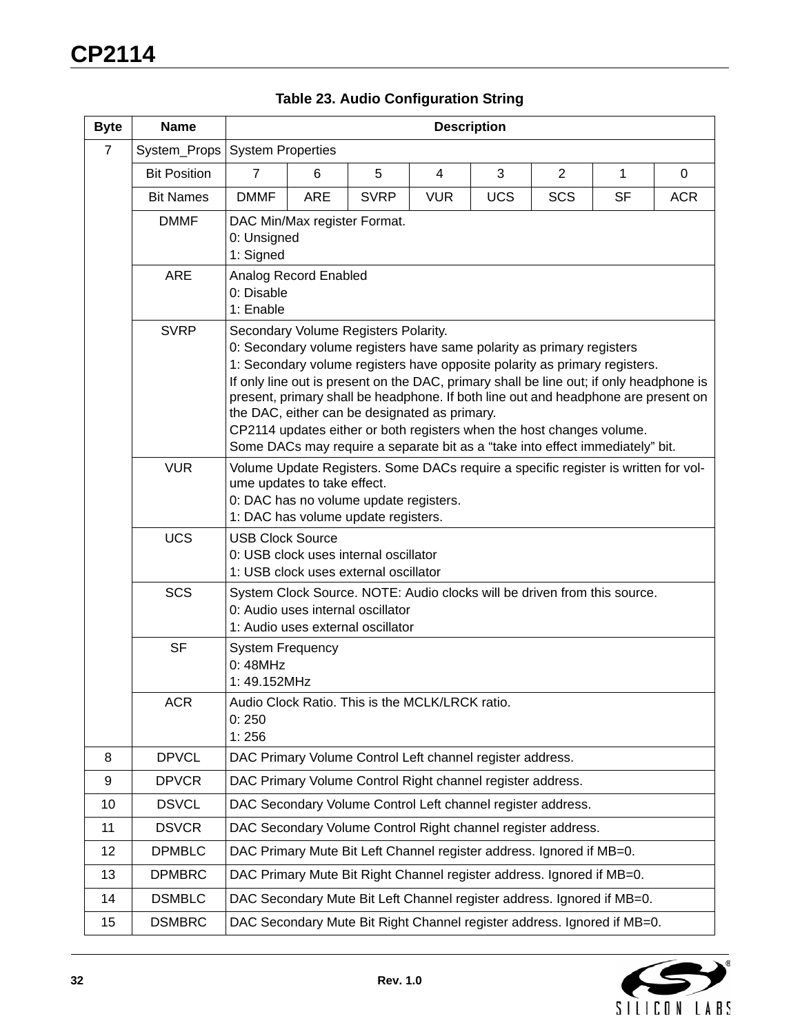| <b>Byte</b>    | Name                |                                                                                                                                                                                                    |                                                                                                                                                                                                                                                                                                                                                                                                                                                                                                                                                                                         |                                                                                                                                                    | <b>Description</b> |  |  |  |  |  |
|----------------|---------------------|----------------------------------------------------------------------------------------------------------------------------------------------------------------------------------------------------|-----------------------------------------------------------------------------------------------------------------------------------------------------------------------------------------------------------------------------------------------------------------------------------------------------------------------------------------------------------------------------------------------------------------------------------------------------------------------------------------------------------------------------------------------------------------------------------------|----------------------------------------------------------------------------------------------------------------------------------------------------|--------------------|--|--|--|--|--|
| $\overline{7}$ | System_Props        |                                                                                                                                                                                                    | <b>System Properties</b>                                                                                                                                                                                                                                                                                                                                                                                                                                                                                                                                                                |                                                                                                                                                    |                    |  |  |  |  |  |
|                | <b>Bit Position</b> | 7                                                                                                                                                                                                  | 3<br>6<br>5<br>4<br>2<br>1                                                                                                                                                                                                                                                                                                                                                                                                                                                                                                                                                              |                                                                                                                                                    |                    |  |  |  |  |  |
|                | <b>Bit Names</b>    | <b>UCS</b>                                                                                                                                                                                         | <b>SCS</b>                                                                                                                                                                                                                                                                                                                                                                                                                                                                                                                                                                              | SF                                                                                                                                                 | <b>ACR</b>         |  |  |  |  |  |
|                | <b>DMMF</b>         | 1: Signed                                                                                                                                                                                          | DAC Min/Max register Format.<br>0: Unsigned                                                                                                                                                                                                                                                                                                                                                                                                                                                                                                                                             |                                                                                                                                                    |                    |  |  |  |  |  |
|                | <b>ARE</b>          | 0: Disable<br>1: Enable                                                                                                                                                                            | Analog Record Enabled                                                                                                                                                                                                                                                                                                                                                                                                                                                                                                                                                                   |                                                                                                                                                    |                    |  |  |  |  |  |
|                | <b>SVRP</b>         |                                                                                                                                                                                                    | Secondary Volume Registers Polarity.<br>0: Secondary volume registers have same polarity as primary registers<br>1: Secondary volume registers have opposite polarity as primary registers.<br>If only line out is present on the DAC, primary shall be line out; if only headphone is<br>present, primary shall be headphone. If both line out and headphone are present on<br>the DAC, either can be designated as primary.<br>CP2114 updates either or both registers when the host changes volume.<br>Some DACs may require a separate bit as a "take into effect immediately" bit. |                                                                                                                                                    |                    |  |  |  |  |  |
|                | <b>VUR</b>          | Volume Update Registers. Some DACs require a specific register is written for vol-<br>ume updates to take effect.<br>0: DAC has no volume update registers.<br>1: DAC has volume update registers. |                                                                                                                                                                                                                                                                                                                                                                                                                                                                                                                                                                                         |                                                                                                                                                    |                    |  |  |  |  |  |
|                | <b>UCS</b>          | <b>USB Clock Source</b>                                                                                                                                                                            |                                                                                                                                                                                                                                                                                                                                                                                                                                                                                                                                                                                         | 0: USB clock uses internal oscillator<br>1: USB clock uses external oscillator                                                                     |                    |  |  |  |  |  |
|                | SCS                 |                                                                                                                                                                                                    |                                                                                                                                                                                                                                                                                                                                                                                                                                                                                                                                                                                         | System Clock Source. NOTE: Audio clocks will be driven from this source.<br>0: Audio uses internal oscillator<br>1: Audio uses external oscillator |                    |  |  |  |  |  |
|                | <b>SF</b>           | <b>System Frequency</b><br>0:48MHz<br>1:49.152MHz                                                                                                                                                  |                                                                                                                                                                                                                                                                                                                                                                                                                                                                                                                                                                                         |                                                                                                                                                    |                    |  |  |  |  |  |
|                | <b>ACR</b>          | 0:250<br>1:256                                                                                                                                                                                     |                                                                                                                                                                                                                                                                                                                                                                                                                                                                                                                                                                                         | Audio Clock Ratio. This is the MCLK/LRCK ratio.                                                                                                    |                    |  |  |  |  |  |
| 8              | <b>DPVCL</b>        |                                                                                                                                                                                                    |                                                                                                                                                                                                                                                                                                                                                                                                                                                                                                                                                                                         | DAC Primary Volume Control Left channel register address.                                                                                          |                    |  |  |  |  |  |
| 9              | <b>DPVCR</b>        |                                                                                                                                                                                                    |                                                                                                                                                                                                                                                                                                                                                                                                                                                                                                                                                                                         | DAC Primary Volume Control Right channel register address.                                                                                         |                    |  |  |  |  |  |
| 10             | <b>DSVCL</b>        |                                                                                                                                                                                                    |                                                                                                                                                                                                                                                                                                                                                                                                                                                                                                                                                                                         | DAC Secondary Volume Control Left channel register address.                                                                                        |                    |  |  |  |  |  |
| 11             | <b>DSVCR</b>        |                                                                                                                                                                                                    |                                                                                                                                                                                                                                                                                                                                                                                                                                                                                                                                                                                         | DAC Secondary Volume Control Right channel register address.                                                                                       |                    |  |  |  |  |  |
| 12             | <b>DPMBLC</b>       |                                                                                                                                                                                                    |                                                                                                                                                                                                                                                                                                                                                                                                                                                                                                                                                                                         | DAC Primary Mute Bit Left Channel register address. Ignored if MB=0.                                                                               |                    |  |  |  |  |  |
| 13             | <b>DPMBRC</b>       |                                                                                                                                                                                                    |                                                                                                                                                                                                                                                                                                                                                                                                                                                                                                                                                                                         | DAC Primary Mute Bit Right Channel register address. Ignored if MB=0.                                                                              |                    |  |  |  |  |  |
| 14             | <b>DSMBLC</b>       |                                                                                                                                                                                                    |                                                                                                                                                                                                                                                                                                                                                                                                                                                                                                                                                                                         | DAC Secondary Mute Bit Left Channel register address. Ignored if MB=0.                                                                             |                    |  |  |  |  |  |
| 15             | <b>DSMBRC</b>       |                                                                                                                                                                                                    |                                                                                                                                                                                                                                                                                                                                                                                                                                                                                                                                                                                         | DAC Secondary Mute Bit Right Channel register address. Ignored if MB=0.                                                                            |                    |  |  |  |  |  |

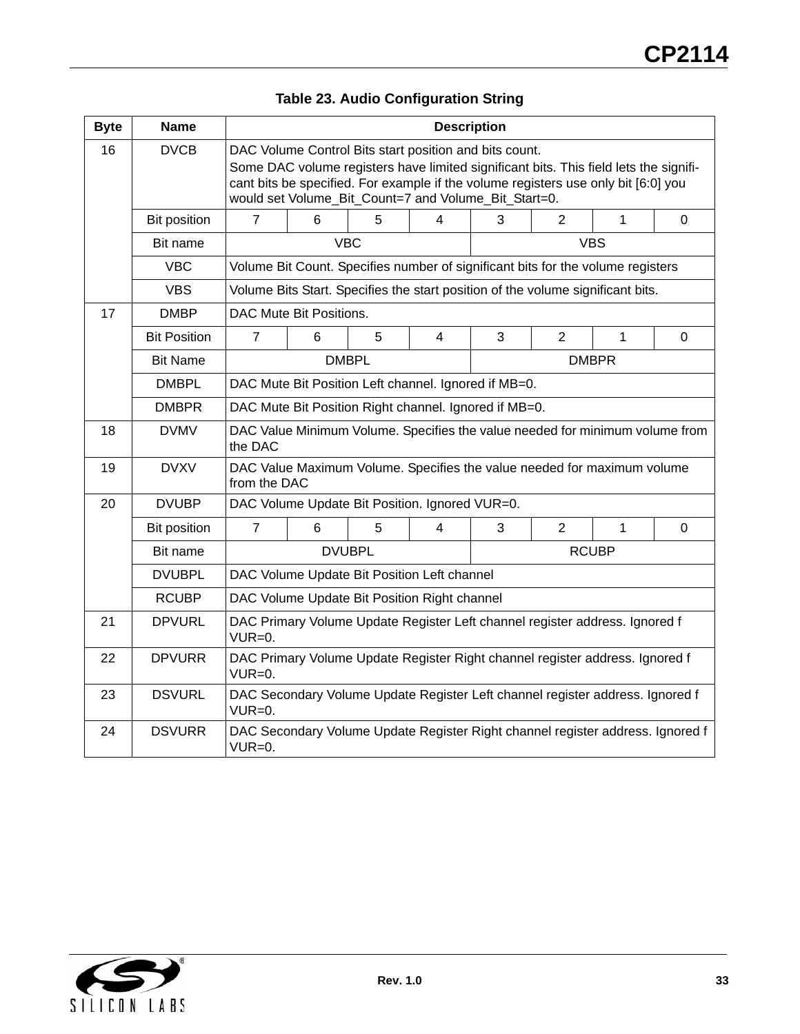|  |  | <b>Table 23. Audio Configuration String</b> |  |
|--|--|---------------------------------------------|--|
|--|--|---------------------------------------------|--|

| <b>Byte</b> | <b>Name</b>         |                                                                                          |                                                                                                                                                                                                                                                                                               |                                                      |   | <b>Description</b> |                                                                                 |   |          |
|-------------|---------------------|------------------------------------------------------------------------------------------|-----------------------------------------------------------------------------------------------------------------------------------------------------------------------------------------------------------------------------------------------------------------------------------------------|------------------------------------------------------|---|--------------------|---------------------------------------------------------------------------------|---|----------|
| 16          | <b>DVCB</b>         |                                                                                          | DAC Volume Control Bits start position and bits count.<br>Some DAC volume registers have limited significant bits. This field lets the signifi-<br>cant bits be specified. For example if the volume registers use only bit [6:0] you<br>would set Volume_Bit_Count=7 and Volume_Bit_Start=0. |                                                      |   |                    |                                                                                 |   |          |
|             | <b>Bit position</b> | 7                                                                                        | 6                                                                                                                                                                                                                                                                                             | 5                                                    | 4 | 3                  | 2                                                                               | 1 | 0        |
|             | Bit name            |                                                                                          |                                                                                                                                                                                                                                                                                               | <b>VBC</b>                                           |   |                    | <b>VBS</b>                                                                      |   |          |
|             | <b>VBC</b>          |                                                                                          |                                                                                                                                                                                                                                                                                               |                                                      |   |                    | Volume Bit Count. Specifies number of significant bits for the volume registers |   |          |
|             | <b>VBS</b>          |                                                                                          |                                                                                                                                                                                                                                                                                               |                                                      |   |                    | Volume Bits Start. Specifies the start position of the volume significant bits. |   |          |
| 17          | <b>DMBP</b>         |                                                                                          | DAC Mute Bit Positions.                                                                                                                                                                                                                                                                       |                                                      |   |                    |                                                                                 |   |          |
|             | <b>Bit Position</b> | 7                                                                                        | 6                                                                                                                                                                                                                                                                                             | 5                                                    | 4 | 3                  | $\overline{2}$                                                                  | 1 | $\Omega$ |
|             | <b>Bit Name</b>     |                                                                                          | <b>DMBPL</b>                                                                                                                                                                                                                                                                                  |                                                      |   |                    | <b>DMBPR</b>                                                                    |   |          |
|             | <b>DMBPL</b>        |                                                                                          |                                                                                                                                                                                                                                                                                               | DAC Mute Bit Position Left channel. Ignored if MB=0. |   |                    |                                                                                 |   |          |
|             | <b>DMBPR</b>        |                                                                                          | DAC Mute Bit Position Right channel. Ignored if MB=0.                                                                                                                                                                                                                                         |                                                      |   |                    |                                                                                 |   |          |
| 18          | <b>DVMV</b>         | the DAC                                                                                  | DAC Value Minimum Volume. Specifies the value needed for minimum volume from                                                                                                                                                                                                                  |                                                      |   |                    |                                                                                 |   |          |
| 19          | <b>DVXV</b>         | from the DAC                                                                             |                                                                                                                                                                                                                                                                                               |                                                      |   |                    | DAC Value Maximum Volume. Specifies the value needed for maximum volume         |   |          |
| 20          | <b>DVUBP</b>        |                                                                                          |                                                                                                                                                                                                                                                                                               | DAC Volume Update Bit Position. Ignored VUR=0.       |   |                    |                                                                                 |   |          |
|             | <b>Bit position</b> | $\overline{7}$                                                                           | 6                                                                                                                                                                                                                                                                                             | 5                                                    | 4 | 3                  | 2                                                                               | 1 | $\Omega$ |
|             | Bit name            |                                                                                          |                                                                                                                                                                                                                                                                                               | <b>DVUBPL</b>                                        |   |                    | <b>RCUBP</b>                                                                    |   |          |
|             | <b>DVUBPL</b>       |                                                                                          |                                                                                                                                                                                                                                                                                               | DAC Volume Update Bit Position Left channel          |   |                    |                                                                                 |   |          |
|             | <b>RCUBP</b>        |                                                                                          |                                                                                                                                                                                                                                                                                               | DAC Volume Update Bit Position Right channel         |   |                    |                                                                                 |   |          |
| 21          | <b>DPVURL</b>       | $VUR=0.$                                                                                 |                                                                                                                                                                                                                                                                                               |                                                      |   |                    | DAC Primary Volume Update Register Left channel register address. Ignored f     |   |          |
| 22          | <b>DPVURR</b>       | DAC Primary Volume Update Register Right channel register address. Ignored f<br>$VUR=0.$ |                                                                                                                                                                                                                                                                                               |                                                      |   |                    |                                                                                 |   |          |
| 23          | <b>DSVURL</b>       | $VUR=0.$                                                                                 |                                                                                                                                                                                                                                                                                               |                                                      |   |                    | DAC Secondary Volume Update Register Left channel register address. Ignored f   |   |          |
| 24          | <b>DSVURR</b>       | $VUR=0.$                                                                                 |                                                                                                                                                                                                                                                                                               |                                                      |   |                    | DAC Secondary Volume Update Register Right channel register address. Ignored f  |   |          |

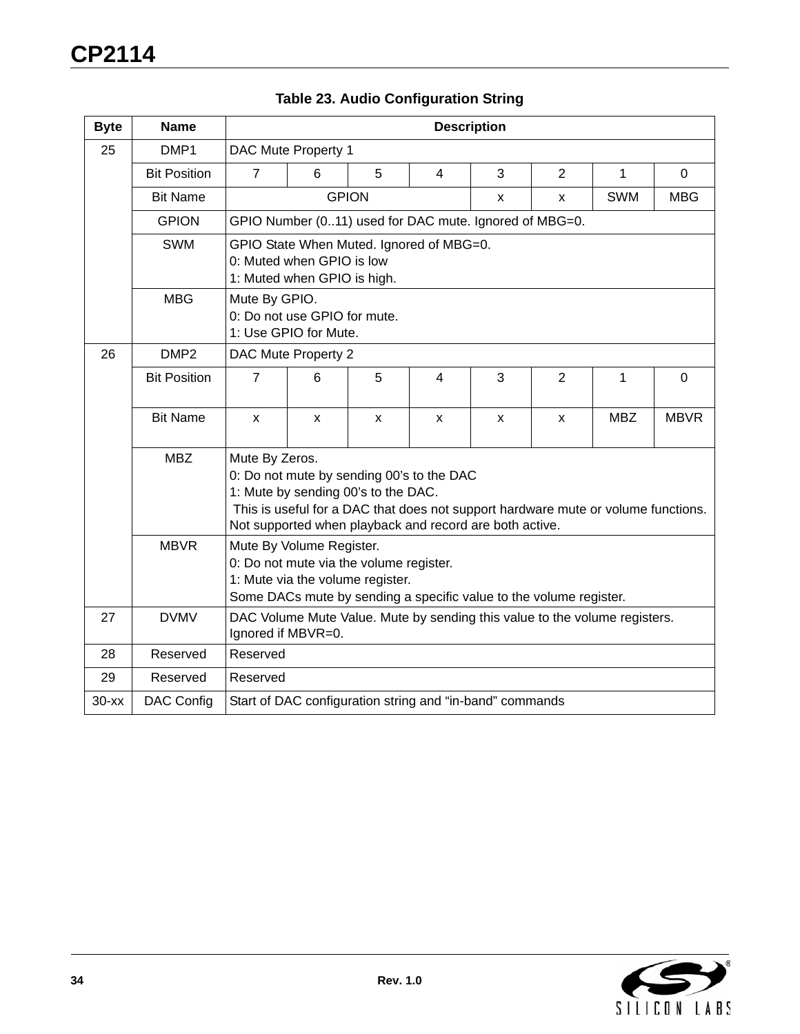| <b>Byte</b> | <b>Name</b>         |                                                                                                                                                                               |                                                                                                      |                                                                                                                                             |   | <b>Description</b> |                                                                                   |            |                |
|-------------|---------------------|-------------------------------------------------------------------------------------------------------------------------------------------------------------------------------|------------------------------------------------------------------------------------------------------|---------------------------------------------------------------------------------------------------------------------------------------------|---|--------------------|-----------------------------------------------------------------------------------|------------|----------------|
| 25          | DMP <sub>1</sub>    |                                                                                                                                                                               | DAC Mute Property 1                                                                                  |                                                                                                                                             |   |                    |                                                                                   |            |                |
|             | <b>Bit Position</b> | $\overline{7}$                                                                                                                                                                | 6                                                                                                    | 5                                                                                                                                           | 4 | 3                  | 2                                                                                 | 1          | $\mathbf 0$    |
|             | <b>Bit Name</b>     |                                                                                                                                                                               | <b>GPION</b>                                                                                         |                                                                                                                                             |   | X                  | X                                                                                 | <b>SWM</b> | <b>MBG</b>     |
|             | <b>GPION</b>        |                                                                                                                                                                               |                                                                                                      | GPIO Number (011) used for DAC mute. Ignored of MBG=0.                                                                                      |   |                    |                                                                                   |            |                |
|             | <b>SWM</b>          |                                                                                                                                                                               | GPIO State When Muted. Ignored of MBG=0.<br>0: Muted when GPIO is low<br>1: Muted when GPIO is high. |                                                                                                                                             |   |                    |                                                                                   |            |                |
|             | <b>MBG</b>          |                                                                                                                                                                               | Mute By GPIO.<br>0: Do not use GPIO for mute.<br>1: Use GPIO for Mute.                               |                                                                                                                                             |   |                    |                                                                                   |            |                |
| 26          | DMP <sub>2</sub>    |                                                                                                                                                                               | DAC Mute Property 2                                                                                  |                                                                                                                                             |   |                    |                                                                                   |            |                |
|             | <b>Bit Position</b> | $\overline{7}$                                                                                                                                                                | 6                                                                                                    | 5                                                                                                                                           | 4 | 3                  | $\overline{2}$                                                                    | 1          | $\overline{0}$ |
|             | <b>Bit Name</b>     | X                                                                                                                                                                             | X                                                                                                    | X                                                                                                                                           | X | X                  | X                                                                                 | <b>MBZ</b> | <b>MBVR</b>    |
|             | <b>MBZ</b>          | Mute By Zeros.                                                                                                                                                                |                                                                                                      | 0: Do not mute by sending 00's to the DAC<br>1: Mute by sending 00's to the DAC.<br>Not supported when playback and record are both active. |   |                    | This is useful for a DAC that does not support hardware mute or volume functions. |            |                |
|             | <b>MBVR</b>         | Mute By Volume Register.<br>0: Do not mute via the volume register.<br>1: Mute via the volume register.<br>Some DACs mute by sending a specific value to the volume register. |                                                                                                      |                                                                                                                                             |   |                    |                                                                                   |            |                |
| 27          | <b>DVMV</b>         | Ignored if MBVR=0.                                                                                                                                                            |                                                                                                      |                                                                                                                                             |   |                    | DAC Volume Mute Value. Mute by sending this value to the volume registers.        |            |                |
| 28          | Reserved            | Reserved                                                                                                                                                                      |                                                                                                      |                                                                                                                                             |   |                    |                                                                                   |            |                |
| 29          | Reserved            | Reserved                                                                                                                                                                      |                                                                                                      |                                                                                                                                             |   |                    |                                                                                   |            |                |
| $30 - xx$   | DAC Config          |                                                                                                                                                                               |                                                                                                      | Start of DAC configuration string and "in-band" commands                                                                                    |   |                    |                                                                                   |            |                |

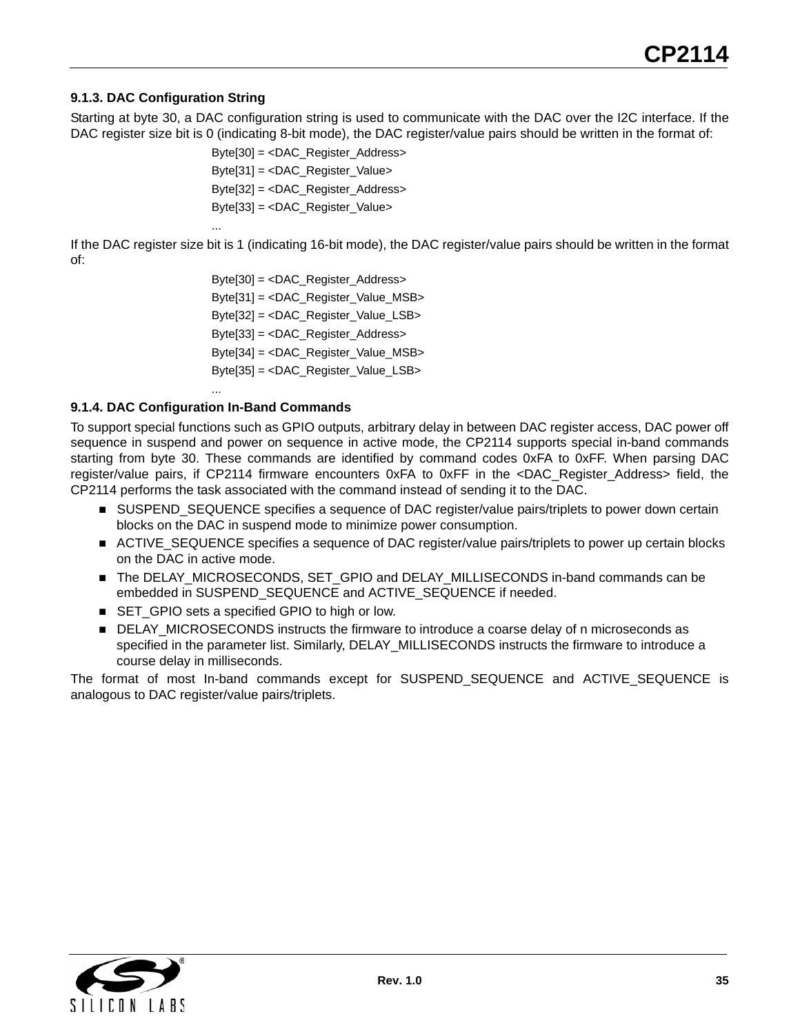#### **9.1.3. DAC Configuration String**

Starting at byte 30, a DAC configuration string is used to communicate with the DAC over the I2C interface. If the DAC register size bit is 0 (indicating 8-bit mode), the DAC register/value pairs should be written in the format of:

> Byte[30] = <DAC\_Register\_Address> Byte[31] = <DAC\_Register\_Value> Byte[32] = <DAC\_Register\_Address> Byte[33] = <DAC\_Register\_Value>

If the DAC register size bit is 1 (indicating 16-bit mode), the DAC register/value pairs should be written in the format of:

> Byte[30] = <DAC\_Register\_Address> Byte[31] = <DAC\_Register\_Value\_MSB> Byte[32] = <DAC\_Register\_Value\_LSB> Byte[33] = <DAC\_Register\_Address> Byte[34] = <DAC\_Register\_Value\_MSB> Byte[35] = <DAC\_Register\_Value\_LSB>

#### ... **9.1.4. DAC Configuration In-Band Commands**

...

To support special functions such as GPIO outputs, arbitrary delay in between DAC register access, DAC power off sequence in suspend and power on sequence in active mode, the CP2114 supports special in-band commands starting from byte 30. These commands are identified by command codes 0xFA to 0xFF. When parsing DAC register/value pairs, if CP2114 firmware encounters 0xFA to 0xFF in the <DAC\_Register\_Address> field, the CP2114 performs the task associated with the command instead of sending it to the DAC.

- SUSPEND SEQUENCE specifies a sequence of DAC register/value pairs/triplets to power down certain blocks on the DAC in suspend mode to minimize power consumption.
- ACTIVE\_SEQUENCE specifies a sequence of DAC register/value pairs/triplets to power up certain blocks on the DAC in active mode.
- The DELAY\_MICROSECONDS, SET\_GPIO and DELAY\_MILLISECONDS in-band commands can be embedded in SUSPEND\_SEQUENCE and ACTIVE\_SEQUENCE if needed.
- SET GPIO sets a specified GPIO to high or low.
- **DELAY\_MICROSECONDS** instructs the firmware to introduce a coarse delay of n microseconds as specified in the parameter list. Similarly, DELAY\_MILLISECONDS instructs the firmware to introduce a course delay in milliseconds.

The format of most In-band commands except for SUSPEND\_SEQUENCE and ACTIVE\_SEQUENCE is analogous to DAC register/value pairs/triplets.

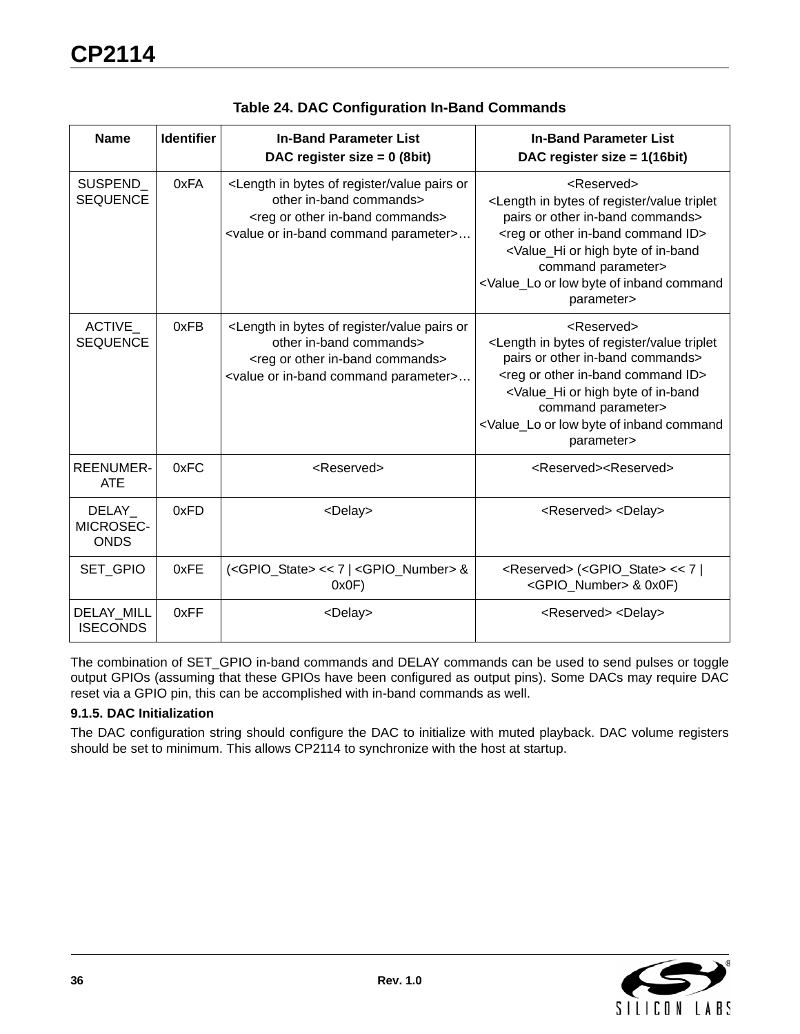| <b>Name</b>                          | <b>Identifier</b> | <b>In-Band Parameter List</b><br>DAC register size $= 0$ (8bit)                                                                                                                                                            | <b>In-Band Parameter List</b><br>DAC register size = 1(16bit)                                                                                                                                                                                                                                                                                                                        |
|--------------------------------------|-------------------|----------------------------------------------------------------------------------------------------------------------------------------------------------------------------------------------------------------------------|--------------------------------------------------------------------------------------------------------------------------------------------------------------------------------------------------------------------------------------------------------------------------------------------------------------------------------------------------------------------------------------|
| <b>SUSPEND</b><br><b>SEQUENCE</b>    | 0xFA              | <length bytes="" in="" of="" or<br="" pairs="" register="" value="">other in-band commands&gt;<br/><reg commands="" in-band="" or="" other=""><br/><value command="" in-band="" or="" parameter=""></value></reg></length> | <reserved><br/><length bytes="" in="" of="" register="" triplet<br="" value="">pairs or other in-band commands&gt;<br/><reg command="" id="" in-band="" or="" other=""><br/><value_hi byte="" high="" in-band<br="" of="" or="">command parameter&gt;<br/><value_lo byte="" command<br="" inband="" low="" of="" or="">parameter&gt;</value_lo></value_hi></reg></length></reserved> |
| ACTIVE<br><b>SEQUENCE</b>            | 0xFB              | <length bytes="" in="" of="" or<br="" pairs="" register="" value="">other in-band commands&gt;<br/><reg commands="" in-band="" or="" other=""><br/><value command="" in-band="" or="" parameter=""></value></reg></length> | <reserved><br/><length bytes="" in="" of="" register="" triplet<br="" value="">pairs or other in-band commands&gt;<br/><reg command="" id="" in-band="" or="" other=""><br/><value_hi byte="" high="" in-band<br="" of="" or="">command parameter&gt;<br/><value_lo byte="" command<br="" inband="" low="" of="" or="">parameter&gt;</value_lo></value_hi></reg></length></reserved> |
| <b>REENUMER-</b><br><b>ATE</b>       | 0xFC              | <reserved></reserved>                                                                                                                                                                                                      | <reserved><reserved></reserved></reserved>                                                                                                                                                                                                                                                                                                                                           |
| DELAY<br>MICROSEC-<br><b>ONDS</b>    | 0xFD              | <delay></delay>                                                                                                                                                                                                            | <reserved> <delay></delay></reserved>                                                                                                                                                                                                                                                                                                                                                |
| SET_GPIO                             | 0xFE              | ( <gpio_state> &lt;&lt; 7   <gpio_number> &amp;<br/>0x0F</gpio_number></gpio_state>                                                                                                                                        | <reserved> (<gpio_state> &lt;&lt; 7  <br/><gpio_number> &amp; 0x0F)</gpio_number></gpio_state></reserved>                                                                                                                                                                                                                                                                            |
| <b>DELAY MILL</b><br><b>ISECONDS</b> | 0xFF              | <delay></delay>                                                                                                                                                                                                            | <reserved> <delay></delay></reserved>                                                                                                                                                                                                                                                                                                                                                |

|  | Table 24. DAC Configuration In-Band Commands |  |
|--|----------------------------------------------|--|
|  |                                              |  |

The combination of SET\_GPIO in-band commands and DELAY commands can be used to send pulses or toggle output GPIOs (assuming that these GPIOs have been configured as output pins). Some DACs may require DAC reset via a GPIO pin, this can be accomplished with in-band commands as well.

#### **9.1.5. DAC Initialization**

The DAC configuration string should configure the DAC to initialize with muted playback. DAC volume registers should be set to minimum. This allows CP2114 to synchronize with the host at startup.

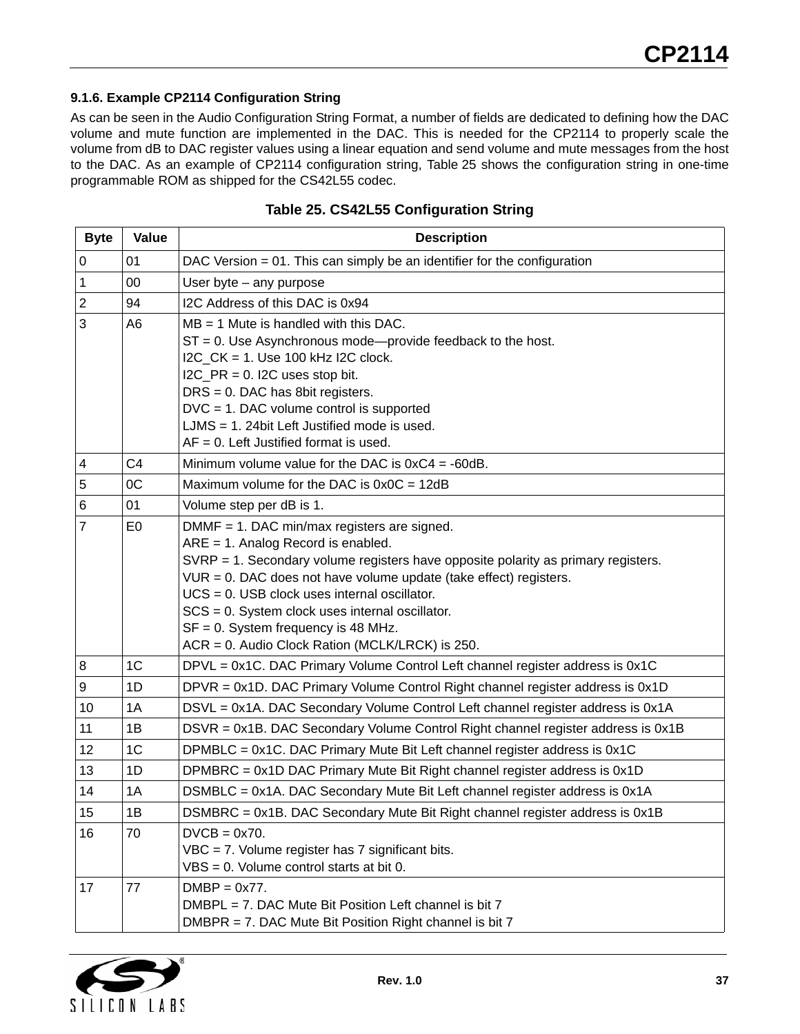#### **9.1.6. Example CP2114 Configuration String**

As can be seen in the Audio Configuration String Format, a number of fields are dedicated to defining how the DAC volume and mute function are implemented in the DAC. This is needed for the CP2114 to properly scale the volume from dB to DAC register values using a linear equation and send volume and mute messages from the host to the DAC. As an example of CP2114 configuration string, [Table 25](#page-36-0) shows the configuration string in one-time programmable ROM as shipped for the CS42L55 codec.

<span id="page-36-0"></span>

| <b>Byte</b>    | Value          | <b>Description</b>                                                                                                                                                                                                                                                                                                                                                                                                                                         |
|----------------|----------------|------------------------------------------------------------------------------------------------------------------------------------------------------------------------------------------------------------------------------------------------------------------------------------------------------------------------------------------------------------------------------------------------------------------------------------------------------------|
| 0              | 01             | DAC Version $= 01$ . This can simply be an identifier for the configuration                                                                                                                                                                                                                                                                                                                                                                                |
| $\mathbf 1$    | 00             | User byte - any purpose                                                                                                                                                                                                                                                                                                                                                                                                                                    |
| $\mathbf 2$    | 94             | I2C Address of this DAC is 0x94                                                                                                                                                                                                                                                                                                                                                                                                                            |
| 3              | A <sub>6</sub> | $MB = 1$ Mute is handled with this DAC.<br>$ST = 0$ . Use Asynchronous mode—provide feedback to the host.<br>I2C_CK = 1. Use 100 kHz I2C clock.<br>$IC_PR = 0$ . I2C uses stop bit.<br>$DRS = 0$ . DAC has 8bit registers.<br>$DVC = 1$ . DAC volume control is supported<br>LJMS = 1. 24 bit Left Justified mode is used.<br>$AF = 0$ . Left Justified format is used.                                                                                    |
| 4              | C4             | Minimum volume value for the DAC is $0 \times C4 = -60$ dB.                                                                                                                                                                                                                                                                                                                                                                                                |
| 5              | OC             | Maximum volume for the DAC is $0x0C = 12dB$                                                                                                                                                                                                                                                                                                                                                                                                                |
| $\,6$          | 01             | Volume step per dB is 1.                                                                                                                                                                                                                                                                                                                                                                                                                                   |
| $\overline{7}$ | E <sub>0</sub> | $DMMF = 1$ . DAC min/max registers are signed.<br>ARE = 1. Analog Record is enabled.<br>$SVRP = 1$ . Secondary volume registers have opposite polarity as primary registers.<br>$VUR = 0$ . DAC does not have volume update (take effect) registers.<br>$UCS = 0$ . USB clock uses internal oscillator.<br>$SCS = 0$ . System clock uses internal oscillator.<br>$SF = 0$ . System frequency is 48 MHz.<br>ACR = 0. Audio Clock Ration (MCLK/LRCK) is 250. |
| 8              | 1C             | DPVL = 0x1C. DAC Primary Volume Control Left channel register address is 0x1C                                                                                                                                                                                                                                                                                                                                                                              |
| 9              | 1D             | DPVR = 0x1D. DAC Primary Volume Control Right channel register address is 0x1D                                                                                                                                                                                                                                                                                                                                                                             |
| 10             | 1A             | DSVL = 0x1A. DAC Secondary Volume Control Left channel register address is 0x1A                                                                                                                                                                                                                                                                                                                                                                            |
| 11             | 1B             | DSVR = 0x1B. DAC Secondary Volume Control Right channel register address is 0x1B                                                                                                                                                                                                                                                                                                                                                                           |
| 12             | 1 <sub>C</sub> | DPMBLC = 0x1C. DAC Primary Mute Bit Left channel register address is 0x1C                                                                                                                                                                                                                                                                                                                                                                                  |
| 13             | 1D             | DPMBRC = 0x1D DAC Primary Mute Bit Right channel register address is 0x1D                                                                                                                                                                                                                                                                                                                                                                                  |
| 14             | 1A             | DSMBLC = 0x1A. DAC Secondary Mute Bit Left channel register address is 0x1A                                                                                                                                                                                                                                                                                                                                                                                |
| 15             | 1B             | DSMBRC = 0x1B. DAC Secondary Mute Bit Right channel register address is 0x1B                                                                                                                                                                                                                                                                                                                                                                               |
| 16             | 70             | $DVCB = 0x70.$<br>$VBC = 7$ . Volume register has 7 significant bits.<br>$VBS = 0$ . Volume control starts at bit 0.                                                                                                                                                                                                                                                                                                                                       |
| 17             | 77             | $DMBP = 0x77$ .<br>DMBPL = 7. DAC Mute Bit Position Left channel is bit 7<br>DMBPR = 7. DAC Mute Bit Position Right channel is bit 7                                                                                                                                                                                                                                                                                                                       |

#### **Table 25. CS42L55 Configuration String**

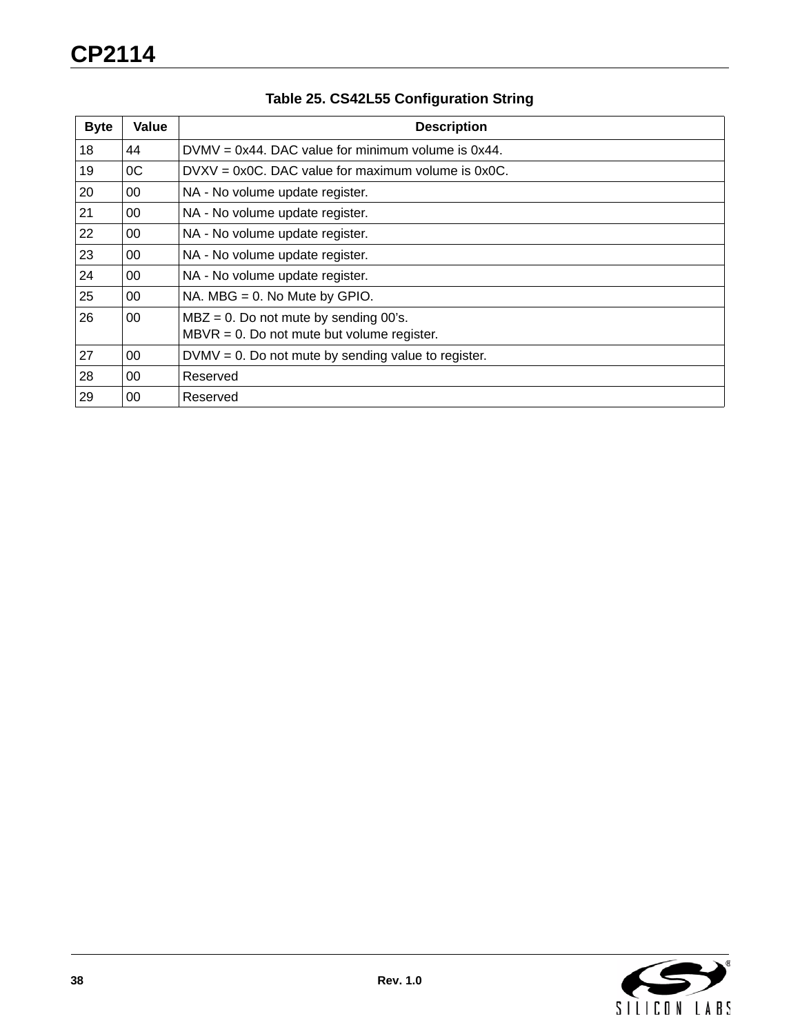| <b>Byte</b> | Value  | <b>Description</b>                                                                        |
|-------------|--------|-------------------------------------------------------------------------------------------|
| 18          | 44     | $DVMV = 0x44$ . DAC value for minimum volume is $0x44$ .                                  |
| 19          | 0C     | $DVXV = 0x0C$ . DAC value for maximum volume is $0x0C$ .                                  |
| 20          | 00     | NA - No volume update register.                                                           |
| 21          | 00     | NA - No volume update register.                                                           |
| 22          | $00\,$ | NA - No volume update register.                                                           |
| 23          | $00\,$ | NA - No volume update register.                                                           |
| 24          | $00\,$ | NA - No volume update register.                                                           |
| 25          | $00\,$ | $NA. MBG = 0. No Mute by GPIO.$                                                           |
| 26          | $00\,$ | $MBZ = 0$ . Do not mute by sending 00's.<br>$MBVR = 0$ . Do not mute but volume register. |
| 27          | $00\,$ | $DVMV = 0$ . Do not mute by sending value to register.                                    |
| 28          | $00\,$ | Reserved                                                                                  |
| 29          | 00     | Reserved                                                                                  |

# **Table 25. CS42L55 Configuration String**

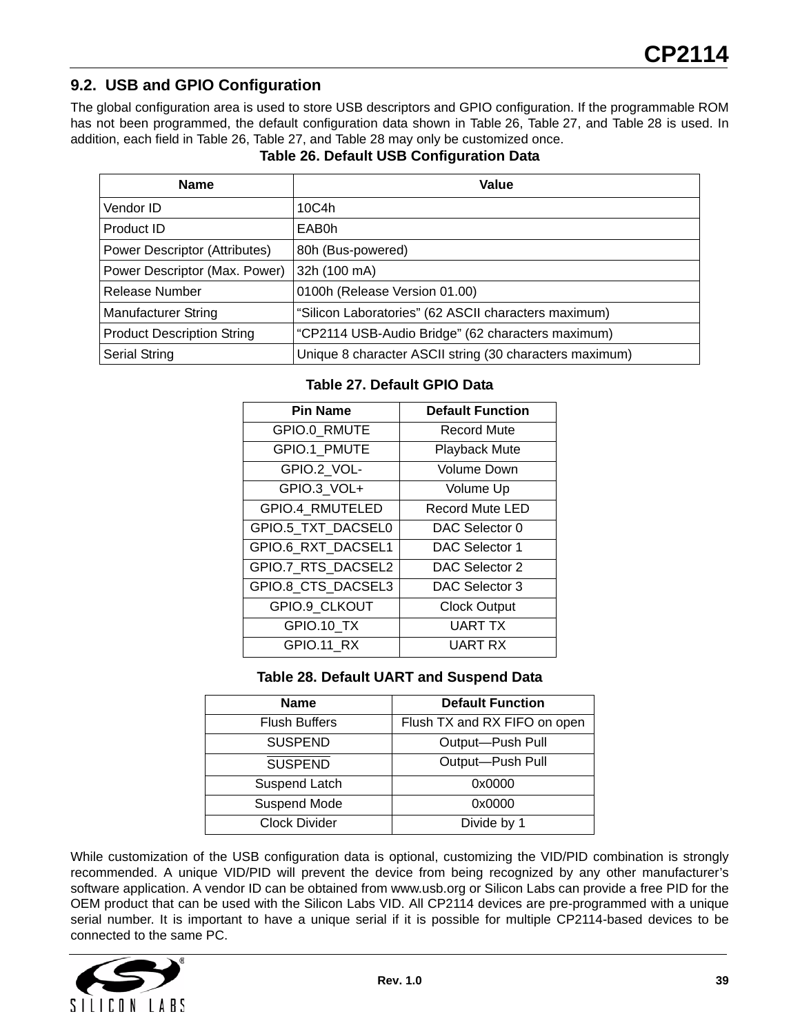#### <span id="page-38-0"></span>**9.2. USB and GPIO Configuration**

The global configuration area is used to store USB descriptors and GPIO configuration. If the programmable ROM has not been programmed, the default configuration data shown in [Table 26,](#page-38-1) [Table 27](#page-38-2), and [Table 28](#page-38-3) is used. In addition, each field in [Table 26](#page-38-1), [Table 27,](#page-38-2) and [Table 28](#page-38-3) may only be customized once.

#### **Table 26. Default USB Configuration Data**

<span id="page-38-1"></span>

| <b>Name</b>                       | Value                                                   |  |
|-----------------------------------|---------------------------------------------------------|--|
| Vendor ID                         | 10C4h                                                   |  |
| Product ID                        | EAB0h                                                   |  |
| Power Descriptor (Attributes)     | 80h (Bus-powered)                                       |  |
| Power Descriptor (Max. Power)     | 32h (100 mA)                                            |  |
| Release Number                    | 0100h (Release Version 01.00)                           |  |
| <b>Manufacturer String</b>        | "Silicon Laboratories" (62 ASCII characters maximum)    |  |
| <b>Product Description String</b> | "CP2114 USB-Audio Bridge" (62 characters maximum)       |  |
| <b>Serial String</b>              | Unique 8 character ASCII string (30 characters maximum) |  |

#### **Table 27. Default GPIO Data**

<span id="page-38-2"></span>

| <b>Pin Name</b>        | <b>Default Function</b> |
|------------------------|-------------------------|
| GPIO.0 RMUTE           | Record Mute             |
| GPIO.1 PMUTE           | Playback Mute           |
| GPIO.2 VOL-            | <b>Volume Down</b>      |
| GPIO.3_VOL+            | Volume Up               |
| <b>GPIO.4 RMUTELED</b> | Record Mute LED         |
| GPIO.5 TXT DACSEL0     | DAC Selector 0          |
| GPIO.6 RXT DACSEL1     | DAC Selector 1          |
| GPIO.7 RTS DACSEL2     | DAC Selector 2          |
| GPIO.8 CTS DACSEL3     | DAC Selector 3          |
| <b>GPIO.9 CLKOUT</b>   | <b>Clock Output</b>     |
| GPIO.10 TX             | UART TX                 |
| GPIO.11 RX             | UART RX                 |

#### **Table 28. Default UART and Suspend Data**

<span id="page-38-3"></span>

| <b>Name</b>          | <b>Default Function</b>      |
|----------------------|------------------------------|
| <b>Flush Buffers</b> | Flush TX and RX FIFO on open |
| <b>SUSPEND</b>       | Output-Push Pull             |
| <b>SUSPEND</b>       | Output-Push Pull             |
| Suspend Latch        | 0x0000                       |
| Suspend Mode         | 0x0000                       |
| <b>Clock Divider</b> | Divide by 1                  |

While customization of the USB configuration data is optional, customizing the VID/PID combination is strongly recommended. A unique VID/PID will prevent the device from being recognized by any other manufacturer's software application. A vendor ID can be obtained from www.usb.org or Silicon Labs can provide a free PID for the OEM product that can be used with the Silicon Labs VID. All CP2114 devices are pre-programmed with a unique serial number. It is important to have a unique serial if it is possible for multiple CP2114-based devices to be connected to the same PC.

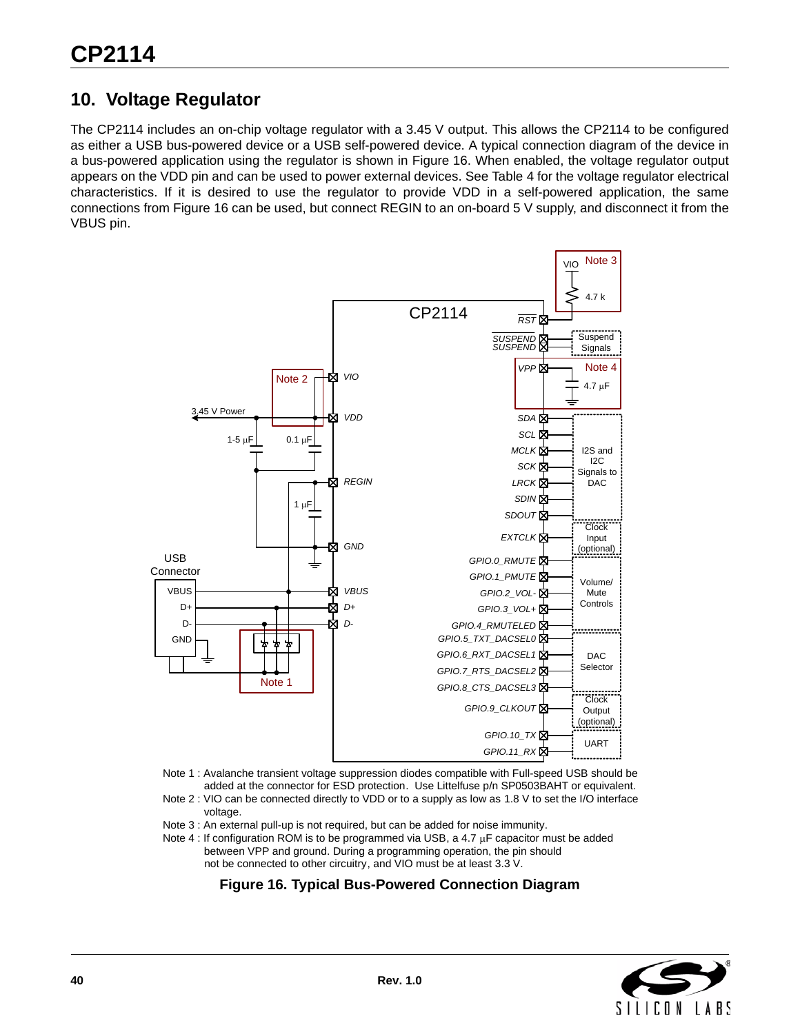# <span id="page-39-0"></span>**10. Voltage Regulator**

The CP2114 includes an on-chip voltage regulator with a 3.45 V output. This allows the CP2114 to be configured as either a USB bus-powered device or a USB self-powered device. A typical connection diagram of the device in a bus-powered application using the regulator is shown in [Figure 16.](#page-39-1) When enabled, the voltage regulator output appears on the VDD pin and can be used to power external devices. See [Table 4](#page-5-1) for the voltage regulator electrical characteristics. If it is desired to use the regulator to provide VDD in a self-powered application, the same connections from [Figure 16](#page-39-1) can be used, but connect REGIN to an on-board 5 V supply, and disconnect it from the VBUS pin.



- Note 1 : Avalanche transient voltage suppression diodes compatible with Full-speed USB should be added at the connector for ESD protection. Use Littelfuse p/n SP0503BAHT or equivalent.
- Note 2 : VIO can be connected directly to VDD or to a supply as low as 1.8 V to set the I/O interface voltage.
- Note 3 : An external pull-up is not required, but can be added for noise immunity.
- <span id="page-39-1"></span>Note 4 : If configuration ROM is to be programmed via USB, a 4.7  $\mu$ F capacitor must be added between VPP and ground. During a programming operation, the pin should not be connected to other circuitry, and VIO must be at least 3.3 V.

#### **Figure 16. Typical Bus-Powered Connection Diagram**

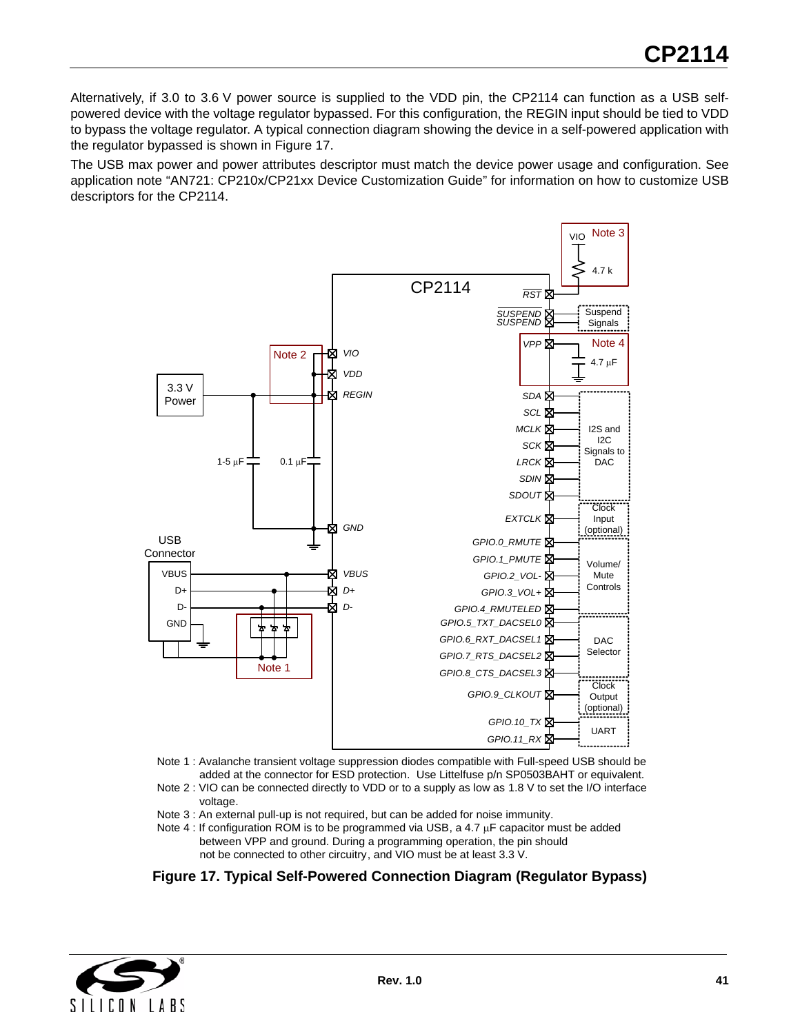Alternatively, if 3.0 to 3.6 V power source is supplied to the VDD pin, the CP2114 can function as a USB selfpowered device with the voltage regulator bypassed. For this configuration, the REGIN input should be tied to VDD to bypass the voltage regulator. A typical connection diagram showing the device in a self-powered application with the regulator bypassed is shown in [Figure 17.](#page-40-0)

The USB max power and power attributes descriptor must match the device power usage and configuration. See application note "AN721: CP210x/CP21xx Device Customization Guide" for information on how to customize USB descriptors for the CP2114.



- Note 1 : Avalanche transient voltage suppression diodes compatible with Full-speed USB should be added at the connector for ESD protection. Use Littelfuse p/n SP0503BAHT or equivalent.
- Note 2 : VIO can be connected directly to VDD or to a supply as low as 1.8 V to set the I/O interface voltage.
- Note 3 : An external pull-up is not required, but can be added for noise immunity.
- Note 4 : If configuration ROM is to be programmed via USB, a  $4.7 \mu$ F capacitor must be added between VPP and ground. During a programming operation, the pin should not be connected to other circuitry, and VIO must be at least 3.3 V.

<span id="page-40-0"></span>**Figure 17. Typical Self-Powered Connection Diagram (Regulator Bypass)**

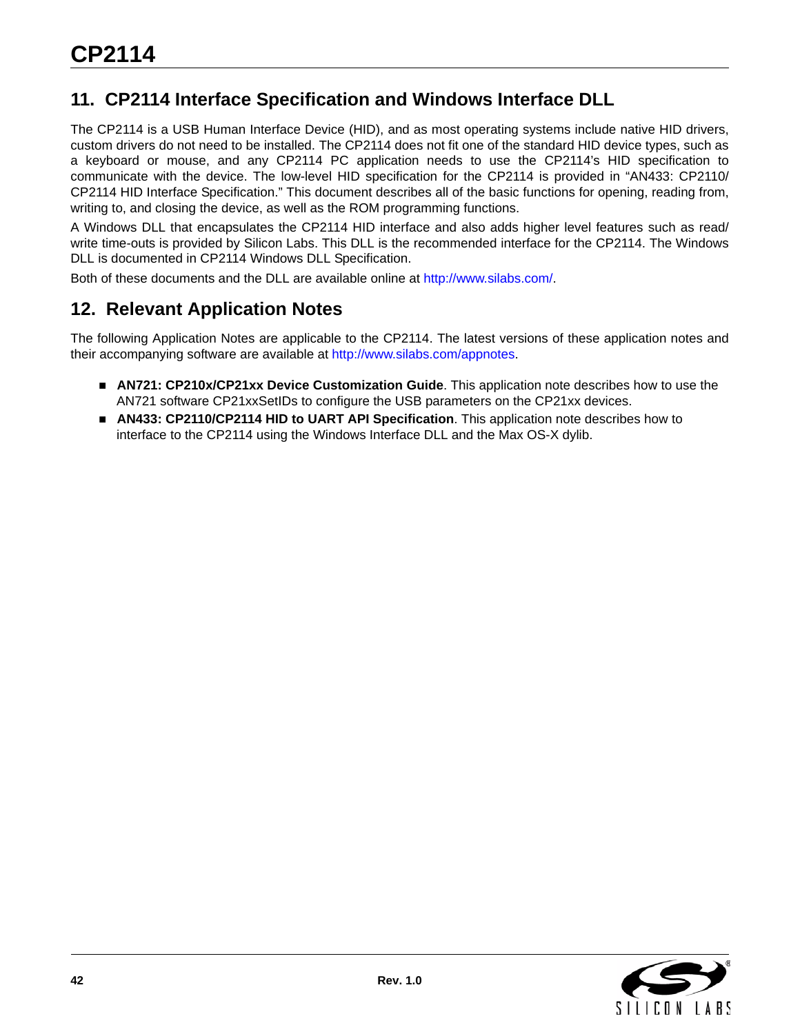# <span id="page-41-0"></span>**11. CP2114 Interface Specification and Windows Interface DLL**

The CP2114 is a USB Human Interface Device (HID), and as most operating systems include native HID drivers, custom drivers do not need to be installed. The CP2114 does not fit one of the standard HID device types, such as a keyboard or mouse, and any CP2114 PC application needs to use the CP2114's HID specification to communicate with the device. The low-level HID specification for the CP2114 is provided in "AN433: CP2110/ CP2114 HID Interface Specification." This document describes all of the basic functions for opening, reading from, writing to, and closing the device, as well as the ROM programming functions.

A Windows DLL that encapsulates the CP2114 HID interface and also adds higher level features such as read/ write time-outs is provided by Silicon Labs. This DLL is the recommended interface for the CP2114. The Windows DLL is documented in CP2114 Windows DLL Specification.

[Both of these documents and the DLL are available online at](http://www.silabs.com/products/mcu/Pages/ApplicationNotes.aspx) http://www.silabs.com/.

# <span id="page-41-1"></span>**12. Relevant Application Notes**

The following Application Notes are applicable to the CP2114. The latest versions of these application notes and their accompanying software are available at<http://www.silabs.com/appnotes>.

- **AN721: CP210x/CP21xx Device Customization Guide**. This application note describes how to use the AN721 software CP21xxSetIDs to configure the USB parameters on the CP21xx devices.
- **AN433: CP2110/CP2114 HID to UART API Specification**. This application note describes how to interface to the CP2114 using the Windows Interface DLL and the Max OS-X dylib.

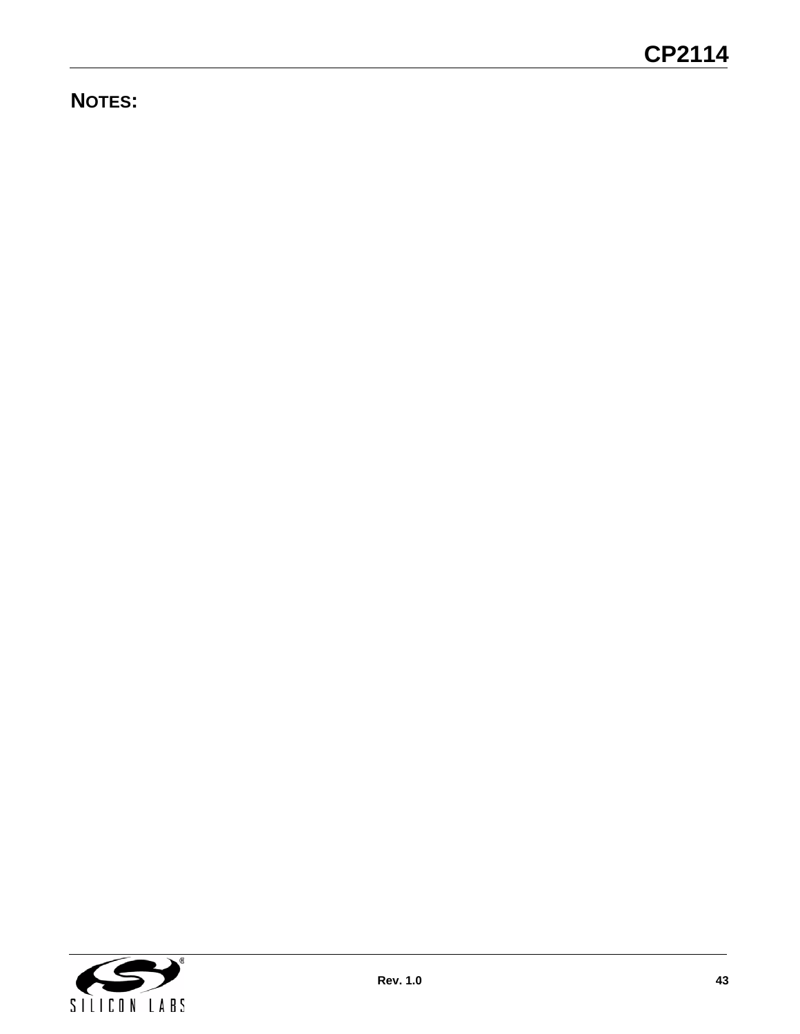# **NOTES:**